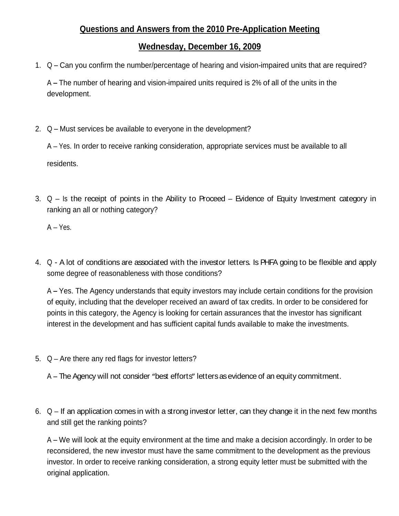# **Questions and Answers from the 2010 Pre-Application Meeting**

## **Wednesday, December 16, 2009**

1. Q – Can you confirm the number/percentage of hearing and vision-impaired units that are required?

A The number of hearing and vision-impaired units required is 2% of all of the units in the development.

2.  $Q$  – Must services be available to everyone in the development?

A Yes. In order to receive ranking consideration, appropriate services must be available to all residents. The contract of the contract of the contract of the contract of the contract of the contract of the contract of the contract of the contract of the contract of the contract of the contract of the contract of the

3.  $Q - Is$  the receipt of points in the Ability to Proceed – Evidence of Equity Investment category in ranking an all or nothing category?

A – Yes.<br>4. Q - A lot of conditions are associated with the investor letters. Is PHFA going to be flexible and apply some degree of reasonableness with those conditions?

A Yes. The Agency understands that equity investors may include certain conditions for the provision of equity, including that the developer received an award of tax credits. In order to be considered for points in this category, the Agency is looking for certain assurances that the investor has significant interest in the development and has sufficient capital funds available to make the investments.

- 5.  $Q$  Are there any red flags for investor letters?
	- A The Agency will not consider "best efforts" letters as evidence of an equity commitment.
- 6.  $Q If$  an application comes in with a strong investor letter, can they change it in the next few months and still get the ranking points?

A – We will look at the equity environment at the time and make a decision accordingly. In order to be reconsidered, the new investor must have the same commitment to the development as the previous investor. In order to receive ranking consideration, a strong equity letter must be submitted with the original application.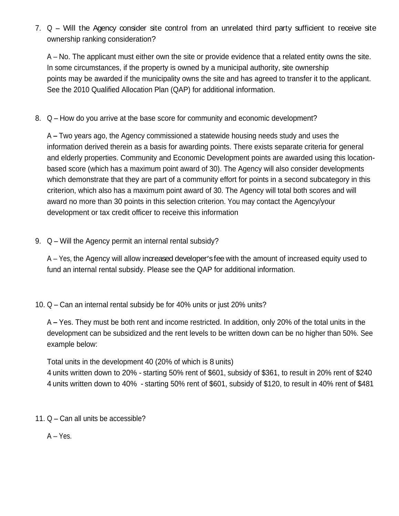7.  $Q -$  Will the Agency consider site control from an unrelated third party sufficient to receive site ownership ranking consideration?

 $A - No$ . The applicant must either own the site or provide evidence that a related entity owns the site. In some circumstances, if the property is owned by a municipal authority, site ownership points may be awarded if the municipality owns the site and has agreed to transfer it to the applicant. See the 2010 Qualified Allocation Plan (QAP) for additional information.

8. Q – How do you arrive at the base score for community and economic development?

A Two years ago, the Agency commissioned a statewide housing needs study and uses the information derived therein as a basis for awarding points. There exists separate criteria for general and elderly properties. Community and Economic Development points are awarded using this location based score (which has a maximum point award of 30). The Agency will also consider developments which demonstrate that they are part of a community effort for points in a second subcategory in this criterion, which also has a maximum point award of 30. The Agency will total both scores and will award no more than 30 points in this selection criterion. You may contact the Agency/your development or tax credit officer to receive this information

9.  $Q -$  Will the Agency permit an internal rental subsidy?

A – Yes, the Agency will allow increased developer's fee with the amount of increased equity used to fund an internal rental subsidy. Please see the QAP for additional information.

10.  $Q$  – Can an internal rental subsidy be for 40% units or just 20% units?

A Yes. They must be both rent and income restricted. In addition, only 20% of the total units in the development can be subsidized and the rent levels to be written down can be no higher than 50%. See example below:

Total units in the development 40 (20% of which is 8 units)

4 units written down to 20% - starting 50% rent of \$601, subsidy of \$361, to result in 20% rent of \$240 4 units written down to 40% - starting 50% rent of \$601, subsidy of \$120, to result in 40% rent of \$481

11.  $Q$  – Can all units be accessible?

 $A - Yes.$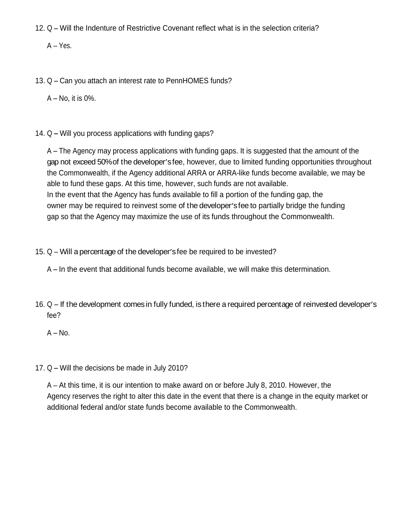12. Q – Will the Indenture of Restrictive Covenant reflect what is in the selection criteria?

A Yes.

13. Q – Can you attach an interest rate to PennHOMES funds?

 $A - No$ , it is 0%.

14.  $Q$  – Will you process applications with funding gaps?

A The Agency may process applications with funding gaps. It is suggested that the amount of the gap not exceed 50% of the developer's fee, however, due to limited funding opportunities throughout the Commonwealth, if the Agency additional ARRA or ARRA-like funds become available, we may be able to fund these gaps. At this time, however, such funds are not available. In the event that the Agency has funds available to fill a portion of the funding gap, the owner may be required to reinvest some of the developer's fee to partially bridge the funding gap so that the Agency may maximize the use of its funds throughout the Commonwealth.

15.  $Q$  – Will a percentage of the developer's fee be required to be invested?

16. Q – If the development comes in fully funded, is there a required percentage of reinvested developer's fee?

 $A - No.$ 

17.  $Q$  – Will the decisions be made in July 2010?

 $A - At$  this time, it is our intention to make award on or before July 8, 2010. However, the Agency reserves the right to alter this date in the event that there is a change in the equity market or additional federal and/or state funds become available to the Commonwealth.

 $A$  – In the event that additional funds become available, we will make this determination.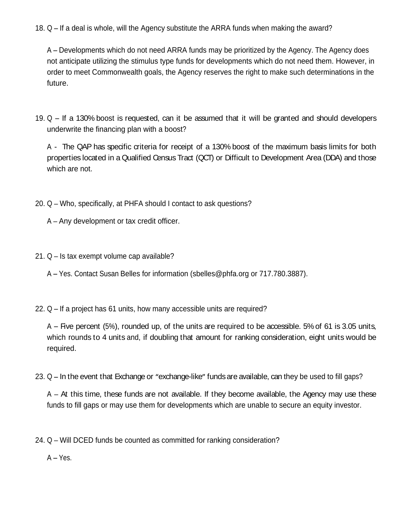18.  $Q - If a deal is whole, will the Agency substitute the ARRA funds when making the award?$ 

A Developments which do not need ARRA funds may be prioritized by the Agency. The Agency does not anticipate utilizing the stimulus type funds for developments which do not need them. However, in order to meet Commonwealth goals, the Agency reserves the right to make such determinations in the future. The contract of the contract of the contract of the contract of the contract of the contract of the contract of the contract of the contract of the contract of the contract of the contract of the contract of the co

19.  $Q -$  If a 130% boost is requested, can it be assumed that it will be granted and should developers underwrite the financing plan with a boost?

A - The QAP has specific criteria for receipt of a 130% boost of the maximum basis limits for both properties located in a Qualified Census Tract (QCT) or Difficult to Development Area (DDA) and those which are not. The state of the state of the state of the state of the state of the state of the state of the state of the state of the state of the state of the state of the state of the state of the state of the state of

- 20. Q Who, specifically, at PHFA should I contact to ask questions?
	- $A Any development or tax credit officer.$
- $21. Q Is tax$  exempt volume cap available?
	- A Yes. Contact Susan Belles for information (sbelles@phfa.org or 717.780.3887).
- 22.  $Q If a project has 61 units, how many accessible units are required?$

 $A$  – Five percent (5%), rounded up, of the units are required to be accessible. 5% of 61 is 3.05 units, which rounds to 4 units and, if doubling that amount for ranking consideration, eight units would be required. The contract of the contract of the contract of the contract of the contract of the contract of the contract of the contract of the contract of the contract of the contract of the contract of the contract of the

23.  $Q$  – In the event that Exchange or "exchange-like" funds are available, can they be used to fill gaps?

 $A - At$  this time, these funds are not available. If they become available, the Agency may use these funds to fill gaps or may use them for developments which are unable to secure an equity investor.

24. Q – Will DCED funds be counted as committed for ranking consideration?

 $A - Yes.$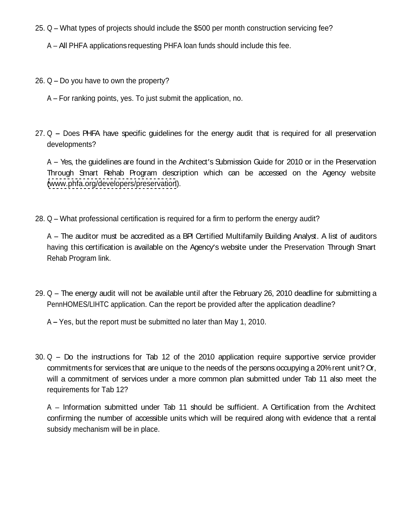- 25. Q What types of projects should include the \$500 per month construction servicing fee?
	- A All PHFA applications requesting PHFA loan funds should include this fee.
- 26.  $Q$  Do you have to own the property?
	- $A$  For ranking points, yes. To just submit the application, no.
- $27. Q$  Does PHFA have specific quidelines for the energy audit that is required for all preservation developments?

A - Yes, the guidelines are found in the Architect's Submission Guide for 2010 or in the Preservation Through Smart Rehab Program description which can be accessed on the Agency website [\(www.phfa.org/developers/preservation](http://www.phfa.org/developers/preservation)).<br>28. Q – What professional certification is required for a firm to perform the energy audit?

A The auditor must be accredited as a BPI Certified Multifamily Building Analyst. A list of auditors having this certification is available on the Agency's website under the Preservation Through Smart Rehab Program link.

- 29.  $Q$  The energy audit will not be available until after the February 26, 2010 deadline for submitting a PennHOMES/LIHTC application. Can the report be provided after the application deadline?
	- A Yes, but the report must be submitted no later than May 1, 2010.
- $30. Q Do$  the instructions for Tab 12 of the 2010 application require supportive service provider commitments for services that are unique to the needs of the persons occupying a 20%rent unit? Or, will a commitment of services under a more common plan submitted under Tab 11 also meet the requirements for Tab 12?

A - Information submitted under Tab 11 should be sufficient. A Certification from the Architect confirming the number of accessible units which will be required along with evidence that a rental subsidy mechanism will be in place.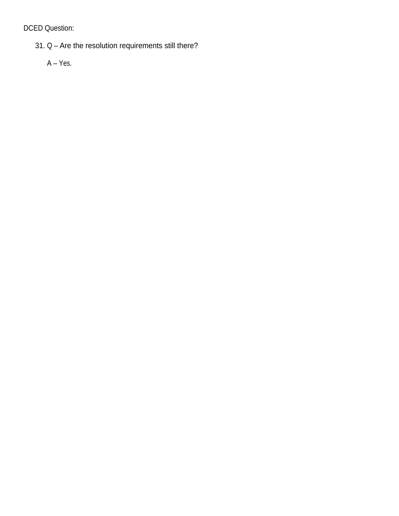DCED Question:

 $31. Q -$  Are the resolution requirements still there?

 $A - Yes.$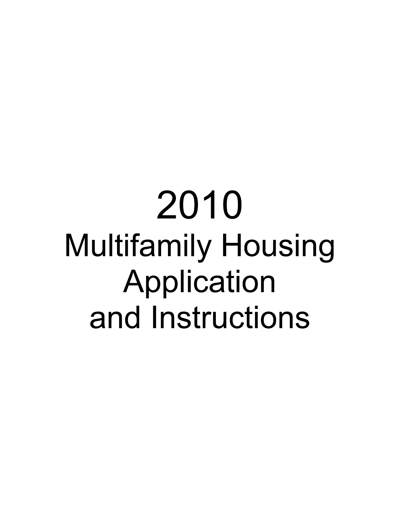# 2010 **Multifamily Housing** Application and Instructions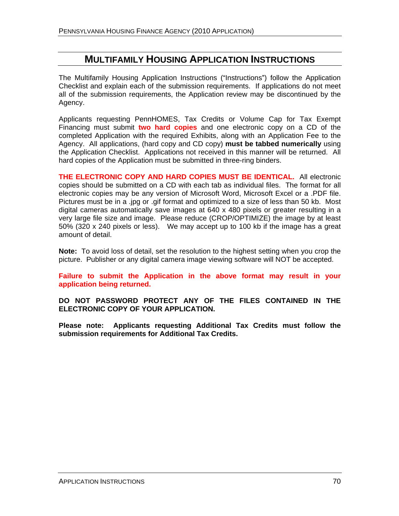# **MULTIFAMILY HOUSING APPLICATION INSTRUCTIONS**

The Multifamily Housing Application Instructions ("Instructions") follow the Application Checklist and explain each of the submission requirements. If applications do not meet all of the submission requirements, the Application review may be discontinued by the Agency.

Applicants requesting PennHOMES, Tax Credits or Volume Cap for Tax Exempt Financing must submit **two hard copies** and one electronic copy on a CD of the completed Application with the required Exhibits, along with an Application Fee to the Agency. All applications, (hard copy and CD copy) **must be tabbed numerically** using the Application Checklist. Applications not received in this manner will be returned. All hard copies of the Application must be submitted in three-ring binders.

**THE ELECTRONIC COPY AND HARD COPIES MUST BE IDENTICAL.** All electronic copies should be submitted on a CD with each tab asindividual files. The format for all electronic copies may be any version of Microsoft Word, Microsoft Excel or a .PDF file.<br>Pictures must be in a .jpg or .gif format and optimized to a size of less than 50 kb. Most digital cameras automatically save images at 640 x 480 pixels or greater resulting in a very large file size and image. Please reduce (CROP/OPTIMIZE) the image by at least 50% (320 x 240 pixels or less). We may accept up to 100 kb if the image has a great amount of detail.

**Note:** To avoid loss of detail, set the resolution to the highest setting when you crop the picture. Publisher or any digital camera image viewing software will NOT be accepted.

**Failure to submit the Application in the above format may result in your application being returned.**

**DO NOT PASSWORD PROTECT ANY OF THE FILES CONTAINED IN THE**

**ELECTRONIC COPY OF YOUR APPLICATION. Please note: Applicants requesting Additional Tax Credits must follow the submission requirements for Additional Tax Credits.**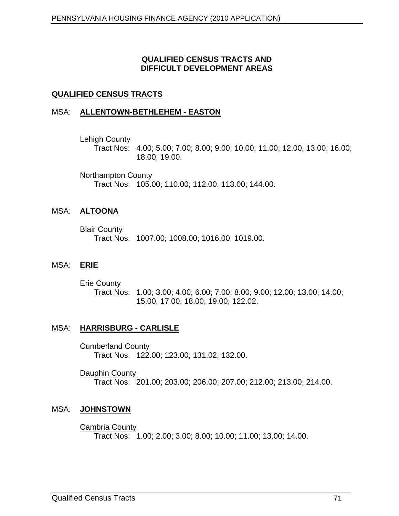#### **QUALIFIED CENSUS TRACTS AND DIFFICULT DEVELOPMENT AREAS**

#### **QUALIFIED CENSUS TRACTS**

#### MSA: **ALLENTOWN-BETHLEHEM - EASTON**

Lehigh County

Tract Nos: 4.00; 5.00; 7.00; 8.00; 9.00; 10.00; 11.00; 12.00; 13.00; 16.00; 18.00; 19.00.

Northampton County and the control of the control of the control of the control of the control of the control of the control of the control of the control of the control of the control of the control of the control of the Tract Nos: 105.00; 110.00; 112.00; 113.00; 144.00.

#### MSA: **ALTOONA**

**Blair County and Service County of the County of the County of the County of the County of the County of the County of the County of the County of the County of the County of the County of the County of the County of the** Tract Nos: 1007.00; 1008.00; 1016.00; 1019.00.

#### MSA: **ERIE**

**Erie County and Series and Series and Series and Series and Series and Series and Series and Series and Series** Tract Nos: 1.00; 3.00; 4.00; 6.00; 7.00; 8.00; 9.00; 12.00; 13.00; 14.00; 15.00; 17.00; 18.00; 19.00; 122.02.

#### MSA: **HARRISBURG - CARLISLE**

**Cumberland County and County and County and County and County and County and County and County and County and County and County and County and County and County and County and County and County and County and County and C** Tract Nos: 122.00; 123.00; 131.02; 132.00.

**Dauphin County and Service County of the County of the County of the County of the County of the County of the County of the County of the County of the County of the County of the County of the County of the County of th** Tract Nos: 201.00; 203.00; 206.00; 207.00; 212.00; 213.00; 214.00.

#### MSA: **JOHNSTOWN**

Cambria County Tract Nos: 1.00; 2.00; 3.00; 8.00; 10.00; 11.00; 13.00; 14.00.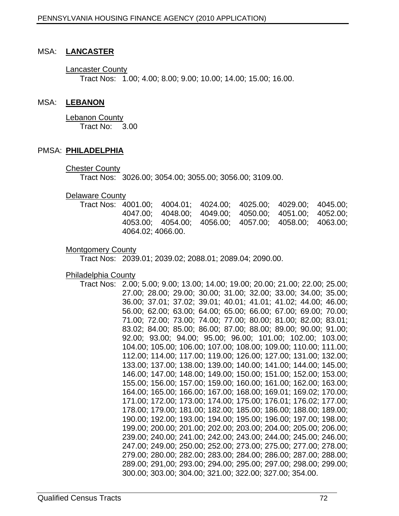#### MSA: **LANCASTER**

Lancaster County Tract Nos: 1.00; 4.00; 8.00; 9.00; 10.00; 14.00; 15.00; 16.00.

#### MSA: **LEBANON**

Lebanon County Tract No: 3.00

#### PMSA: **PHILADELPHIA**

**Chester County and Security Chester County of the Chester County of the Chester County of the Chester County of the Chester County of the Chester County of the Chester County of the Chester County of the Chester County of** 

Tract Nos: 3026.00; 3054.00; 3055.00; 3056.00; 3109.00.

#### **Delaware County and Service County and Service County and Service County of County and Service County of County Andrew County and Service County and Service County and Service County and Service County and Service County**

| Tract Nos: | 4001.00; | 4004.01; | 4024.00; | 4025.00: | 4029.00; | 4045.00; |
|------------|----------|----------|----------|----------|----------|----------|
|            | 4047.00  | 4048.00; | 4049.00; | 4050.00  | 4051.00; | 4052.00; |
|            | 4053.00  | 4054.00; | 4056.00; | 4057.00: | 4058.00; | 4063.00; |
|            | 4064.02; | 4066.00. |          |          |          |          |

#### **Montgomery County Activities and Services and Services and Services and Services and Services and Services and Services and Services and Services and Services and Services and Services and Services and Services and Servic**

Tract Nos: 2039.01; 2039.02; 2088.01; 2089.04; 2090.00.

Philadelphia County

Tract Nos: 2.00; 5.00; 9.00; 13.00; 14.00; 19.00; 20.00; 21.00; 22.00; 25.00; 27.00; 28.00; 29.00; 30.00; 31.00; 32.00; 33.00; 34.00; 35.00; 36.00; 37.01; 37.02; 39.01; 40.01; 41.01; 41.02; 44.00; 46.00; 56.00; 62.00; 63.00; 64.00; 65.00; 66.00; 67.00; 69.00; 70.00; 71.00; 72.00; 73.00; 74.00; 77.00; 80.00; 81.00; 82.00; 83.01; 83.02; 84.00; 85.00; 86.00; 87.00; 88.00; 89.00; 90.00; 91.00; 92.00; 93.00; 94.00; 95.00; 96.00; 101.00; 102.00; 103.00; 104.00; 105.00; 106.00; 107.00; 108.00; 109.00; 110.00; 111.00; 112.00; 114.00; 117.00; 119.00; 126.00; 127.00; 131.00; 132.00; 133.00; 137.00; 138.00; 139.00; 140.00; 141.00; 144.00; 145.00; 146.00; 147.00; 148.00; 149.00; 150.00; 151.00; 152.00; 153.00; 155.00; 156.00; 157.00; 159.00; 160.00; 161.00; 162.00; 163.00; 164.00; 165.00; 166.00; 167.00; 168.00; 169.01; 169.02; 170.00; 171.00; 172.00; 173.00; 174.00; 175.00; 176.01; 176.02; 177.00; 178.00; 179.00; 181.00; 182.00; 185.00; 186.00; 188.00; 189.00; 190.00; 192.00; 193.00; 194.00; 195.00; 196.00; 197.00; 198.00; 199.00; 200.00; 201.00; 202.00; 203.00; 204.00; 205.00; 206.00; 239.00; 240.00; 241.00; 242.00; 243.00; 244.00; 245.00; 246.00; 247.00; 249.00; 250.00; 252.00; 273.00; 275.00; 277.00; 278.00; 279.00; 280.00; 282.00; 283.00; 284.00; 286.00; 287.00; 288.00; 289.00; 291,00; 293.00; 294.00; 295.00; 297.00; 298.00; 299.00; 300.00; 303.00; 304.00; 321.00; 322.00; 327.00; 354.00.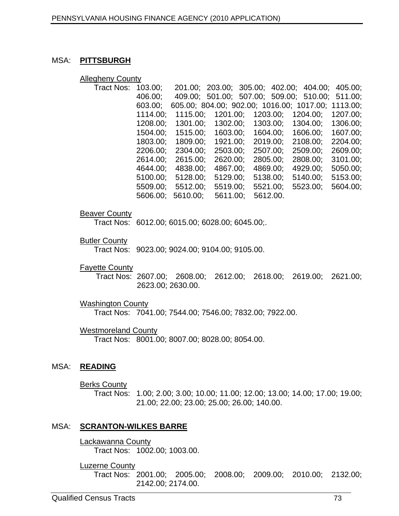### MSA: **PITTSBURGH**

#### Allegheny County

| 103.00;     |                                                          |                                                                                              |                                                                                     |                                                                                                                                                                                                 |                                                                                                                                                                                                                                                                                 |
|-------------|----------------------------------------------------------|----------------------------------------------------------------------------------------------|-------------------------------------------------------------------------------------|-------------------------------------------------------------------------------------------------------------------------------------------------------------------------------------------------|---------------------------------------------------------------------------------------------------------------------------------------------------------------------------------------------------------------------------------------------------------------------------------|
| 406.00;     |                                                          |                                                                                              |                                                                                     |                                                                                                                                                                                                 |                                                                                                                                                                                                                                                                                 |
| 603.00:     |                                                          |                                                                                              |                                                                                     |                                                                                                                                                                                                 |                                                                                                                                                                                                                                                                                 |
| $1114.00$ ; |                                                          |                                                                                              |                                                                                     | 1207.00;                                                                                                                                                                                        |                                                                                                                                                                                                                                                                                 |
|             |                                                          |                                                                                              |                                                                                     | 1306.00;                                                                                                                                                                                        |                                                                                                                                                                                                                                                                                 |
|             |                                                          |                                                                                              |                                                                                     | 1607.00;                                                                                                                                                                                        |                                                                                                                                                                                                                                                                                 |
|             |                                                          |                                                                                              |                                                                                     |                                                                                                                                                                                                 |                                                                                                                                                                                                                                                                                 |
|             |                                                          |                                                                                              |                                                                                     |                                                                                                                                                                                                 |                                                                                                                                                                                                                                                                                 |
|             |                                                          |                                                                                              |                                                                                     |                                                                                                                                                                                                 |                                                                                                                                                                                                                                                                                 |
|             |                                                          | 4869.00;                                                                                     |                                                                                     |                                                                                                                                                                                                 |                                                                                                                                                                                                                                                                                 |
|             |                                                          |                                                                                              |                                                                                     |                                                                                                                                                                                                 |                                                                                                                                                                                                                                                                                 |
|             |                                                          |                                                                                              |                                                                                     |                                                                                                                                                                                                 |                                                                                                                                                                                                                                                                                 |
|             |                                                          | 5612.00.                                                                                     |                                                                                     |                                                                                                                                                                                                 |                                                                                                                                                                                                                                                                                 |
|             | 1208.00;<br>1504.00;<br>1803.00;<br>2614.00;<br>4644.00: | 1115.00; 1201.00;<br>1301.00; 1302.00;<br>4838.00;<br>5100.00; 5128.00;<br>5606.00; 5610.00; | 1515.00; 1603.00;<br>1809.00; 1921.00;<br>4867.00;<br>5129.00; 5138.00;<br>5611.00; | 1203.00; 1204.00;<br>1303.00; 1304.00;<br>1604.00; 1606.00;<br>2019.00; 2108.00;<br>2206.00; 2304.00; 2503.00; 2507.00; 2509.00;<br>2615.00; 2620.00; 2805.00; 2808.00;<br>4929.00;<br>5140.00; | 201.00; 203.00; 305.00; 402.00; 404.00; 405.00;<br>409.00; 501.00; 507.00; 509.00; 510.00; 511.00;<br>605.00; 804.00; 902.00; 1016.00; 1017.00; 1113.00;<br>2204.00:<br>2609.00;<br>3101.00;<br>5050.00<br>5153.00;<br>5509.00; 5512.00; 5519.00; 5521.00; 5523.00;<br>5604.00; |

#### **Beaver County and Security and Security and Security and Security and Security and Security and Security and Security and Security and Security and Security and Security and Security and Security and Security and Security**

Tract Nos: 6012.00; 6015.00; 6028.00; 6045.00;.

#### **Butler County and Service County of the County of the County of the County of the County of the County of the County of the County of the County of the County of the County of the County of the County of the County of the**

Tract Nos: 9023.00; 9024.00; 9104.00; 9105.00.

#### **Fayette County Example 2008 County Example 2008 County County County County County County County**

Tract Nos: 2607.00; 2608.00; 2612.00; 2618.00; 2619.00; 2621.00; 2623.00; 2630.00.

#### Washington County

Tract Nos: 7041.00; 7544.00; 7546.00; 7832.00; 7922.00.

#### Westmoreland County

Tract Nos: 8001.00; 8007.00; 8028.00; 8054.00.

#### MSA: **READING**

#### **Berks County and Service County of the Service County of the Service County of the Service County of the Service County of the Service County of the Service County of the Service County of the Service County of the Servic**

Tract Nos: 1.00; 2.00; 3.00; 10.00; 11.00; 12.00; 13.00; 14.00; 17.00; 19.00; 21.00; 22.00; 23.00; 25.00; 26.00; 140.00.

#### MSA: **SCRANTON-WILKES BARRE**

Lackawanna County Tract Nos: 1002.00; 1003.00.

#### **Luzerne County and Service County and Service County and Service County of the County of the County of the County of the County of the County of the County of the County of the County of the County of the County of the Co**

Tract Nos: 2001.00; 2005.00; 2008.00; 2009.00; 2010.00; 2132.00; 2142.00; 2174.00.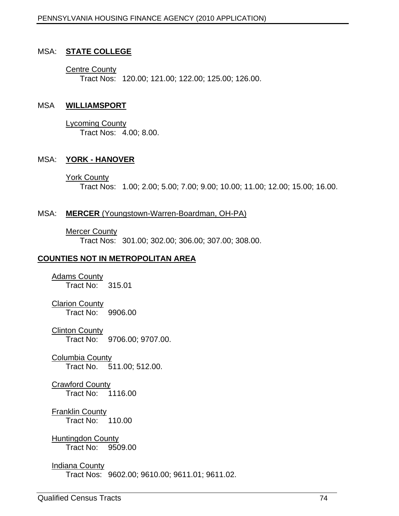#### MSA: **STATE COLLEGE**

**Centre County and Service County of the County of the County of the County of the County of the County of the County of the County of the County of the County of the County of the County of the County of the County of the** Tract Nos: 120.00; 121.00; 122.00; 125.00; 126.00.

#### MSA **WILLIAMSPORT**

Lycoming County Tract Nos: 4.00; 8.00.

#### MSA: **YORK - HANOVER**

York County

Tract Nos: 1.00; 2.00; 5.00; 7.00; 9.00; 10.00; 11.00; 12.00; 15.00; 16.00.

#### MSA: **MERCER** (Youngstown-Warren-Boardman, OH-PA)

#### **Mercer County and Service County of the County of the County of the County of the County of the County of the County of the County of the County of the County of the County of the County of the County of the County of the**

Tract Nos: 301.00; 302.00; 306.00; 307.00; 308.00.

#### **COUNTIES NOT IN METROPOLITAN AREA**

Adams County Tract No: 315.01

**Clarion County and County and County and County and County and County and County and County and County and County and County and County and County and County and County and County and County and County and County and Coun** Tract No: 9906.00

**Clinton County and County and County and County and County and County and County and County and County and County and County and County and County and County and County and County and County and County and County and Coun** Tract No: 9706.00; 9707.00.

Columbia County Tract No. 511.00; 512.00.

**Crawford County and County Crawford County** and Created and Created and Created and Created and Created and Created and Created and Created and Created and Created and Created and Created and Created and Created and Creat Tract No: 1116.00

Franklin County Tract No: 110.00

Huntingdon County Tract No: 9509.00

#### Indiana County

Tract Nos: 9602.00; 9610.00; 9611.01; 9611.02.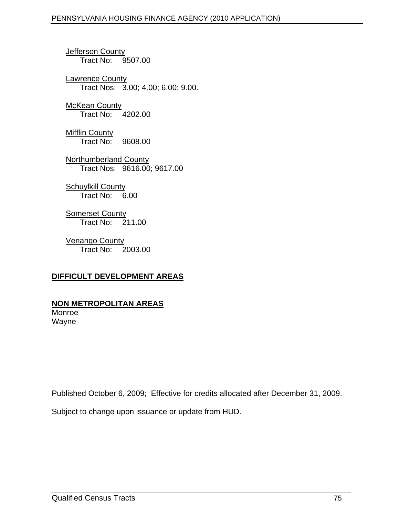Jefferson County Tract No: 9507.00

Lawrence County and the state of the state of the state of the state of the state of the state of the state of the state of the state of the state of the state of the state of the state of the state of the state of the sta Tract Nos: 3.00; 4.00; 6.00; 9.00.

McKean County Tract No: 4202.00

Mifflin County Tract No: 9608.00

Northumberland County Tract Nos: 9616.00; 9617.00

Schuylkill County **Schuylkill** County **Schuylkill** County **Schuylkill** Tract No: 6.00

Somerset County and the state of the state of the state of the state of the state of the state of the state of the state of the state of the state of the state of the state of the state of the state of the state of the sta Tract No: 211.00

Venango County Tract No: 2003.00

# **DIFFICULT DEVELOPMENT AREAS**

## **NON METROPOLITAN AREAS**

Monroe Wayne

Published October 6, 2009; Effective for credits allocated after December 31, 2009.

Subject to change upon issuance or update from HUD.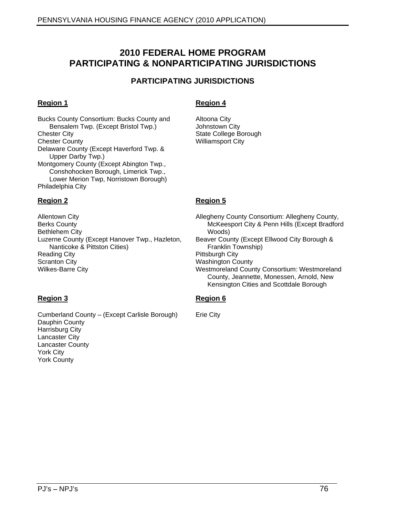# **2010 FEDERAL HOME PROGRAM PARTICIPATING & NONPARTICIPATING JURISDICTIONS**

## **PARTICIPATING JURISDICTIONS**

Bucks County Consortium: Bucks County and Altoona City<br>Bensalem Twp. (Except Bristol Twp.) Johnstown City Bensalem Twp. (Except Bristol Twp.) Chester City **Charles Community Controllers** State College Borough **Chester City** Charles College Borough **Charles College Borough Chester County Charles County Control Control Control City City Control Control City** Delaware County (Except Haverford Twp. & Upper Darby Twp.) Montgomery County (Except Abington Twp., Conshohocken Borough, Limerick Twp., Lower Merion Twp, Norristown Borough)<br>Philadelphia City Philadelphia City

Luzerne County (Except Hanover Twp., Hazleton, Beaver County (Except Nanticoke & Pittston Cities)

### **Region 1 Region 4**

Altoona City Johnstown City State College Borough and the state of the state of the state of the state of the state of the state of the state of the state of the state of the state of the state of the state of the state of the state of the state of t Williamsport City

#### **Region 2 Region 5**

Allentown City Allegheny County Consortium: Allegheny County, Berks County McKeesport City & Penn Hills (Except Bradford Bethlehem City Nanticoke & Pittston Cities) Reading City Pittsburgh City **Scranton City Community Community Community Community Community Community Community Community Community Community** Wilkes-Barre City Westmoreland County Consortium: Westmoreland Woods) Beaver County (Except Ellwood City Borough & Franklin Township) Pittsburgh City Washington County County, Jeannette, Monessen, Arnold, New Kensington Cities and Scottdale Borough

#### **Region 3 Region 6**

Erie City

Cumberland County - (Except Carlisle Borough) Dauphin County Harrisburg City Lancaster City Lancaster County York City York County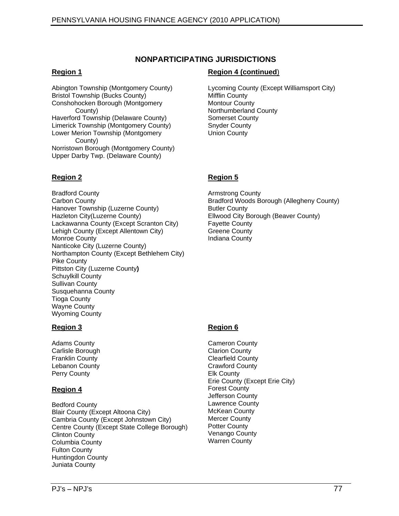#### **NONPARTICIPATING JURISDICTIONS**

Bristol Township (Bucks County) Conshohocken Borough (Montgomery County) County **County** County **County County County County County County** Haverford Township (Delaware County) Limerick Township (Montgomery County) Lower Merion Township (Montgomery County) Norristown Borough (Montgomery County) Upper Darby Twp. (Delaware County)

#### **Region 2 Region 5**

Bradford County Carbon County Bradford Woods Borough (Allegheny County) Hanover Township (Luzerne County) Hazleton City(Luzerne County) Ellwood City Borough (Beaver County) Lackawanna County (Except Scranton City) Fayette County<br>
Lehigh County (Except Allentown City) Greene County Lehigh County (Except Allentown City) Monroe County Nanticoke City (Luzerne County)<br>Northampton County (Except Bethlehem City) Northampton County (Except Bethlehem City) Pike County Pittston City (Luzerne County**)** Schuylkill County Sullivan County Susquehanna County Tioga County Wayne County Wyoming County

# **Region 1 Region 4 (continued**)

Abington Township (Montgomery County) Lycoming County (Except Williamsport City) Mifflin County Montour County Northumberland County and the control of the control of the control of the control of the control of the control of the control of the control of the control of the control of the control of the control of the control of t Somerset County and the state of the state of the state of the state of the state of the state of the state of the state of the state of the state of the state of the state of the state of the state of the state of the sta Snyder County Union County

Armstrong County Butler County and the state of the state of the state of the state of the state of the state of the state of the state of the state of the state of the state of the state of the state of the state of the state of the state Fayette County Greene County and the county of the country of the country of the country of the country of the country of the country of the country of the country of the country of the country of the country of the country of the countr Indiana County

Bedford County Blair County (Except Altoona City) McKean County<br>Cambria County (Except Johnstown City) Mercer County Cambria County (Except Johnstown City) Mercer County<br>Centre County (Except State College Borough) Potter County Centre County (Except State College Borough) Potter County<br>Clinton County Culture Clinton County Columbia County Fulton County Huntingdon County Juniata County

## **Region 3 Region 6**

Adams County Cameron County Carlisle Borough Franklin County Lebanon County Perry County **Region 4 Region 4 Region 4 Region 4 Region 4 Region 4 Region 4 Region 4 Region 4 Region 4 Region 4 Region 4 Region 4 Region 4 Region 4 Region 4 Region 4 Region 4 Region 4 Region 4 R** Cameron County **Cameron** County Clarion County Clearfield County Crawford County Elk County Erie County (Except Erie City) Forest County Jefferson County Lawrence County and the state of the state of the state of the state of the state of the state of the state of McKean County Mercer County Potter County and the county of the country of the country of the country of the country of the country of the country of the country of the country of the country of the country of the country of the country of the countr Venango County Warren County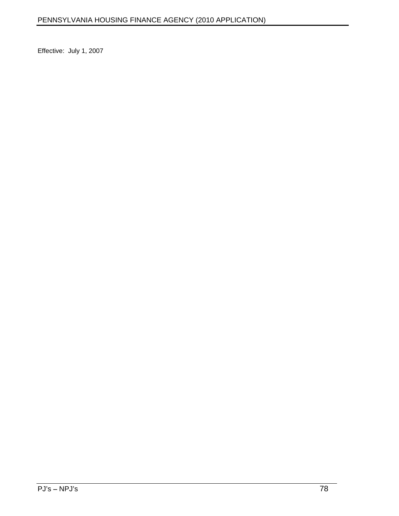Effective: July 1, 2007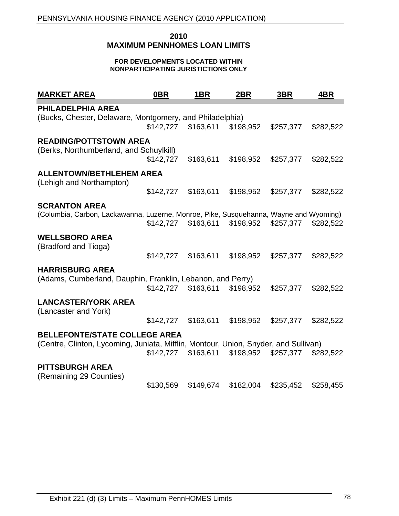#### **2010 MAXIMUM PENNHOMES LOAN LIMITS**

#### **FOR DEVELOPMENTS LOCATED WITHIN NONPARTICIPATING JURISTICTIONS ONLY**

| <b>MARKET AREA</b>                                                                    | $0$ BR    | 1BR | <u>2BR</u> | 3BR                                               | <u>4BR</u> |
|---------------------------------------------------------------------------------------|-----------|-----|------------|---------------------------------------------------|------------|
| PHILADELPHIA AREA                                                                     |           |     |            |                                                   |            |
| (Bucks, Chester, Delaware, Montgomery, and Philadelphia)                              |           |     |            |                                                   |            |
|                                                                                       |           |     |            | \$142,727 \$163,611 \$198,952 \$257,377 \$282,522 |            |
| <b>READING/POTTSTOWN AREA</b>                                                         |           |     |            |                                                   |            |
| (Berks, Northumberland, and Schuylkill)                                               |           |     |            |                                                   |            |
|                                                                                       | \$142,727 |     |            | \$163,611 \$198,952 \$257,377 \$282,522           |            |
| ALLENTOWN/BETHLEHEM AREA                                                              |           |     |            |                                                   |            |
| (Lehigh and Northampton)                                                              |           |     |            |                                                   |            |
|                                                                                       |           |     |            | \$142,727 \$163,611 \$198,952 \$257,377 \$282,522 |            |
| <b>SCRANTON AREA</b>                                                                  |           |     |            |                                                   |            |
| (Columbia, Carbon, Lackawanna, Luzerne, Monroe, Pike, Susquehanna, Wayne and Wyoming) |           |     |            |                                                   |            |
|                                                                                       |           |     |            | \$142,727 \$163,611 \$198,952 \$257,377 \$282,522 |            |
| <b>WELLSBORO AREA</b>                                                                 |           |     |            |                                                   |            |
| (Bradford and Tioga)                                                                  |           |     |            |                                                   |            |
|                                                                                       |           |     |            | \$142,727 \$163,611 \$198,952 \$257,377 \$282,522 |            |
| <b>HARRISBURG AREA</b>                                                                |           |     |            |                                                   |            |
| (Adams, Cumberland, Dauphin, Franklin, Lebanon, and Perry)                            |           |     |            |                                                   |            |
|                                                                                       |           |     |            | \$142,727 \$163,611 \$198,952 \$257,377 \$282,522 |            |
| <b>LANCASTER/YORK AREA</b>                                                            |           |     |            |                                                   |            |
| (Lancaster and York)                                                                  |           |     |            |                                                   |            |
|                                                                                       |           |     |            | \$142,727 \$163,611 \$198,952 \$257,377 \$282,522 |            |
| <b>BELLEFONTE/STATE COLLEGE AREA</b>                                                  |           |     |            |                                                   |            |
| (Centre, Clinton, Lycoming, Juniata, Mifflin, Montour, Union, Snyder, and Sullivan)   |           |     |            |                                                   |            |
|                                                                                       |           |     |            | \$142,727 \$163,611 \$198,952 \$257,377 \$282,522 |            |
| <b>PITTSBURGH AREA</b>                                                                |           |     |            |                                                   |            |
| (Remaining 29 Counties)                                                               |           |     |            |                                                   |            |
|                                                                                       | \$130,569 |     |            | \$149,674 \$182,004 \$235,452 \$258,455           |            |
|                                                                                       |           |     |            |                                                   |            |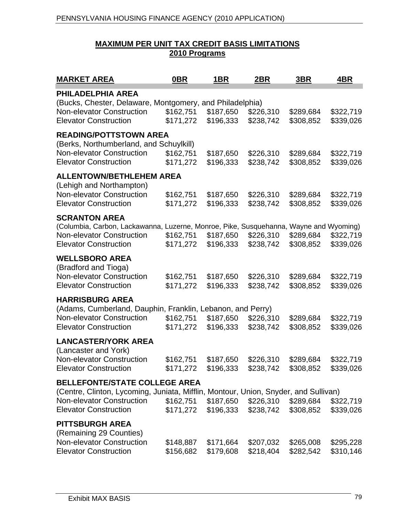### **MAXIMUM PER UNIT TAX CREDIT BASIS LIMITATIONS 2010 Programs**

| <b>MARKET AREA</b>                                                                                               | <u>OBR</u> | <u> 1BR </u>                                                             | 2BR       | 3B <sub>R</sub>                  | <u>4BR</u>             |
|------------------------------------------------------------------------------------------------------------------|------------|--------------------------------------------------------------------------|-----------|----------------------------------|------------------------|
| PHILADELPHIA AREA                                                                                                |            |                                                                          |           |                                  |                        |
| (Bucks, Chester, Delaware, Montgomery, and Philadelphia)                                                         |            |                                                                          |           |                                  |                        |
| Non-elevator Construction                                                                                        |            | \$162,751 \$187,650                                                      | \$226,310 | \$289,684                        | \$322,719              |
| <b>Elevator Construction</b>                                                                                     | \$171,272  | \$196,333                                                                |           | \$238,742 \$308,852              | \$339,026              |
| <b>READING/POTTSTOWN AREA</b>                                                                                    |            |                                                                          |           |                                  |                        |
| (Berks, Northumberland, and Schuylkill)                                                                          |            |                                                                          |           |                                  |                        |
| <b>Non-elevator Construction</b>                                                                                 | \$162,751  | \$187,650                                                                | \$226,310 | \$289,684                        | \$322,719              |
| <b>Elevator Construction</b>                                                                                     | \$171,272  | \$196,333                                                                |           | \$238,742 \$308,852              | \$339,026              |
| <b>ALLENTOWN/BETHLEHEM AREA</b>                                                                                  |            |                                                                          |           |                                  |                        |
| (Lehigh and Northampton)                                                                                         |            |                                                                          |           |                                  |                        |
| Non-elevator Construction                                                                                        | \$162,751  | \$187,650                                                                | \$226,310 | \$289,684                        | \$322,719              |
| <b>Elevator Construction</b>                                                                                     |            | \$171,272 \$196,333 \$238,742 \$308,852 \$339,026                        |           |                                  |                        |
| <b>SCRANTON AREA</b>                                                                                             |            |                                                                          |           |                                  |                        |
| (Columbia, Carbon, Lackawanna, Luzerne, Monroe, Pike, Susquehanna, Wayne and Wyoming)                            |            |                                                                          |           |                                  |                        |
| Non-elevator Construction                                                                                        | \$162,751  | \$187,650                                                                |           | \$226,310 \$289,684 \$322,719    |                        |
| <b>Elevator Construction</b>                                                                                     |            | \$171,272 \$196,333                                                      |           | \$238,742 \$308,852              | \$339,026              |
| <b>WELLSBORO AREA</b>                                                                                            |            |                                                                          |           |                                  |                        |
| (Bradford and Tioga)                                                                                             |            |                                                                          |           |                                  |                        |
| Non-elevator Construction<br><b>Elevator Construction</b>                                                        | \$162,751  | \$187,650                                                                | \$226,310 | \$289,684                        | \$322,719              |
|                                                                                                                  |            | \$171,272 \$196,333                                                      |           | \$238,742 \$308,852              | \$339,026              |
| <b>HARRISBURG AREA</b>                                                                                           |            |                                                                          |           |                                  |                        |
| (Adams, Cumberland, Dauphin, Franklin, Lebanon, and Perry)                                                       |            |                                                                          |           |                                  |                        |
| <b>Non-elevator Construction</b><br><b>Elevator Construction</b>                                                 |            | \$162,751 \$187,650<br>\$171,272 \$196,333                               | \$226,310 | \$289,684<br>\$238,742 \$308,852 | \$322,719<br>\$339,026 |
|                                                                                                                  |            |                                                                          |           |                                  |                        |
| <b>LANCASTER/YORK AREA</b>                                                                                       |            |                                                                          |           |                                  |                        |
| (Lancaster and York)<br>Non-elevator Construction                                                                |            |                                                                          |           |                                  |                        |
| <b>Elevator Construction</b>                                                                                     |            | \$162,751 \$187,650<br>\$171,272 \$196,333 \$238,742 \$308,852 \$339,026 |           | \$226,310 \$289,684 \$322,719    |                        |
|                                                                                                                  |            |                                                                          |           |                                  |                        |
| <b>BELLEFONTE/STATE COLLEGE AREA</b>                                                                             |            |                                                                          |           |                                  |                        |
| (Centre, Clinton, Lycoming, Juniata, Mifflin, Montour, Union, Snyder, and Sullivan)<br>Non-elevator Construction |            | \$162,751 \$187,650 \$226,310 \$289,684 \$322,719                        |           |                                  |                        |
| <b>Elevator Construction</b>                                                                                     |            | \$171,272 \$196,333 \$238,742 \$308,852 \$339,026                        |           |                                  |                        |
|                                                                                                                  |            |                                                                          |           |                                  |                        |
| <b>PITTSBURGH AREA</b>                                                                                           |            |                                                                          |           |                                  |                        |
| (Remaining 29 Counties)<br>Non-elevator Construction                                                             |            | \$148,887 \$171,664                                                      |           | \$207,032 \$265,008 \$295,228    |                        |
| <b>Elevator Construction</b>                                                                                     |            | \$156,682 \$179,608 \$218,404 \$282,542 \$310,146                        |           |                                  |                        |
|                                                                                                                  |            |                                                                          |           |                                  |                        |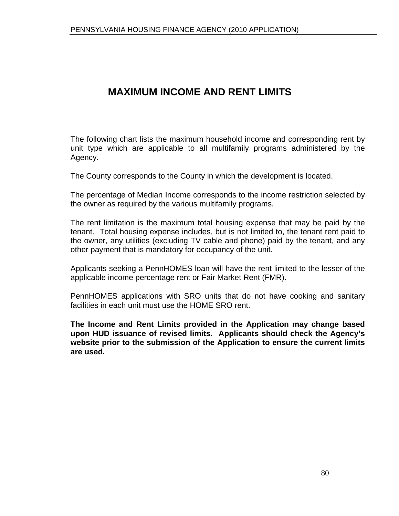# **MAXIMUM INCOME AND RENT LIMITS**

The following chart lists the maximum household income and corresponding rent by unit type which are applicable to all multifamily programs administered by the Agency.

The County corresponds to the County in which the development is located.

The percentage of Median Income corresponds to the income restriction selected by the owner as required by the various multifamily programs.

The rent limitation is the maximum total housing expense that may be paid by the tenant. Total housing expense includes, but is not limited to, the tenant rent paid to the owner, any utilities (excluding TV cable and phone) paid by the tenant, and any other payment that is mandatory for occupancy of the unit.

Applicants seeking a PennHOMES loan will have the rent limited to the lesser of the applicable income percentage rent or Fair Market Rent (FMR).

PennHOMES applications with SRO units that do not have cooking and sanitary facilities in each unit must use the HOME SRO rent.

**The Income and Rent Limits provided in the Application may change based upon HUD issuance of revised limits. Applicants should check the Agency s website prior to the submission of the Application to ensure the current limits are used.**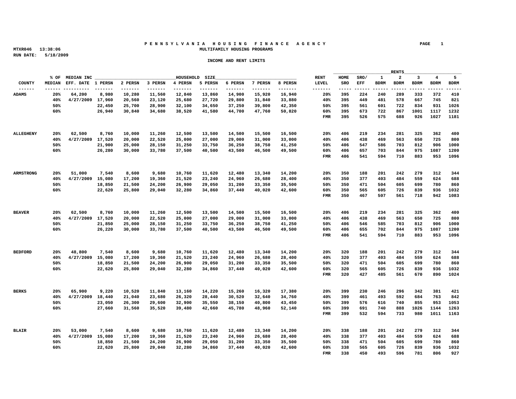#### **P E N N S Y L V A N I A H O U S I N G F I N A N C E A G E N C Y PAGE 1 MTXR046 13:38:06 MULTIFAMILY HOUSING PROGRAMS**

|                  |                                                                                  |                          |  |                                                              |                |                                                                                                                       |               | the property of the control of the control of the control of the control of the control of | RENTS | <u> 1989 - Johann Harry Harry Harry Harry Harry Harry Harry Harry Harry Harry Harry Harry Harry Harry Harry Harry Harry Harry Harry Harry Harry Harry Harry Harry Harry Harry Harry Harry Harry Harry Harry Harry Harry Harry Ha</u> |
|------------------|----------------------------------------------------------------------------------|--------------------------|--|--------------------------------------------------------------|----------------|-----------------------------------------------------------------------------------------------------------------------|---------------|--------------------------------------------------------------------------------------------|-------|--------------------------------------------------------------------------------------------------------------------------------------------------------------------------------------------------------------------------------------|
|                  |                                                                                  | % OF MEDIAN INC ________ |  |                                                              | HOUSEHOLD SIZE | <u> 1980 - Johann Stoff, deutscher Stoff, der Stoff, der Stoff, der Stoff, der Stoff, der Stoff, der Stoff, der S</u> |               |                                                                                            |       | RENT HOME SRO/ 1 2 3 4 5                                                                                                                                                                                                             |
|                  | MEDIAN EFF. DATE 1 PERSN 2 PERSN 3 PERSN 4 PERSN 5 PERSN 6 PERSN 7 PERSN 8 PERSN |                          |  |                                                              |                |                                                                                                                       |               |                                                                                            |       | LEVEL SRO EFF BDRM BDRM BDRM BDRM BDRM                                                                                                                                                                                               |
|                  |                                                                                  |                          |  |                                                              |                |                                                                                                                       |               |                                                                                            |       |                                                                                                                                                                                                                                      |
| <b>ADAMS</b>     |                                                                                  |                          |  |                                                              |                | 20% 64,200 8,980 10,280 11,560 12,840 13,860 14,900 15,920 16,940                                                     |               |                                                                                            |       | 20% 395 224 240 289 333 372 410                                                                                                                                                                                                      |
|                  |                                                                                  |                          |  |                                                              |                | 40% 4/27/2009 17.960 20.560 23.120 25.680 27.720 29.800 31.840 33.880                                                 |               |                                                                                            |       | 40% 395 449 481 578 667 745 821                                                                                                                                                                                                      |
|                  | 50%                                                                              |                          |  |                                                              |                | 22,450 25,700 28,900 32,100 34,650 37,250 39,800 42,350                                                               |               |                                                                                            |       | 50% 395 561 601 722 834 931 1026                                                                                                                                                                                                     |
|                  | 60%                                                                              |                          |  |                                                              |                | 26,940 30,840 34,680 38,520 41,580 44,700 47,760 50,820                                                               |               |                                                                                            |       | 60% 395 673 722 867 1001 1117 1232                                                                                                                                                                                                   |
|                  |                                                                                  |                          |  |                                                              |                |                                                                                                                       |               |                                                                                            |       | FMR 395 526 575 688 926 1027 1181                                                                                                                                                                                                    |
|                  |                                                                                  |                          |  |                                                              |                |                                                                                                                       |               |                                                                                            |       |                                                                                                                                                                                                                                      |
|                  |                                                                                  |                          |  |                                                              |                |                                                                                                                       |               |                                                                                            |       |                                                                                                                                                                                                                                      |
| <b>ALLEGHENY</b> |                                                                                  |                          |  |                                                              |                | 20% 62,500 8,760 10,000 11,260 12,500 13,500 14,500 15,500 16,500                                                     |               |                                                                                            |       | 20% 406 219 234 281 325 362 400                                                                                                                                                                                                      |
|                  |                                                                                  |                          |  |                                                              |                | 40% 4/27/2009 17,520 20,000 22,520 25,000 27,000 29,000 31,000 33,000                                                 |               |                                                                                            |       | 40% 406 438 469 563 650 725 800                                                                                                                                                                                                      |
|                  | 50%                                                                              |                          |  |                                                              |                | 21,900 25,000 28,150 31,250 33,750 36,250 38,750 41,250                                                               |               |                                                                                            |       | 50% 406 547 586 703 812 906 1000                                                                                                                                                                                                     |
|                  | 60%                                                                              |                          |  |                                                              |                | 26,280 30,000 33,780 37,500 40,500 43,500 46,500 49,500                                                               |               |                                                                                            |       | 60% 406 657 703 844 975 1087 1200                                                                                                                                                                                                    |
|                  |                                                                                  |                          |  |                                                              |                |                                                                                                                       |               |                                                                                            |       | FMR 406 541 594 710 883 953 1096                                                                                                                                                                                                     |
|                  |                                                                                  |                          |  |                                                              |                |                                                                                                                       |               |                                                                                            |       |                                                                                                                                                                                                                                      |
|                  |                                                                                  |                          |  |                                                              |                |                                                                                                                       |               |                                                                                            |       |                                                                                                                                                                                                                                      |
| ARMSTRONG        |                                                                                  |                          |  |                                                              |                | 20% 51,000 7,540 8,600 9,680 10,760 11,620 12,480 13,340 14,200                                                       |               |                                                                                            |       | 20% 350 188 201 242 279 312 344                                                                                                                                                                                                      |
|                  |                                                                                  |                          |  | 40% 4/27/2009 15,080 17,200 19,360 21,520 23,240 24,960      |                |                                                                                                                       | 26.680 28.400 | 40% 350                                                                                    |       | 377 403 484 559 624 688                                                                                                                                                                                                              |
|                  | 50%                                                                              |                          |  |                                                              |                | 18,850 21,500 24,200 26,900 29,050 31,200 33,350 35,500                                                               |               |                                                                                            |       | 50% 350 471 504 605 699 780 860                                                                                                                                                                                                      |
|                  | 60%                                                                              |                          |  |                                                              |                | 22,620 25,800 29,040 32,280 34,860 37,440 40,020 42,600                                                               |               |                                                                                            |       | 60% 350 565 605 726 839 936 1032                                                                                                                                                                                                     |
|                  |                                                                                  |                          |  |                                                              |                |                                                                                                                       |               |                                                                                            |       | FMR 350 467 507 561 718 942 1083                                                                                                                                                                                                     |
|                  |                                                                                  |                          |  |                                                              |                |                                                                                                                       |               |                                                                                            |       |                                                                                                                                                                                                                                      |
|                  |                                                                                  |                          |  |                                                              |                |                                                                                                                       |               |                                                                                            |       |                                                                                                                                                                                                                                      |
| <b>BEAVER</b>    |                                                                                  |                          |  |                                                              |                | $20\%$ 62,500 8,760 10,000 11,260 12,500 13,500 14,500 15,500 16,500                                                  |               |                                                                                            |       | 20% 406 219 234 281 325 362 400                                                                                                                                                                                                      |
|                  |                                                                                  |                          |  | $40\%$ $4/27/2009$ 17,520 20,000 22,520 25,000 27,000 29,000 |                | 31,000                                                                                                                | 33,000        |                                                                                            |       | 40% 406 438 469 563 650 725 800                                                                                                                                                                                                      |
|                  | 50%                                                                              |                          |  |                                                              |                | 21,850  25,000  28,150  31,250  33,750  36,250  38,750  41,250                                                        |               |                                                                                            |       | 50% 406 546 585 703 812 906 1000                                                                                                                                                                                                     |
|                  | 60%                                                                              |                          |  |                                                              |                | 26,220 30,000 33,780 37,500 40,500 43,500 46,500 49,500                                                               |               |                                                                                            |       | 60% 406 655 702 844 975 1087 1200                                                                                                                                                                                                    |
|                  |                                                                                  |                          |  |                                                              |                |                                                                                                                       |               |                                                                                            |       | FMR 406 541 594 710 883 953 1096                                                                                                                                                                                                     |
|                  |                                                                                  |                          |  |                                                              |                |                                                                                                                       |               |                                                                                            |       |                                                                                                                                                                                                                                      |
|                  |                                                                                  |                          |  |                                                              |                |                                                                                                                       |               |                                                                                            |       |                                                                                                                                                                                                                                      |
| <b>BEDFORD</b>   |                                                                                  |                          |  |                                                              |                | $20\%$ 48,800 7,540 8,600 9,680 10,760 11,620 12,480 13,340 14,200                                                    |               |                                                                                            |       | 20% 320 188 201 242 279 312 344                                                                                                                                                                                                      |
|                  |                                                                                  |                          |  |                                                              |                | 40% 4/27/2009 15,080 17,200 19,360 21,520 23,240 24,960 26,680 28,400                                                 |               |                                                                                            |       | 40% 320 377 403 484 559 624 688                                                                                                                                                                                                      |
|                  | 50%                                                                              |                          |  |                                                              |                | 18,850 21,500 24,200 26,900 29,050 31,200 33,350 35,500                                                               |               |                                                                                            |       | 50% 320 471 504 605 699 780 860                                                                                                                                                                                                      |
|                  | 60%                                                                              |                          |  |                                                              |                | 22,620 25,800 29,040 32,280 34,860 37,440 40,020 42,600                                                               |               |                                                                                            |       | 60% 320 565 605 726 839 936 1032                                                                                                                                                                                                     |
|                  |                                                                                  |                          |  |                                                              |                |                                                                                                                       |               |                                                                                            |       | FMR 320 427 485 561 670 890 1024                                                                                                                                                                                                     |
|                  |                                                                                  |                          |  |                                                              |                |                                                                                                                       |               |                                                                                            |       |                                                                                                                                                                                                                                      |
|                  |                                                                                  |                          |  |                                                              |                |                                                                                                                       |               |                                                                                            |       |                                                                                                                                                                                                                                      |
| <b>BERKS</b>     |                                                                                  |                          |  |                                                              |                | 20% 65,900 9,220 10,520 11,840 13,160 14,220 15,260 16,320 17,380                                                     |               |                                                                                            |       | 20% 399 230 246 296 342 381 421                                                                                                                                                                                                      |
|                  |                                                                                  |                          |  |                                                              |                | 40% 4/27/2009 18,440 21,040 23,680 26,320 28,440 30,520 32,640 34,760                                                 |               |                                                                                            |       | 40% 399 461 493 592 684 763 842                                                                                                                                                                                                      |
|                  | 50%                                                                              |                          |  |                                                              |                | 23,050 26,300 29,600 32,900 35,550 38,150 40,800 43,450                                                               |               |                                                                                            |       | 50% 399 576 616 740 855 953 1053                                                                                                                                                                                                     |
|                  | 60%                                                                              |                          |  |                                                              |                | 27,660 31,560 35,520 39,480 42,660 45,780 48,960 52,140                                                               |               |                                                                                            |       | 60% 399 691 740 888 1026 1144 1263                                                                                                                                                                                                   |
|                  |                                                                                  |                          |  |                                                              |                |                                                                                                                       |               |                                                                                            |       | FMR 399 532 594 733 980 1011 1163                                                                                                                                                                                                    |
|                  |                                                                                  |                          |  |                                                              |                |                                                                                                                       |               |                                                                                            |       |                                                                                                                                                                                                                                      |
|                  |                                                                                  |                          |  |                                                              |                |                                                                                                                       |               |                                                                                            |       |                                                                                                                                                                                                                                      |
| <b>BLAIR</b>     |                                                                                  |                          |  |                                                              |                | $20\%$ 53,000 7,540 8,600 9,680 10,760 11,620 12,480 13,340 14,200                                                    |               |                                                                                            |       | 20% 338 188 201 242 279 312 344                                                                                                                                                                                                      |
|                  |                                                                                  |                          |  | 40% 4/27/2009 15,080 17,200 19,360 21,520 23,240 24,960      |                |                                                                                                                       | 26,680 28,400 |                                                                                            |       | 40% 338 377 403 484 559 624 688                                                                                                                                                                                                      |
|                  | 50%                                                                              |                          |  |                                                              |                | 18,850 21,500 24,200 26,900 29,050 31,200 33,350 35,500                                                               |               |                                                                                            |       | 50% 338 471 504 605 699 780 860                                                                                                                                                                                                      |
|                  | 60%                                                                              |                          |  |                                                              |                | 22,620 25,800 29,040 32,280 34,860 37,440 40,020 42,600                                                               |               |                                                                                            |       | 60% 338 565 605 726 839 936 1032                                                                                                                                                                                                     |
|                  |                                                                                  |                          |  |                                                              |                |                                                                                                                       |               |                                                                                            |       | FMR 338 450 493 596 781 806 927                                                                                                                                                                                                      |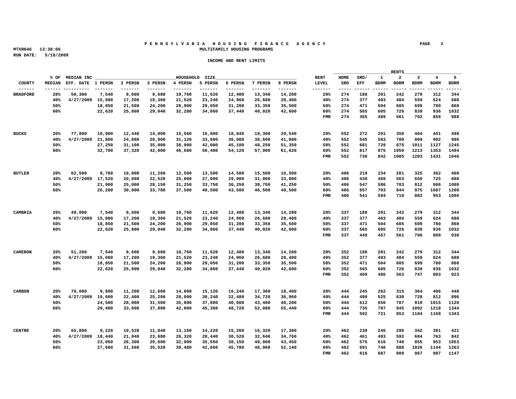#### **P E N N S Y L V A N I A H O U S I N G F I N A N C E A G E N C Y PAGE 2 MTXR046 13:38:06 MULTIFAMILY HOUSING PROGRAMS**

|                 |     |  |                                                         |                |        |                                                                                                                       |                                                                                  | the control of the control of the control of the control of the control of the control of |  |                                        |  |
|-----------------|-----|--|---------------------------------------------------------|----------------|--------|-----------------------------------------------------------------------------------------------------------------------|----------------------------------------------------------------------------------|-------------------------------------------------------------------------------------------|--|----------------------------------------|--|
|                 |     |  |                                                         | HOUSEHOLD SIZE |        | <u> 1980 - Johann Stoff, deutscher Stoff, der Stoff, der Stoff, der Stoff, der Stoff, der Stoff, der Stoff, der S</u> |                                                                                  |                                                                                           |  | RENT HOME SRO/ 1 2 3 4 5               |  |
|                 |     |  |                                                         |                |        |                                                                                                                       | MEDIAN EFF. DATE 1 PERSN 2 PERSN 3 PERSN 4 PERSN 5 PERSN 6 PERSN 7 PERSN 8 PERSN |                                                                                           |  | LEVEL SRO EFF BDRM BDRM BDRM BDRM BDRM |  |
|                 |     |  |                                                         |                |        |                                                                                                                       |                                                                                  |                                                                                           |  |                                        |  |
| <b>BRADFORD</b> |     |  |                                                         |                |        | 20% 50,300 7,540 8,600 9,680 10,760 11,620 12,480 13,340 14,200                                                       |                                                                                  |                                                                                           |  | 20% 274 188 201 242 279 312 344        |  |
|                 |     |  |                                                         |                |        | 40% 4/27/2009 15.080 17.200 19.360 21.520 23.240 24.960 26.680 28.400                                                 |                                                                                  |                                                                                           |  | 40% 274 377 403 484 559 624 688        |  |
|                 | 50% |  |                                                         |                |        | 18,850 21,500 24,200 26,900 29,050 31,200 33,350 35,500                                                               |                                                                                  |                                                                                           |  | 50% 274 471 504 605 699 780 860        |  |
|                 | 60% |  |                                                         |                |        | 22,620 25,800 29,040 32,280 34,860 37,440 40,020 42,600                                                               |                                                                                  |                                                                                           |  | 60% 274 565 605 726 839 936 1032       |  |
|                 |     |  |                                                         |                |        |                                                                                                                       |                                                                                  |                                                                                           |  | FMR 274 365 489 561 702 859 988        |  |
|                 |     |  |                                                         |                |        |                                                                                                                       |                                                                                  |                                                                                           |  |                                        |  |
|                 |     |  |                                                         |                |        |                                                                                                                       |                                                                                  |                                                                                           |  |                                        |  |
| BUCKS           |     |  |                                                         |                |        | 20% 77,800 10,900 12,440 14,000 15,560 16,800 18,040 19,300 20,540                                                    |                                                                                  |                                                                                           |  | 20% 552 272 291 350 404 451 498        |  |
|                 |     |  |                                                         |                |        | 40% 4/27/2009 21,800 24,880 28,000 31,120 33,600 36,080 38,600 41,080                                                 |                                                                                  |                                                                                           |  | 40% 552 545 583 700 809 902 996        |  |
|                 |     |  |                                                         |                |        |                                                                                                                       |                                                                                  |                                                                                           |  |                                        |  |
|                 | 50% |  |                                                         |                |        | 27,250 31,100 35,000 38,900 42,000 45,100 48,250 51,350                                                               |                                                                                  |                                                                                           |  | 50% 552 681 729 875 1011 1127 1245     |  |
|                 | 60% |  |                                                         |                |        | 32,700 37,320 42,000 46,680 50,400 54,120 57,900 61,620                                                               |                                                                                  |                                                                                           |  | 60% 552 817 875 1050 1213 1353 1494    |  |
|                 |     |  |                                                         |                |        |                                                                                                                       |                                                                                  |                                                                                           |  | FMR 552 736 842 1005 1203 1431 1646    |  |
|                 |     |  |                                                         |                |        |                                                                                                                       |                                                                                  |                                                                                           |  |                                        |  |
|                 |     |  |                                                         |                |        |                                                                                                                       |                                                                                  |                                                                                           |  |                                        |  |
| <b>BUTLER</b>   |     |  |                                                         |                |        | 20% 62,500 8,760 10,000 11,260 12,500 13,500 14,500 15,500                                                            | 16,500                                                                           |                                                                                           |  | 20% 406 219 234 281 325 362 400        |  |
|                 |     |  | 40% 4/27/2009 17.520 20.000 22.520 25.000 27.000        |                | 29,000 |                                                                                                                       | 31,000 33,000                                                                    |                                                                                           |  | 40% 406 438 469 563 650 725 800        |  |
|                 | 50% |  | 21,900 25,000 28,150 31,250 33,750 36,250               |                |        |                                                                                                                       | 38,750 41,250                                                                    |                                                                                           |  | 50% 406 547 586 703 812 906 1000       |  |
|                 | 60% |  |                                                         |                |        | 26,280 30,000 33,780 37,500 40,500 43,500 46,500 49,500                                                               |                                                                                  |                                                                                           |  | 60% 406 657 703 844 975 1087 1200      |  |
|                 |     |  |                                                         |                |        |                                                                                                                       |                                                                                  |                                                                                           |  | FMR 406 541 594 710 883 953 1096       |  |
|                 |     |  |                                                         |                |        |                                                                                                                       |                                                                                  |                                                                                           |  |                                        |  |
|                 |     |  |                                                         |                |        |                                                                                                                       |                                                                                  |                                                                                           |  |                                        |  |
| CAMBRIA         |     |  |                                                         |                |        | $20\%$ 49,000 7,540 8,600 9,680 10,760 11,620 12,480 13,340 14,200                                                    |                                                                                  |                                                                                           |  | 20% 337 188 201 242 279 312 344        |  |
|                 |     |  |                                                         |                |        | 40% 4/27/2009 15,080 17,200 19,360 21,520 23,240 24,960 26,680 28,400                                                 |                                                                                  |                                                                                           |  | 40% 337 377 403 484 559 624 688        |  |
|                 | 50% |  |                                                         |                |        | 18,850 21,500 24,200 26,900 29,050 31,200 33,350 35,500                                                               |                                                                                  |                                                                                           |  | 50% 337 471 504 605 699 780 860        |  |
|                 |     |  |                                                         |                |        |                                                                                                                       |                                                                                  |                                                                                           |  |                                        |  |
|                 | 60% |  |                                                         |                |        | 22,620 25,800 29,040 32,280 34,860 37,440 40,020 42,600                                                               |                                                                                  |                                                                                           |  | 60% 337 565 605 726 839 936 1032       |  |
|                 |     |  |                                                         |                |        |                                                                                                                       |                                                                                  |                                                                                           |  | FMR 337 449 457 561 706 809 930        |  |
|                 |     |  |                                                         |                |        |                                                                                                                       |                                                                                  |                                                                                           |  |                                        |  |
|                 |     |  |                                                         |                |        |                                                                                                                       |                                                                                  |                                                                                           |  |                                        |  |
| <b>CAMERON</b>  |     |  |                                                         |                |        | 20% 51,200 7,540 8,600 9,680 10,760 11,620 12,480 13,340 14,200                                                       |                                                                                  |                                                                                           |  | 20% 352 188 201 242 279 312 344        |  |
|                 |     |  |                                                         |                |        | 40% 4/27/2009 15,080 17,200 19,360 21,520 23,240 24,960 26,680 28,400                                                 |                                                                                  |                                                                                           |  | 40% 352 377 403 484 559 624 688        |  |
|                 | 50% |  |                                                         |                |        | 18,850 21,500 24,200 26,900 29,050 31,200 33,350 35,500                                                               |                                                                                  |                                                                                           |  | 50% 352 471 504 605 699 780 860        |  |
|                 | 60% |  |                                                         |                |        | 22,620 25,800 29,040 32,280 34,860 37,440 40,020 42,600                                                               |                                                                                  |                                                                                           |  | 60% 352 565 605 726 839 936 1032       |  |
|                 |     |  |                                                         |                |        |                                                                                                                       |                                                                                  |                                                                                           |  | FMR 352 469 486 563 747 803 923        |  |
|                 |     |  |                                                         |                |        |                                                                                                                       |                                                                                  |                                                                                           |  |                                        |  |
|                 |     |  |                                                         |                |        |                                                                                                                       |                                                                                  |                                                                                           |  |                                        |  |
| CARBON          |     |  |                                                         |                |        | $20\%$ 70,000 9,800 11,200 12,600 14,000 15,120 16,240 17,360 18,480                                                  |                                                                                  |                                                                                           |  | 20% 444 245 262 315 364 406 448        |  |
|                 |     |  |                                                         |                |        | 40% 4/27/2009 19,600 22,400 25,200 28,000 30,240 32,480 34,720 36,960                                                 |                                                                                  |                                                                                           |  | 40% 444 490 525 630 728 812 896        |  |
|                 | 50% |  |                                                         |                |        | 24,500 28,000 31,500 35,000 37,800 40,600 43,400 46,200                                                               |                                                                                  |                                                                                           |  | 50% 444 612 656 787 910 1015 1120      |  |
|                 | 60% |  |                                                         |                |        |                                                                                                                       |                                                                                  |                                                                                           |  |                                        |  |
|                 |     |  |                                                         |                |        | 29,400 33,600 37,800 42,000 45,360 48,720 52,080 55,440                                                               |                                                                                  |                                                                                           |  | 60% 444 735 787 945 1092 1218 1344     |  |
|                 |     |  |                                                         |                |        |                                                                                                                       |                                                                                  |                                                                                           |  | FMR 444 592 721 853 1104 1168 1343     |  |
|                 |     |  |                                                         |                |        |                                                                                                                       |                                                                                  |                                                                                           |  |                                        |  |
|                 |     |  |                                                         |                |        |                                                                                                                       |                                                                                  |                                                                                           |  |                                        |  |
| <b>CENTRE</b>   |     |  |                                                         |                |        | 20% 65,800 9,220 10,520 11,840 13,160 14,220 15,260 16,320 17,380                                                     |                                                                                  |                                                                                           |  | 20% 462 230 246 296 342 381 421        |  |
|                 |     |  | 40% 4/27/2009 18,440 21,040 23,680 26,320 28,440 30,520 |                |        |                                                                                                                       | 32,640 34,760                                                                    |                                                                                           |  | 40% 462 461 493 592 684 763 842        |  |
|                 | 50% |  |                                                         |                |        | 23,050  26,300  29,600  32,900  35,550  38,150  40,800  43,450                                                        |                                                                                  |                                                                                           |  | 50% 462 576 616 740 855 953 1053       |  |
|                 | 60% |  |                                                         |                |        | 27,660 31,560 35,520 39,480 42,660 45,780 48,960 52,140                                                               |                                                                                  |                                                                                           |  | 60% 462 691 740 888 1026 1144 1263     |  |
|                 |     |  |                                                         |                |        |                                                                                                                       |                                                                                  |                                                                                           |  | FMR 462 616 687 809 967 997 1147       |  |
|                 |     |  |                                                         |                |        |                                                                                                                       |                                                                                  |                                                                                           |  |                                        |  |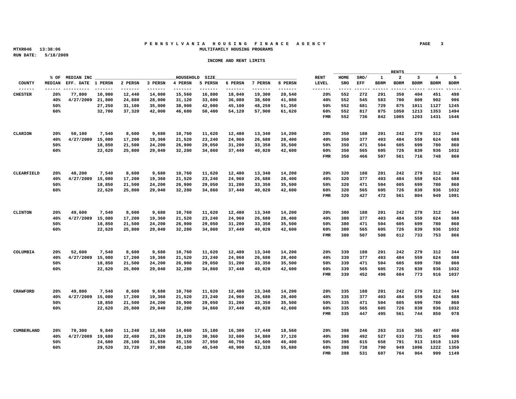#### **P E N N S Y L V A N I A H O U S I N G F I N A N C E A G E N C Y PAGE 3 MTXR046 13:38:06 MULTIFAMILY HOUSING PROGRAMS**

|                 |                                                                                  |                           |                                                                       |                |  |               | the control of the control of the control of the control of the control of the control of |  | RENTS | <u> 1989 - Johann John Stone, markin film yn y breninnas y breninnas y breninn y breninn y breninn y breninn y br</u> |  |
|-----------------|----------------------------------------------------------------------------------|---------------------------|-----------------------------------------------------------------------|----------------|--|---------------|-------------------------------------------------------------------------------------------|--|-------|-----------------------------------------------------------------------------------------------------------------------|--|
|                 |                                                                                  | % OF MEDIAN INC _________ |                                                                       | HOUSEHOLD SIZE |  |               |                                                                                           |  |       | RENT HOME SRO/ 1 2 3 4 5                                                                                              |  |
|                 | MEDIAN EFF. DATE 1 PERSN 2 PERSN 3 PERSN 4 PERSN 5 PERSN 6 PERSN 7 PERSN 8 PERSN |                           |                                                                       |                |  |               |                                                                                           |  |       | LEVEL SRO EFF BDRM BDRM BDRM BDRM BDRM                                                                                |  |
|                 |                                                                                  |                           |                                                                       |                |  |               |                                                                                           |  |       |                                                                                                                       |  |
|                 |                                                                                  |                           | 20% 77,800 10,900 12,440 14,000 15,560 16,800 18,040 19,300 20,540    |                |  |               |                                                                                           |  |       | 20% 552 272 291 350 404 451 498                                                                                       |  |
|                 |                                                                                  |                           | 40% 4/27/2009 21,800 24,880 28,000 31,120 33,600 36,080 38,600 41,080 |                |  |               |                                                                                           |  |       | 40% 552 545 583 700 809 902 996                                                                                       |  |
|                 | 50%                                                                              |                           | 27,250 31,100 35,000 38,900 42,000 45,100 48,250 51,350               |                |  |               |                                                                                           |  |       | 50% 552 681 729 875 1011 1127 1245                                                                                    |  |
|                 | 60%                                                                              |                           | 32,700 37,320 42,000 46,680 50,400 54,120 57,900 61,620               |                |  |               |                                                                                           |  |       | 60% 552 817 875 1050 1213 1353 1494                                                                                   |  |
|                 |                                                                                  |                           |                                                                       |                |  |               |                                                                                           |  |       | FMR 552 736 842 1005 1203 1431 1646                                                                                   |  |
|                 |                                                                                  |                           |                                                                       |                |  |               |                                                                                           |  |       |                                                                                                                       |  |
|                 |                                                                                  |                           |                                                                       |                |  |               |                                                                                           |  |       |                                                                                                                       |  |
| CLARION         |                                                                                  |                           | 20% 50,100 7,540 8,600 9,680 10,760 11,620 12,480 13,340 14,200       |                |  |               |                                                                                           |  |       | 20% 350 188 201 242 279 312 344                                                                                       |  |
|                 |                                                                                  |                           | 40% 4/27/2009 15,080 17,200 19,360 21,520 23,240 24,960 26,680 28,400 |                |  |               |                                                                                           |  |       | 40% 350 377 403 484 559 624 688                                                                                       |  |
|                 | 50%                                                                              |                           | 18,850 21,500 24,200 26,900 29,050 31,200 33,350 35,500               |                |  |               |                                                                                           |  |       | 50% 350 471 504 605 699 780 860                                                                                       |  |
|                 | 60%                                                                              |                           | 22,620 25,800 29,040 32,280 34,860 37,440 40,020 42,600               |                |  |               |                                                                                           |  |       | 60% 350 565 605 726 839 936 1032                                                                                      |  |
|                 |                                                                                  |                           |                                                                       |                |  |               |                                                                                           |  |       | FMR 350 466 507 561 716 748 860                                                                                       |  |
|                 |                                                                                  |                           |                                                                       |                |  |               |                                                                                           |  |       |                                                                                                                       |  |
|                 |                                                                                  |                           |                                                                       |                |  |               |                                                                                           |  |       |                                                                                                                       |  |
|                 |                                                                                  |                           |                                                                       |                |  |               |                                                                                           |  |       |                                                                                                                       |  |
| CLEARFIELD      |                                                                                  |                           | 20% 48,200 7,540 8,600 9,680 10,760 11,620 12,480 13,340 14,200       |                |  |               |                                                                                           |  |       | 20% 320 188 201 242 279 312 344                                                                                       |  |
|                 |                                                                                  |                           | 40% 4/27/2009 15,080 17,200 19,360 21,520 23,240 24,960               |                |  | 26.680 28.400 | 40% 320                                                                                   |  |       | 377 403 484 559 624 688                                                                                               |  |
|                 | 50%                                                                              |                           | 18,850 21,500 24,200 26,900 29,050 31,200 33,350 35,500               |                |  |               |                                                                                           |  |       | 50% 320 471 504 605 699 780 860                                                                                       |  |
|                 | 60%                                                                              |                           | 22,620 25,800 29,040 32,280 34,860 37,440 40,020 42,600               |                |  |               |                                                                                           |  |       | 60% 320 565 605 726 839 936 1032                                                                                      |  |
|                 |                                                                                  |                           |                                                                       |                |  |               |                                                                                           |  |       | FMR 320 427 472 561 804 949 1091                                                                                      |  |
|                 |                                                                                  |                           |                                                                       |                |  |               |                                                                                           |  |       |                                                                                                                       |  |
|                 |                                                                                  |                           |                                                                       |                |  |               |                                                                                           |  |       |                                                                                                                       |  |
| CLINTON         |                                                                                  |                           | $20\%$ 49,600 7,540 8,600 9,680 10,760 11,620 12,480 13,340 14,200    |                |  |               |                                                                                           |  |       | 20% 380 188 201 242 279 312 344                                                                                       |  |
|                 |                                                                                  |                           | 40% 4/27/2009 15,080 17,200 19,360 21,520 23,240 24,960 26,680 28,400 |                |  |               |                                                                                           |  |       | 40% 380 377 403 484 559 624 688                                                                                       |  |
|                 | 50%                                                                              |                           | 18,850 21,500 24,200 26,900 29,050 31,200 33,350 35,500               |                |  |               |                                                                                           |  |       | 50% 380 471 504 605 699 780 860                                                                                       |  |
|                 | 60%                                                                              |                           | 22,620 25,800 29,040 32,280 34,860 37,440 40,020 42,600               |                |  |               |                                                                                           |  |       | 60% 380 565 605 726 839 936 1032                                                                                      |  |
|                 |                                                                                  |                           |                                                                       |                |  |               |                                                                                           |  |       | FMR 380 507 508 612 733 753 866                                                                                       |  |
|                 |                                                                                  |                           |                                                                       |                |  |               |                                                                                           |  |       |                                                                                                                       |  |
|                 |                                                                                  |                           |                                                                       |                |  |               |                                                                                           |  |       |                                                                                                                       |  |
|                 |                                                                                  |                           | 20% 52,600 7,540 8,600 9,680 10,760 11,620 12,480 13,340 14,200       |                |  |               |                                                                                           |  |       | 20% 339 188 201 242 279 312 344                                                                                       |  |
|                 |                                                                                  |                           | 40% 4/27/2009 15,080 17,200 19,360 21,520 23,240 24,960 26,680 28,400 |                |  |               |                                                                                           |  |       | 40% 339 377 403 484 559 624 688                                                                                       |  |
|                 | 50%                                                                              |                           | 18,850 21,500 24,200 26,900 29,050 31,200 33,350 35,500               |                |  |               |                                                                                           |  |       | 50% 339 471 504 605 699 780 860                                                                                       |  |
|                 | 60%                                                                              |                           | 22,620 25,800 29,040 32,280 34,860 37,440 40,020 42,600               |                |  |               |                                                                                           |  |       | 60% 339 565 605 726 839 936 1032                                                                                      |  |
|                 |                                                                                  |                           |                                                                       |                |  |               |                                                                                           |  |       | FMR 339 452 496 604 773 916 1037                                                                                      |  |
|                 |                                                                                  |                           |                                                                       |                |  |               |                                                                                           |  |       |                                                                                                                       |  |
|                 |                                                                                  |                           |                                                                       |                |  |               |                                                                                           |  |       |                                                                                                                       |  |
| <b>CRAWEORD</b> |                                                                                  |                           | 20% 49,800 7,540 8,600 9,680 10,760 11,620 12,480 13,340 14,200       |                |  |               |                                                                                           |  |       | 20% 335 188 201 242 279 312 344                                                                                       |  |
|                 |                                                                                  |                           | 40% 4/27/2009 15,080 17,200 19,360 21,520 23,240 24,960 26,680 28,400 |                |  |               |                                                                                           |  |       | 40% 335 377 403 484 559 624 688                                                                                       |  |
|                 |                                                                                  |                           |                                                                       |                |  |               |                                                                                           |  |       |                                                                                                                       |  |
|                 | 50%                                                                              |                           | 18,850 21,500 24,200 26,900 29,050 31,200 33,350 35,500               |                |  |               |                                                                                           |  |       | 50% 335 471 504 605 699 780 860                                                                                       |  |
|                 | 60%                                                                              |                           | 22,620 25,800 29,040 32,280 34,860 37,440 40,020 42,600               |                |  |               |                                                                                           |  |       | 60% 335 565 605 726 839 936 1032                                                                                      |  |
|                 |                                                                                  |                           |                                                                       |                |  |               |                                                                                           |  |       | FMR 335 447 495 561 744 850 978                                                                                       |  |
|                 |                                                                                  |                           |                                                                       |                |  |               |                                                                                           |  |       |                                                                                                                       |  |
|                 |                                                                                  |                           |                                                                       |                |  |               |                                                                                           |  |       |                                                                                                                       |  |
|                 |                                                                                  |                           | 20% 70,300 9,840 11,240 12,660 14,060 15,180 16,300 17,440 18,560     |                |  |               |                                                                                           |  |       | 20% 398 246 263 316 365 407 450                                                                                       |  |
|                 |                                                                                  |                           | 40% 4/27/2009 19,680 22,480 25,320 28,120 30,360 32,600               |                |  | 34,880 37,120 |                                                                                           |  |       | 40% 398 492 527 633 731 815 900                                                                                       |  |
|                 | 50%                                                                              |                           | 24,600 28,100 31,650 35,150 37,950 40,750 43,600 46,400               |                |  |               |                                                                                           |  |       | 50% 398 615 658 791 913 1018 1125                                                                                     |  |
|                 | 60%                                                                              |                           | 29,520 33,720 37,980 42,180 45,540 48,900 52,320 55,680               |                |  |               |                                                                                           |  |       | 60% 398 738 790 949 1096 1222 1350                                                                                    |  |
|                 |                                                                                  |                           |                                                                       |                |  |               |                                                                                           |  |       | FMR 398 531 607 764 964 999 1149                                                                                      |  |
|                 |                                                                                  |                           |                                                                       |                |  |               |                                                                                           |  |       |                                                                                                                       |  |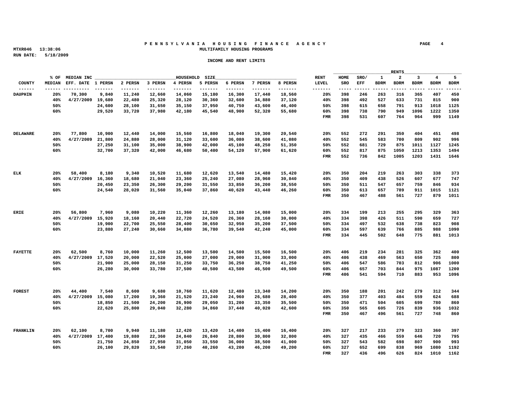#### **P E N N S Y L V A N I A H O U S I N G F I N A N C E A G E N C Y PAGE 4 MTXR046 13:38:06 MULTIFAMILY HOUSING PROGRAMS**

|                |                                                                                  |                         |                                                         |                |                                                                                                                       |               | the control of the control of the control of the control of the control of the control of | RENTS | <u> 1989 - Johann Harry Harry Harry Harry Harry Harry Harry Harry Harry Harry Harry Harry Harry Harry Harry Harry Harry Harry Harry Harry Harry Harry Harry Harry Harry Harry Harry Harry Harry Harry Harry Harry Harry Harry Ha</u> |
|----------------|----------------------------------------------------------------------------------|-------------------------|---------------------------------------------------------|----------------|-----------------------------------------------------------------------------------------------------------------------|---------------|-------------------------------------------------------------------------------------------|-------|--------------------------------------------------------------------------------------------------------------------------------------------------------------------------------------------------------------------------------------|
|                |                                                                                  | % OF MEDIAN INC _______ |                                                         | HOUSEHOLD SIZE | <u> 1980 - Johann Stoff, deutscher Stoff, der Stoff, der Stoff, der Stoff, der Stoff, der Stoff, der Stoff, der S</u> |               |                                                                                           |       | RENT HOME SRO/ 1 2 3 4 5                                                                                                                                                                                                             |
|                | MEDIAN EFF. DATE 1 PERSN 2 PERSN 3 PERSN 4 PERSN 5 PERSN 6 PERSN 7 PERSN 8 PERSN |                         |                                                         |                |                                                                                                                       |               |                                                                                           |       | LEVEL SRO EFF BDRM BDRM BDRM BDRM BDRM                                                                                                                                                                                               |
|                |                                                                                  |                         |                                                         |                |                                                                                                                       |               |                                                                                           |       |                                                                                                                                                                                                                                      |
| DAUPHIN        |                                                                                  |                         |                                                         |                | 20% 70,300 9,840 11,240 12,660 14,060 15,180 16,300 17,440 18,560                                                     |               |                                                                                           |       | 20% 398 246 263 316 365 407 450                                                                                                                                                                                                      |
|                |                                                                                  |                         |                                                         |                | 40% 4/27/2009 19,680 22,480 25,320 28,120 30,360 32,600 34,880 37,120                                                 |               |                                                                                           |       | 40% 398 492 527 633 731 815 900                                                                                                                                                                                                      |
|                | 50%                                                                              |                         |                                                         |                | 24,600 28,100 31,650 35,150 37,950 40,750 43,600 46,400                                                               |               |                                                                                           |       | 50% 398 615 658 791 913 1018 1125                                                                                                                                                                                                    |
|                | 60%                                                                              |                         |                                                         |                | 29,520 33,720 37,980 42,180 45,540 48,900 52,320 55,680                                                               |               |                                                                                           |       | 60% 398 738 790 949 1096 1222 1350                                                                                                                                                                                                   |
|                |                                                                                  |                         |                                                         |                |                                                                                                                       |               |                                                                                           |       | FMR 398 531 607 764 964 999 1149                                                                                                                                                                                                     |
|                |                                                                                  |                         |                                                         |                |                                                                                                                       |               |                                                                                           |       |                                                                                                                                                                                                                                      |
|                |                                                                                  |                         |                                                         |                |                                                                                                                       |               |                                                                                           |       |                                                                                                                                                                                                                                      |
| DELAWARE       |                                                                                  |                         |                                                         |                | 20% 77,800 10,900 12,440 14,000 15,560 16,800 18,040 19,300 20,540                                                    |               |                                                                                           |       | 20% 552 272 291 350 404 451 498                                                                                                                                                                                                      |
|                |                                                                                  |                         |                                                         |                | 40% 4/27/2009 21,800 24,880 28,000 31,120 33,600 36,080 38,600 41,080                                                 |               |                                                                                           |       | 40% 552 545 583 700 809 902 996                                                                                                                                                                                                      |
|                | 50%                                                                              |                         |                                                         |                | 27,250 31,100 35,000 38,900 42,000 45,100 48,250 51,350                                                               |               |                                                                                           |       | 50% 552 681 729 875 1011 1127 1245                                                                                                                                                                                                   |
|                |                                                                                  |                         |                                                         |                |                                                                                                                       |               |                                                                                           |       |                                                                                                                                                                                                                                      |
|                | 60%                                                                              |                         |                                                         |                | 32,700 37,320 42,000 46,680 50,400 54,120 57,900 61,620                                                               |               |                                                                                           |       | 60% 552 817 875 1050 1213 1353 1494                                                                                                                                                                                                  |
|                |                                                                                  |                         |                                                         |                |                                                                                                                       |               |                                                                                           |       | FMR 552 736 842 1005 1203 1431 1646                                                                                                                                                                                                  |
|                |                                                                                  |                         |                                                         |                |                                                                                                                       |               |                                                                                           |       |                                                                                                                                                                                                                                      |
|                |                                                                                  |                         |                                                         |                |                                                                                                                       |               |                                                                                           |       |                                                                                                                                                                                                                                      |
| <b>ELK</b>     |                                                                                  |                         |                                                         |                | 20% 58,400 8,180 9,340 10,520 11,680 12,620 13,540 14,480 15,420                                                      |               |                                                                                           |       | 20% 350 204 219 263 303 338 373                                                                                                                                                                                                      |
|                |                                                                                  |                         | 40% 4/27/2009 16.360 18.680 21.040 23.360 25.240 27.080 |                | 28,960                                                                                                                | 30.840        | 40% 350                                                                                   |       | 409 438 526 607 677 747                                                                                                                                                                                                              |
|                | 50%                                                                              |                         |                                                         |                | 20,450 23,350 26,300 29,200 31,550 33,850 36,200 38,550                                                               |               |                                                                                           |       | 50% 350 511 547 657 759 846 934                                                                                                                                                                                                      |
|                | 60%                                                                              |                         |                                                         |                | 24.540 28.020 31.560 35.040 37.860 40.620 43.440 46.260                                                               |               |                                                                                           |       | 60% 350 613 657 789 911 1015 1121                                                                                                                                                                                                    |
|                |                                                                                  |                         |                                                         |                |                                                                                                                       |               |                                                                                           |       | FMR 350 467 488 561 727 879 1011                                                                                                                                                                                                     |
|                |                                                                                  |                         |                                                         |                |                                                                                                                       |               |                                                                                           |       |                                                                                                                                                                                                                                      |
|                |                                                                                  |                         |                                                         |                |                                                                                                                       |               |                                                                                           |       |                                                                                                                                                                                                                                      |
| <b>ERIE</b>    |                                                                                  |                         |                                                         |                | 20% 56,800 7,960 9,080 10,220 11,360 12,260 13,180 14,080 15,000                                                      |               |                                                                                           |       | 20% 334 199 213 255 295 329 363                                                                                                                                                                                                      |
|                |                                                                                  |                         |                                                         |                | 40% 4/27/2009 15,920 18,160 20,440 22,720 24,520 26,360 28,160 30,000                                                 |               |                                                                                           |       | 40% 334 398 426 511 590 659 727                                                                                                                                                                                                      |
|                | 50%                                                                              |                         |                                                         |                | 19,900 22,700 25,550 28,400 30,650 32,950 35,200 37,500                                                               |               |                                                                                           |       | 50% 334 497 532 638 738 823 908                                                                                                                                                                                                      |
|                | 60%                                                                              |                         |                                                         |                | 23,880 27,240 30,660 34,080 36,780 39,540 42,240 45,000                                                               |               |                                                                                           |       | 60% 334 597 639 766 885 988 1090                                                                                                                                                                                                     |
|                |                                                                                  |                         |                                                         |                |                                                                                                                       |               |                                                                                           |       |                                                                                                                                                                                                                                      |
|                |                                                                                  |                         |                                                         |                |                                                                                                                       |               |                                                                                           |       | FMR 334 445 502 648 775 881 1013                                                                                                                                                                                                     |
|                |                                                                                  |                         |                                                         |                |                                                                                                                       |               |                                                                                           |       |                                                                                                                                                                                                                                      |
|                |                                                                                  |                         |                                                         |                |                                                                                                                       |               |                                                                                           |       |                                                                                                                                                                                                                                      |
| <b>FAYETTE</b> |                                                                                  |                         |                                                         |                | 20% 62,500 8,760 10,000 11,260 12,500 13,500 14,500 15,500 16,500                                                     |               |                                                                                           |       | 20% 406 219 234 281 325 362 400                                                                                                                                                                                                      |
|                |                                                                                  |                         |                                                         |                | 40% 4/27/2009 17,520 20,000 22,520 25,000 27,000 29,000 31,000 33,000                                                 |               |                                                                                           |       | 40% 406 438 469 563 650 725 800                                                                                                                                                                                                      |
|                | 50%                                                                              |                         |                                                         |                | 21,900 25,000 28,150 31,250 33,750 36,250 38,750 41,250                                                               |               |                                                                                           |       | 50% 406 547 586 703 812 906 1000                                                                                                                                                                                                     |
|                | 60%                                                                              |                         |                                                         |                | 26,280 30,000 33,780 37,500 40,500 43,500 46,500 49,500                                                               |               |                                                                                           |       | 60% 406 657 703 844 975 1087 1200                                                                                                                                                                                                    |
|                |                                                                                  |                         |                                                         |                |                                                                                                                       |               |                                                                                           |       | FMR 406 541 594 710 883 953 1096                                                                                                                                                                                                     |
|                |                                                                                  |                         |                                                         |                |                                                                                                                       |               |                                                                                           |       |                                                                                                                                                                                                                                      |
|                |                                                                                  |                         |                                                         |                |                                                                                                                       |               |                                                                                           |       |                                                                                                                                                                                                                                      |
| FOREST         |                                                                                  |                         |                                                         |                | $20\%$ 44,400 7,540 8,600 9,680 10,760 11,620 12,480 13,340 14,200                                                    |               |                                                                                           |       | 20% 350 188 201 242 279 312 344                                                                                                                                                                                                      |
|                |                                                                                  |                         |                                                         |                | 40% 4/27/2009 15,080 17,200 19,360 21,520 23,240 24,960 26,680 28,400                                                 |               |                                                                                           |       | 40% 350 377 403 484 559 624 688                                                                                                                                                                                                      |
|                | 50%                                                                              |                         |                                                         |                | 18,850 21,500 24,200 26,900 29,050 31,200 33,350 35,500                                                               |               |                                                                                           |       | 50% 350 471 504 605 699 780 860                                                                                                                                                                                                      |
|                | 60%                                                                              |                         |                                                         |                | 22,620 25,800 29,040 32,280 34,860 37,440 40,020 42,600                                                               |               |                                                                                           |       | 60% 350 565 605 726 839 936 1032                                                                                                                                                                                                     |
|                |                                                                                  |                         |                                                         |                |                                                                                                                       |               |                                                                                           |       | FMR 350 467 496 561 727 748 860                                                                                                                                                                                                      |
|                |                                                                                  |                         |                                                         |                |                                                                                                                       |               |                                                                                           |       |                                                                                                                                                                                                                                      |
|                |                                                                                  |                         |                                                         |                |                                                                                                                       |               |                                                                                           |       |                                                                                                                                                                                                                                      |
|                |                                                                                  |                         |                                                         |                |                                                                                                                       |               |                                                                                           |       |                                                                                                                                                                                                                                      |
| FRANKLIN       |                                                                                  |                         |                                                         |                | 20% 62,100 8,700 9,940 11,180 12,420 13,420 14,400 15,400 16,400                                                      |               | 20% 327                                                                                   |       | 217 233 279 323 360 397                                                                                                                                                                                                              |
|                |                                                                                  |                         | 40% 4/27/2009 17,400 19,880 22,360 24,840 26,840 28,800 |                |                                                                                                                       | 30,800 32,800 | 40% 327                                                                                   |       | 435 466 559 646 720 795                                                                                                                                                                                                              |
|                | 50%                                                                              |                         |                                                         |                | 21,750  24,850  27,950  31,050  33,550  36,000  38,500  41,000                                                        |               |                                                                                           |       | 50% 327 543 582 698 807 900 993                                                                                                                                                                                                      |
|                | 60%                                                                              |                         |                                                         |                | 26,100 29,820 33,540 37,260 40,260 43,200 46,200 49,200                                                               |               |                                                                                           |       | 60% 327 652 699 838 969 1080 1192                                                                                                                                                                                                    |
|                |                                                                                  |                         |                                                         |                |                                                                                                                       |               |                                                                                           |       | FMR 327 436 496 626 824 1010 1162                                                                                                                                                                                                    |
|                |                                                                                  |                         |                                                         |                |                                                                                                                       |               |                                                                                           |       |                                                                                                                                                                                                                                      |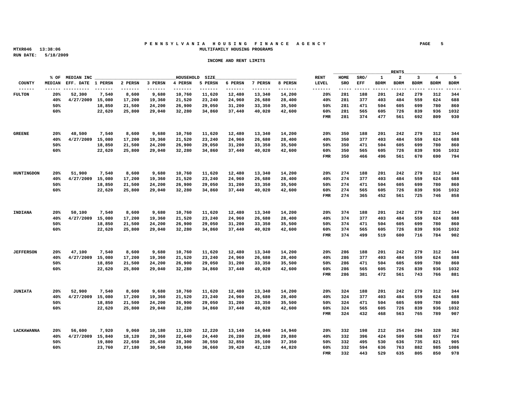#### **P E N N S Y L V A N I A H O U S I N G F I N A N C E A G E N C Y PAGE 5 MTXR046 13:38:06 MULTIFAMILY HOUSING PROGRAMS**

|                    |     |                                                                                  |                                                         |                |  |               | the control of the control of the control of the control of the control of the control of |  |                                        |
|--------------------|-----|----------------------------------------------------------------------------------|---------------------------------------------------------|----------------|--|---------------|-------------------------------------------------------------------------------------------|--|----------------------------------------|
|                    |     |                                                                                  |                                                         | HOUSEHOLD SIZE |  |               |                                                                                           |  | RENT HOME SRO/ 1 2 3 4 5               |
|                    |     | MEDIAN EFF. DATE 1 PERSN 2 PERSN 3 PERSN 4 PERSN 5 PERSN 6 PERSN 7 PERSN 8 PERSN |                                                         |                |  |               |                                                                                           |  | LEVEL SRO EFF BDRM BDRM BDRM BDRM BDRM |
|                    |     |                                                                                  |                                                         |                |  |               |                                                                                           |  |                                        |
| FULTON             |     | 20% 52,300 7,540 8,600 9,680 10,760 11,620 12,480 13,340 14,200                  |                                                         |                |  |               |                                                                                           |  | 20% 281 188 201 242 279 312 344        |
|                    |     | 40% 4/27/2009 15,080 17,200 19,360 21,520 23,240 24,960 26,680 28,400            |                                                         |                |  |               |                                                                                           |  | 40% 281 377 403 484 559 624 688        |
|                    | 50% |                                                                                  | 18,850 21,500 24,200 26,900 29,050 31,200 33,350 35,500 |                |  |               |                                                                                           |  | 50% 281 471 504 605 699 780 860        |
|                    | 60% |                                                                                  | 22,620 25,800 29,040 32,280 34,860 37,440 40,020 42,600 |                |  |               |                                                                                           |  | 60% 281 565 605 726 839 936 1032       |
|                    |     |                                                                                  |                                                         |                |  |               |                                                                                           |  | FMR 281 374 477 561 692 809 930        |
|                    |     |                                                                                  |                                                         |                |  |               |                                                                                           |  |                                        |
|                    |     |                                                                                  |                                                         |                |  |               |                                                                                           |  |                                        |
|                    |     | 20% 48,500 7,540 8,600 9,680 10,760 11,620 12,480 13,340 14,200                  |                                                         |                |  |               |                                                                                           |  | 20% 350 188 201 242 279 312 344        |
|                    |     |                                                                                  |                                                         |                |  |               |                                                                                           |  | 40% 350 377 403 484 559 624 688        |
|                    |     | 40% 4/27/2009 15,080 17,200 19,360 21,520 23,240 24,960 26,680 28,400            |                                                         |                |  |               |                                                                                           |  |                                        |
|                    | 50% |                                                                                  | 18,850 21,500 24,200 26,900 29,050 31,200 33,350 35,500 |                |  |               |                                                                                           |  | 50% 350 471 504 605 699 780 860        |
|                    | 60% |                                                                                  | 22,620 25,800 29,040 32,280 34,860 37,440 40,020 42,600 |                |  |               |                                                                                           |  | 60% 350 565 605 726 839 936 1032       |
|                    |     |                                                                                  |                                                         |                |  |               |                                                                                           |  | FMR 350 466 496 561 670 690 794        |
|                    |     |                                                                                  |                                                         |                |  |               |                                                                                           |  |                                        |
|                    |     |                                                                                  |                                                         |                |  |               |                                                                                           |  |                                        |
|                    |     | HUNTINGDON 20% 51.900 7,540 8,600 9,680 10,760 11,620 12,480 13,340 14,200       |                                                         |                |  |               |                                                                                           |  | 20% 274 188 201 242 279 312 344        |
|                    |     | 40% 4/27/2009 15,080 17,200 19,360 21,520 23,240 24,960                          |                                                         |                |  | 26.680 28.400 |                                                                                           |  | 40% 274 377 403 484 559 624 688        |
|                    | 50% |                                                                                  | 18,850 21,500 24,200 26,900 29,050 31,200 33,350 35,500 |                |  |               |                                                                                           |  | 50% 274 471 504 605 699 780 860        |
|                    | 60% |                                                                                  | 22,620 25,800 29,040 32,280 34,860 37,440 40,020 42,600 |                |  |               |                                                                                           |  | 60% 274 565 605 726 839 936 1032       |
|                    |     |                                                                                  |                                                         |                |  |               |                                                                                           |  | FMR 274 365 452 561 725 746 858        |
|                    |     |                                                                                  |                                                         |                |  |               |                                                                                           |  |                                        |
|                    |     |                                                                                  |                                                         |                |  |               |                                                                                           |  |                                        |
| INDIANA            |     | $20\%$ 50,100 7,540 8,600 9,680 10,760 11,620 12,480 13,340 14,200               |                                                         |                |  |               |                                                                                           |  | 20% 374 188 201 242 279 312 344        |
|                    |     | 40% 4/27/2009 15,080 17,200 19,360 21,520 23,240 24,960 26,680 28,400            |                                                         |                |  |               |                                                                                           |  | 40% 374 377 403 484 559 624 688        |
|                    |     |                                                                                  |                                                         |                |  |               |                                                                                           |  |                                        |
|                    | 50% |                                                                                  | 18,850 21,500 24,200 26,900 29,050 31,200 33,350 35,500 |                |  |               |                                                                                           |  | 50% 374 471 504 605 699 780 860        |
|                    | 60% |                                                                                  | 22,620 25,800 29,040 32,280 34,860 37,440 40,020 42,600 |                |  |               |                                                                                           |  | 60% 374 565 605 726 839 936 1032       |
|                    |     |                                                                                  |                                                         |                |  |               |                                                                                           |  | FMR 374 499 519 600 716 784 902        |
|                    |     |                                                                                  |                                                         |                |  |               |                                                                                           |  |                                        |
|                    |     |                                                                                  |                                                         |                |  |               |                                                                                           |  |                                        |
|                    |     | 20% 47,100 7,540 8,600 9,680 10,760 11,620 12,480 13,340 14,200                  |                                                         |                |  |               |                                                                                           |  | 20% 286 188 201 242 279 312 344        |
|                    |     | 40% 4/27/2009 15,080 17,200 19,360 21,520 23,240 24,960 26,680 28,400            |                                                         |                |  |               |                                                                                           |  | 40% 286 377 403 484 559 624 688        |
|                    | 50% |                                                                                  | 18,850 21,500 24,200 26,900 29,050 31,200 33,350 35,500 |                |  |               |                                                                                           |  | 50% 286 471 504 605 699 780 860        |
|                    | 60% |                                                                                  | 22,620 25,800 29,040 32,280 34,860 37,440 40,020 42,600 |                |  |               |                                                                                           |  | 60% 286 565 605 726 839 936 1032       |
|                    |     |                                                                                  |                                                         |                |  |               |                                                                                           |  | FMR 286 381 472 561 743 766 881        |
|                    |     |                                                                                  |                                                         |                |  |               |                                                                                           |  |                                        |
|                    |     |                                                                                  |                                                         |                |  |               |                                                                                           |  |                                        |
| JUNIATA            |     | 20% 52,900 7,540 8,600 9,680 10,760 11,620 12,480 13,340 14,200                  |                                                         |                |  |               |                                                                                           |  | 20% 324 188 201 242 279 312 344        |
|                    |     | 40% 4/27/2009 15,080 17,200 19,360 21,520 23,240 24,960 26,680 28,400            |                                                         |                |  |               |                                                                                           |  | 40% 324 377 403 484 559 624 688        |
|                    |     |                                                                                  |                                                         |                |  |               |                                                                                           |  |                                        |
|                    | 50% |                                                                                  | 18,850 21,500 24,200 26,900 29,050 31,200 33,350 35,500 |                |  |               |                                                                                           |  | 50% 324 471 504 605 699 780 860        |
|                    | 60% |                                                                                  | 22,620 25,800 29,040 32,280 34,860 37,440 40,020 42,600 |                |  |               |                                                                                           |  | 60% 324 565 605 726 839 936 1032       |
|                    |     |                                                                                  |                                                         |                |  |               |                                                                                           |  | FMR 324 432 468 563 765 789 907        |
|                    |     |                                                                                  |                                                         |                |  |               |                                                                                           |  |                                        |
|                    |     |                                                                                  |                                                         |                |  |               |                                                                                           |  |                                        |
| <b>T.ACKAWANNA</b> |     | 20% 56,600 7,920 9,060 10,180 11,320 12,220 13,140 14,040 14,940                 |                                                         |                |  |               |                                                                                           |  | 20% 332 198 212 254 294 328 362        |
|                    |     | 40% 4/27/2009 15,840 18,120 20,360 22,640 24,440 26,280                          |                                                         |                |  | 28,080 29,880 |                                                                                           |  | 40% 332 396 424 509 588 657 724        |
|                    | 50% |                                                                                  | 19,800 22,650 25,450 28,300 30,550 32,850 35,100 37,350 |                |  |               |                                                                                           |  | 50% 332 495 530 636 735 821 905        |
|                    | 60% |                                                                                  | 23,760 27,180 30,540 33,960 36,660 39,420 42,120 44,820 |                |  |               |                                                                                           |  | 60% 332 594 636 763 882 985 1086       |
|                    |     |                                                                                  |                                                         |                |  |               |                                                                                           |  | FMR 332 443 529 635 805 850 978        |
|                    |     |                                                                                  |                                                         |                |  |               |                                                                                           |  |                                        |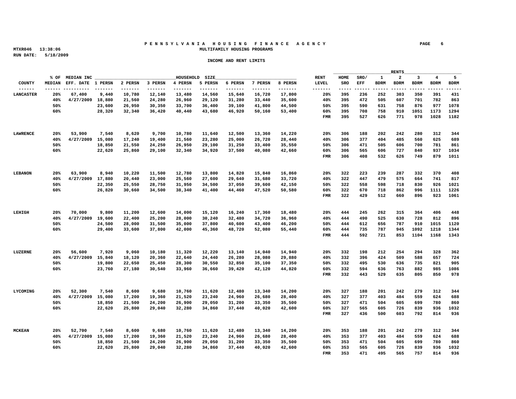#### **P E N N S Y L V A N I A H O U S I N G F I N A N C E A G E N C Y PAGE 6 MTXR046 13:38:06 MULTIFAMILY HOUSING PROGRAMS**

|                  |                                                                                  |                                                                       |  |  |                |                                                                |               | the control of the control of the control of the control of the control of the control of |  | RENTS | <u> 1989 - Johann Harry Harry Harry Harry Harry Harry Harry Harry Harry Harry Harry Harry Harry Harry Harry Harry Harry Harry Harry Harry Harry Harry Harry Harry Harry Harry Harry Harry Harry Harry Harry Harry Harry Harry Ha</u> |  |
|------------------|----------------------------------------------------------------------------------|-----------------------------------------------------------------------|--|--|----------------|----------------------------------------------------------------|---------------|-------------------------------------------------------------------------------------------|--|-------|--------------------------------------------------------------------------------------------------------------------------------------------------------------------------------------------------------------------------------------|--|
|                  |                                                                                  | % OF MEDIAN INC ________                                              |  |  | HOUSEHOLD SIZE |                                                                |               |                                                                                           |  |       | RENT HOME SRO/ 1 2 3 4 5                                                                                                                                                                                                             |  |
|                  | MEDIAN EFF. DATE 1 PERSN 2 PERSN 3 PERSN 4 PERSN 5 PERSN 6 PERSN 7 PERSN 8 PERSN |                                                                       |  |  |                |                                                                |               |                                                                                           |  |       | LEVEL SRO EFF BDRM BDRM BDRM BDRM BDRM                                                                                                                                                                                               |  |
|                  |                                                                                  |                                                                       |  |  |                |                                                                |               |                                                                                           |  |       |                                                                                                                                                                                                                                      |  |
| <b>LANCASTER</b> |                                                                                  | 20% 67,400 9,440 10,780 12,140 13,480 14,560 15,640 16,720 17,800     |  |  |                |                                                                |               |                                                                                           |  |       | 20% 395 236 252 303 350 391 431                                                                                                                                                                                                      |  |
|                  |                                                                                  | 40% 4/27/2009 18,880 21,560 24,280 26,960 29,120 31,280               |  |  |                |                                                                | 33,440 35,600 |                                                                                           |  |       | 40% 395 472 505 607 701 782 863                                                                                                                                                                                                      |  |
|                  | 50%                                                                              |                                                                       |  |  |                | 23,600  26,950  30,350  33,700  36,400  39,100  41,800  44,500 |               |                                                                                           |  |       | 50% 395 590 631 758 876 977 1078                                                                                                                                                                                                     |  |
|                  | 60%                                                                              |                                                                       |  |  |                | 28,320 32,340 36,420 40,440 43,680 46,920 50,160 53,400        |               |                                                                                           |  |       | 60% 395 708 758 910 1051 1173 1294                                                                                                                                                                                                   |  |
|                  |                                                                                  |                                                                       |  |  |                |                                                                |               |                                                                                           |  |       | FMR 395 527 626 771 978 1028 1182                                                                                                                                                                                                    |  |
|                  |                                                                                  |                                                                       |  |  |                |                                                                |               |                                                                                           |  |       |                                                                                                                                                                                                                                      |  |
|                  |                                                                                  |                                                                       |  |  |                |                                                                |               |                                                                                           |  |       |                                                                                                                                                                                                                                      |  |
| <b>LAWRENCE</b>  |                                                                                  | 20% 53,900 7,540 8,620 9,700 10,780 11,640 12,500 13,360 14,220       |  |  |                |                                                                |               |                                                                                           |  |       | 20% 306 188 202 242 280 312 344                                                                                                                                                                                                      |  |
|                  |                                                                                  | 40% 4/27/2009 15,080 17,240 19,400 21,560 23,280 25,000 26,720 28,440 |  |  |                |                                                                |               |                                                                                           |  |       | 40% 306 377 404 485 560 625 689                                                                                                                                                                                                      |  |
|                  | 50%                                                                              |                                                                       |  |  |                | 18,850 21,550 24,250 26,950 29,100 31,250 33,400 35,550        |               |                                                                                           |  |       | 50% 306 471 505 606 700 781 861                                                                                                                                                                                                      |  |
|                  | 60%                                                                              |                                                                       |  |  |                | 22,620 25,860 29,100 32,340 34,920 37,500 40,080 42,660        |               |                                                                                           |  |       | 60% 306 565 606 727 840 937 1034                                                                                                                                                                                                     |  |
|                  |                                                                                  |                                                                       |  |  |                |                                                                |               |                                                                                           |  |       | FMR 306 408 532 626 749 879 1011                                                                                                                                                                                                     |  |
|                  |                                                                                  |                                                                       |  |  |                |                                                                |               |                                                                                           |  |       |                                                                                                                                                                                                                                      |  |
|                  |                                                                                  |                                                                       |  |  |                |                                                                |               |                                                                                           |  |       |                                                                                                                                                                                                                                      |  |
|                  |                                                                                  |                                                                       |  |  |                |                                                                |               |                                                                                           |  |       |                                                                                                                                                                                                                                      |  |
| <b>LEBANON</b>   |                                                                                  | $20\%$ 63,900 8,940 10,220 11,500 12,780 13,800 14,820 15,840 16,860  |  |  |                |                                                                |               |                                                                                           |  |       | 20% 322 223 239 287 332 370 408                                                                                                                                                                                                      |  |
|                  |                                                                                  | 40% 4/27/2009 17.880 20.440 23.000 25.560 27.600 29.640               |  |  |                |                                                                | 31,680 33.720 | 40% 322                                                                                   |  |       | 447 479 575 664 741 817                                                                                                                                                                                                              |  |
|                  | 50%                                                                              |                                                                       |  |  |                | 22,350 25,550 28,750 31,950 34,500 37,050 39,600 42,150        |               |                                                                                           |  |       | 50% 322 558 598 718 830 926 1021                                                                                                                                                                                                     |  |
|                  | 60%                                                                              |                                                                       |  |  |                | 26,820 30,660 34,500 38,340 41,400 44,460 47,520 50,580        |               |                                                                                           |  |       | 60% 322 670 718 862 996 1111 1226                                                                                                                                                                                                    |  |
|                  |                                                                                  |                                                                       |  |  |                |                                                                |               |                                                                                           |  |       | FMR 322 429 512 660 896 923 1061                                                                                                                                                                                                     |  |
|                  |                                                                                  |                                                                       |  |  |                |                                                                |               |                                                                                           |  |       |                                                                                                                                                                                                                                      |  |
|                  |                                                                                  |                                                                       |  |  |                |                                                                |               |                                                                                           |  |       |                                                                                                                                                                                                                                      |  |
| LEHIGH           |                                                                                  | $20\%$ 70,000 9,800 11,200 12,600 14,000 15,120 16,240 17,360 18,480  |  |  |                |                                                                |               |                                                                                           |  |       | 20% 444 245 262 315 364 406 448                                                                                                                                                                                                      |  |
|                  |                                                                                  | 40% 4/27/2009 19,600 22,400 25,200 28,000 30,240 32,480 34,720 36,960 |  |  |                |                                                                |               |                                                                                           |  |       | 40% 444 490 525 630 728 812 896                                                                                                                                                                                                      |  |
|                  | 50%                                                                              |                                                                       |  |  |                | 24,500 28,000 31,500 35,000 37,800 40,600 43,400 46,200        |               |                                                                                           |  |       | 50% 444 612 656 787 910 1015 1120                                                                                                                                                                                                    |  |
|                  | 60%                                                                              |                                                                       |  |  |                | 29,400 33,600 37,800 42,000 45,360 48,720 52,080 55,440        |               |                                                                                           |  |       | 60% 444 735 787 945 1092 1218 1344                                                                                                                                                                                                   |  |
|                  |                                                                                  |                                                                       |  |  |                |                                                                |               |                                                                                           |  |       | FMR 444 592 721 853 1104 1168 1343                                                                                                                                                                                                   |  |
|                  |                                                                                  |                                                                       |  |  |                |                                                                |               |                                                                                           |  |       |                                                                                                                                                                                                                                      |  |
|                  |                                                                                  |                                                                       |  |  |                |                                                                |               |                                                                                           |  |       |                                                                                                                                                                                                                                      |  |
|                  |                                                                                  | 20% 56,600 7,920 9,060 10,180 11,320 12,220 13,140 14,040 14,940      |  |  |                |                                                                |               |                                                                                           |  |       | 20% 332 198 212 254 294 328 362                                                                                                                                                                                                      |  |
|                  |                                                                                  | 40% 4/27/2009 15,840 18,120 20,360 22,640 24,440 26,280 28,080 29,880 |  |  |                |                                                                |               |                                                                                           |  |       | 40% 332 396 424 509 588 657 724                                                                                                                                                                                                      |  |
|                  | 50%                                                                              |                                                                       |  |  |                | 19,800 22,650 25,450 28,300 30,550 32,850 35,100 37,350        |               |                                                                                           |  |       | 50% 332 495 530 636 735 821 905                                                                                                                                                                                                      |  |
|                  | 60%                                                                              |                                                                       |  |  |                | 23,760 27,180 30,540 33,960 36,660 39,420 42,120 44,820        |               |                                                                                           |  |       | 60% 332 594 636 763 882 985 1086                                                                                                                                                                                                     |  |
|                  |                                                                                  |                                                                       |  |  |                |                                                                |               |                                                                                           |  |       | FMR 332 443 529 635 805 850 978                                                                                                                                                                                                      |  |
|                  |                                                                                  |                                                                       |  |  |                |                                                                |               |                                                                                           |  |       |                                                                                                                                                                                                                                      |  |
|                  |                                                                                  |                                                                       |  |  |                |                                                                |               |                                                                                           |  |       |                                                                                                                                                                                                                                      |  |
| LYCOMING         |                                                                                  | 20% 52,300 7,540 8,600 9,680 10,760 11,620 12,480 13,340 14,200       |  |  |                |                                                                |               |                                                                                           |  |       | 20% 327 188 201 242 279 312 344                                                                                                                                                                                                      |  |
|                  |                                                                                  | 40% 4/27/2009 15,080 17,200 19,360 21,520 23,240 24,960 26,680 28,400 |  |  |                |                                                                |               |                                                                                           |  |       | 40% 327 377 403 484 559 624 688                                                                                                                                                                                                      |  |
|                  |                                                                                  |                                                                       |  |  |                |                                                                |               |                                                                                           |  |       |                                                                                                                                                                                                                                      |  |
|                  | 50%                                                                              |                                                                       |  |  |                | 18,850 21,500 24,200 26,900 29,050 31,200 33,350 35,500        |               |                                                                                           |  |       | 50% 327 471 504 605 699 780 860                                                                                                                                                                                                      |  |
|                  | 60%                                                                              |                                                                       |  |  |                | 22,620 25,800 29,040 32,280 34,860 37,440 40,020 42,600        |               |                                                                                           |  |       | 60% 327 565 605 726 839 936 1032                                                                                                                                                                                                     |  |
|                  |                                                                                  |                                                                       |  |  |                |                                                                |               |                                                                                           |  |       | FMR 327 436 500 603 792 814 936                                                                                                                                                                                                      |  |
|                  |                                                                                  |                                                                       |  |  |                |                                                                |               |                                                                                           |  |       |                                                                                                                                                                                                                                      |  |
|                  |                                                                                  |                                                                       |  |  |                |                                                                |               |                                                                                           |  |       |                                                                                                                                                                                                                                      |  |
| <b>MCKEAN</b>    |                                                                                  | 20% 52,700 7,540 8,600 9,680 10,760 11,620 12,480 13,340 14,200       |  |  |                |                                                                |               |                                                                                           |  |       | 20% 353 188 201 242 279 312 344                                                                                                                                                                                                      |  |
|                  |                                                                                  | 40% 4/27/2009 15,080 17,200 19,360 21,520 23,240 24,960               |  |  |                |                                                                | 26,680 28,400 |                                                                                           |  |       | 40% 353 377 403 484 559 624 688                                                                                                                                                                                                      |  |
|                  | 50%                                                                              |                                                                       |  |  |                | 18,850 21,500 24,200 26,900 29,050 31,200 33,350 35,500        |               |                                                                                           |  |       | 50% 353 471 504 605 699 780 860                                                                                                                                                                                                      |  |
|                  | 60%                                                                              |                                                                       |  |  |                | 22,620 25,800 29,040 32,280 34,860 37,440 40,020 42,600        |               |                                                                                           |  |       | 60% 353 565 605 726 839 936 1032                                                                                                                                                                                                     |  |
|                  |                                                                                  |                                                                       |  |  |                |                                                                |               |                                                                                           |  |       | FMR 353 471 495 565 757 814 936                                                                                                                                                                                                      |  |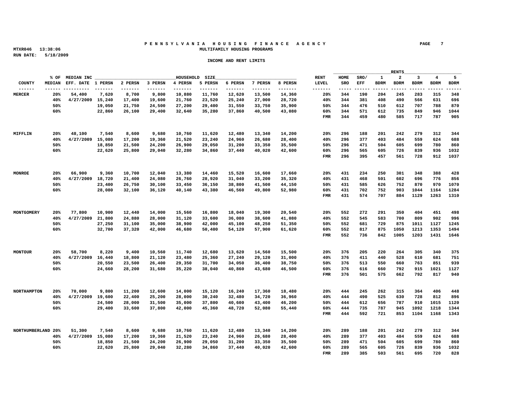#### **P E N N S Y L V A N I A H O U S I N G F I N A N C E A G E N C Y PAGE 7 MTXR046 13:38:06 MULTIFAMILY HOUSING PROGRAMS**

|                           |                                                                                  |                             |  |  |                                                         |                                                                       |                                                                       | the control of the control of the control of the control of the control of the control of |  | RENTS | <u> 1989 - Johann Harry Harry Harry Harry Harry Harry Harry Harry Harry Harry Harry Harry Harry Harry Harry Harry Harry Harry Harry Harry Harry Harry Harry Harry Harry Harry Harry Harry Harry Harry Harry Harry Harry Harry Ha</u> |  |
|---------------------------|----------------------------------------------------------------------------------|-----------------------------|--|--|---------------------------------------------------------|-----------------------------------------------------------------------|-----------------------------------------------------------------------|-------------------------------------------------------------------------------------------|--|-------|--------------------------------------------------------------------------------------------------------------------------------------------------------------------------------------------------------------------------------------|--|
|                           |                                                                                  | % OF MEDIAN INC ________    |  |  | HOUSEHOLD SIZE                                          |                                                                       |                                                                       |                                                                                           |  |       | RENT HOME SRO/ 1 2 3 4 5                                                                                                                                                                                                             |  |
|                           | MEDIAN EFF. DATE 1 PERSN 2 PERSN 3 PERSN 4 PERSN 5 PERSN 6 PERSN 7 PERSN 8 PERSN |                             |  |  |                                                         |                                                                       |                                                                       |                                                                                           |  |       | LEVEL SRO EFF BDRM BDRM BDRM BDRM BDRM                                                                                                                                                                                               |  |
|                           |                                                                                  |                             |  |  |                                                         |                                                                       |                                                                       |                                                                                           |  |       |                                                                                                                                                                                                                                      |  |
| <b>MERCER</b>             |                                                                                  |                             |  |  |                                                         | 20% 54,400 7,620 8,700 9,800 10,880 11,760 12,620 13,500 14,360       |                                                                       |                                                                                           |  |       | 20% 344 190 204 245 283 315 348                                                                                                                                                                                                      |  |
|                           |                                                                                  |                             |  |  |                                                         | 40% 4/27/2009 15.240 17.400 19.600 21.760 23.520 25.240 27.000        | 28,720                                                                |                                                                                           |  |       | 40% 344 381 408 490 566 631 696                                                                                                                                                                                                      |  |
|                           | 50%                                                                              |                             |  |  |                                                         | 19,050 21,750 24,500 27,200 29,400 31,550 33,750 35,900               |                                                                       |                                                                                           |  |       | 50% 344 476 510 612 707 788 870                                                                                                                                                                                                      |  |
|                           | 60%                                                                              |                             |  |  |                                                         | 22,860 26,100 29,400 32,640 35,280 37,860 40,500 43,080               |                                                                       |                                                                                           |  |       | 60% 344 571 612 735 849 946 1044                                                                                                                                                                                                     |  |
|                           |                                                                                  |                             |  |  |                                                         |                                                                       |                                                                       |                                                                                           |  |       | FMR 344 459 480 585 717 787 905                                                                                                                                                                                                      |  |
|                           |                                                                                  |                             |  |  |                                                         |                                                                       |                                                                       |                                                                                           |  |       |                                                                                                                                                                                                                                      |  |
|                           |                                                                                  |                             |  |  |                                                         |                                                                       |                                                                       |                                                                                           |  |       |                                                                                                                                                                                                                                      |  |
| MIFFLIN                   |                                                                                  |                             |  |  |                                                         | 20% 48,100 7,540 8,600 9,680 10,760 11,620 12,480 13,340 14,200       |                                                                       |                                                                                           |  |       | 20% 296 188 201 242 279 312 344                                                                                                                                                                                                      |  |
|                           |                                                                                  |                             |  |  |                                                         |                                                                       | 40% 4/27/2009 15,080 17,200 19,360 21,520 23,240 24,960 26,680 28,400 |                                                                                           |  |       | 40% 296 377 403 484 559 624 688                                                                                                                                                                                                      |  |
|                           | 50%                                                                              |                             |  |  |                                                         | 18,850 21,500 24,200 26,900 29,050 31,200 33,350 35,500               |                                                                       |                                                                                           |  |       | 50% 296 471 504 605 699 780 860                                                                                                                                                                                                      |  |
|                           | 60%                                                                              |                             |  |  |                                                         |                                                                       | 22,620 25,800 29,040 32,280 34,860 37,440 40,020 42,600               |                                                                                           |  |       | 60% 296 565 605 726 839 936 1032                                                                                                                                                                                                     |  |
|                           |                                                                                  |                             |  |  |                                                         |                                                                       |                                                                       |                                                                                           |  |       | FMR 296 395 457 561 728 912 1037                                                                                                                                                                                                     |  |
|                           |                                                                                  |                             |  |  |                                                         |                                                                       |                                                                       |                                                                                           |  |       |                                                                                                                                                                                                                                      |  |
|                           |                                                                                  |                             |  |  |                                                         |                                                                       |                                                                       |                                                                                           |  |       |                                                                                                                                                                                                                                      |  |
| MONROE                    |                                                                                  |                             |  |  |                                                         | 20% 66,900 9,360 10,700 12,040 13,380 14,460 15,520 16,600 17,660     |                                                                       |                                                                                           |  |       | 20% 431 234 250 301 348 388 428                                                                                                                                                                                                      |  |
|                           |                                                                                  | 40% 4/27/2009 18.720 21.400 |  |  |                                                         | 24,080  26,760  28,920  31,040  33,200  35,320                        |                                                                       |                                                                                           |  |       | 40% 431 468 501 602 696 776 856                                                                                                                                                                                                      |  |
|                           | 50%                                                                              |                             |  |  | 23,400 26,750 30,100 33,450 36,150 38,800               |                                                                       | 41,500 44,150                                                         |                                                                                           |  |       | 50% 431 585 626 752 870 970 1070                                                                                                                                                                                                     |  |
|                           | 60%                                                                              |                             |  |  |                                                         | 28.080 32.100 36.120 40.140 43.380 46.560 49.800 52.980               |                                                                       |                                                                                           |  |       | 60% 431 702 752 903 1044 1164 1284                                                                                                                                                                                                   |  |
|                           |                                                                                  |                             |  |  |                                                         |                                                                       |                                                                       |                                                                                           |  |       | FMR 431 574 707 884 1129 1263 1310                                                                                                                                                                                                   |  |
|                           |                                                                                  |                             |  |  |                                                         |                                                                       |                                                                       |                                                                                           |  |       |                                                                                                                                                                                                                                      |  |
|                           |                                                                                  |                             |  |  |                                                         |                                                                       |                                                                       |                                                                                           |  |       |                                                                                                                                                                                                                                      |  |
| MONTGOMERY                | 20% 77,800 10,900 12,440 14,000 15,560 16,800 18,040 19,300 20,540               |                             |  |  |                                                         |                                                                       |                                                                       |                                                                                           |  |       | 20% 552 272 291 350 404 451 498                                                                                                                                                                                                      |  |
|                           |                                                                                  |                             |  |  | 40% 4/27/2009 21,800 24,880 28,000 31,120 33,600 36,080 |                                                                       | 38,600 41,080                                                         |                                                                                           |  |       | 40% 552 545 583 700 809 902 996                                                                                                                                                                                                      |  |
|                           |                                                                                  |                             |  |  |                                                         |                                                                       |                                                                       |                                                                                           |  |       |                                                                                                                                                                                                                                      |  |
|                           | 50%                                                                              |                             |  |  |                                                         | 27,250 31,100 35,000 38,900 42,000 45,100 48,250 51,350               |                                                                       |                                                                                           |  |       | 50% 552 681 729 875 1011 1127 1245                                                                                                                                                                                                   |  |
|                           | 60%                                                                              |                             |  |  |                                                         | 32,700 37,320 42,000 46,680 50,400 54,120 57,900 61,620               |                                                                       |                                                                                           |  |       | 60% 552 817 875 1050 1213 1353 1494                                                                                                                                                                                                  |  |
|                           |                                                                                  |                             |  |  |                                                         |                                                                       |                                                                       |                                                                                           |  |       | FMR 552 736 842 1005 1203 1431 1646                                                                                                                                                                                                  |  |
|                           |                                                                                  |                             |  |  |                                                         |                                                                       |                                                                       |                                                                                           |  |       |                                                                                                                                                                                                                                      |  |
|                           |                                                                                  |                             |  |  |                                                         |                                                                       |                                                                       |                                                                                           |  |       |                                                                                                                                                                                                                                      |  |
| <b>MONTOUR</b>            |                                                                                  |                             |  |  |                                                         | 20% 58,700 8,220 9,400 10,560 11,740 12,680 13,620 14,560 15,500      |                                                                       |                                                                                           |  |       | 20% 376 205 220 264 305 340 375                                                                                                                                                                                                      |  |
|                           |                                                                                  |                             |  |  |                                                         | 40% 4/27/2009 16,440 18,800 21,120 23,480 25,360 27,240 29,120 31,000 |                                                                       |                                                                                           |  |       | 40% 376 411 440 528 610 681 751                                                                                                                                                                                                      |  |
|                           | 50%                                                                              |                             |  |  |                                                         | 20,550 23,500 26,400 29,350 31,700 34,050 36,400 38,750               |                                                                       |                                                                                           |  |       | 50% 376 513 550 660 763 851 939                                                                                                                                                                                                      |  |
|                           | 60%                                                                              |                             |  |  |                                                         |                                                                       | 24,660 28,200 31,680 35,220 38,040 40,860 43,680 46,500               |                                                                                           |  |       | 60% 376 616 660 792 915 1021 1127                                                                                                                                                                                                    |  |
|                           |                                                                                  |                             |  |  |                                                         |                                                                       |                                                                       |                                                                                           |  |       | FMR 376 501 575 662 792 817 940                                                                                                                                                                                                      |  |
|                           |                                                                                  |                             |  |  |                                                         |                                                                       |                                                                       |                                                                                           |  |       |                                                                                                                                                                                                                                      |  |
|                           |                                                                                  |                             |  |  |                                                         |                                                                       |                                                                       |                                                                                           |  |       |                                                                                                                                                                                                                                      |  |
|                           | NORTHAMPTON 20% 70,000 9,800 11,200 12,600 14,000 15,120 16,240 17,360 18,480    |                             |  |  |                                                         |                                                                       |                                                                       |                                                                                           |  |       | 20% 444 245 262 315 364 406 448                                                                                                                                                                                                      |  |
|                           |                                                                                  |                             |  |  |                                                         | 40% 4/27/2009 19.600 22.400 25.200 28.000 30.240 32.480 34.720 36.960 |                                                                       |                                                                                           |  |       | 40% 444 490 525 630 728 812 896                                                                                                                                                                                                      |  |
|                           | 50%                                                                              |                             |  |  |                                                         | 24.500 28.000 31.500 35.000 37.800 40.600 43.400 46.200               |                                                                       |                                                                                           |  |       | 50% 444 612 656 787 910 1015 1120                                                                                                                                                                                                    |  |
|                           | 60%                                                                              |                             |  |  |                                                         | 29,400 33,600 37,800 42,000 45,360 48,720 52,080 55,440               |                                                                       |                                                                                           |  |       | 60% 444 735 787 945 1092 1218 1344                                                                                                                                                                                                   |  |
|                           |                                                                                  |                             |  |  |                                                         |                                                                       |                                                                       |                                                                                           |  |       | FMR 444 592 721 853 1104 1168 1343                                                                                                                                                                                                   |  |
|                           |                                                                                  |                             |  |  |                                                         |                                                                       |                                                                       |                                                                                           |  |       |                                                                                                                                                                                                                                      |  |
|                           |                                                                                  |                             |  |  |                                                         |                                                                       |                                                                       |                                                                                           |  |       |                                                                                                                                                                                                                                      |  |
| NORTHUMBERLAND 20% 51,300 |                                                                                  |                             |  |  |                                                         | 7,540 8,600 9,680 10,760 11,620 12,480 13,340 14,200                  |                                                                       |                                                                                           |  |       | 20% 289 188 201 242 279 312 344                                                                                                                                                                                                      |  |
|                           |                                                                                  |                             |  |  | 40% 4/27/2009 15,080 17,200 19,360 21,520 23,240 24,960 |                                                                       | 26,680 28,400                                                         | 40% 289                                                                                   |  |       | 377 403 484 559 624 688                                                                                                                                                                                                              |  |
|                           | 50%                                                                              |                             |  |  |                                                         | 18,850 21,500 24,200 26,900 29,050 31,200 33,350 35,500               |                                                                       |                                                                                           |  |       | 50% 289 471 504 605 699 780 860                                                                                                                                                                                                      |  |
|                           | 60%                                                                              |                             |  |  |                                                         | 22,620 25,800 29,040 32,280 34,860 37,440 40,020 42,600               |                                                                       |                                                                                           |  |       | 60% 289 565 605 726 839 936 1032                                                                                                                                                                                                     |  |
|                           |                                                                                  |                             |  |  |                                                         |                                                                       |                                                                       |                                                                                           |  |       | FMR 289 385 503 561 695 720 828                                                                                                                                                                                                      |  |
|                           |                                                                                  |                             |  |  |                                                         |                                                                       |                                                                       |                                                                                           |  |       |                                                                                                                                                                                                                                      |  |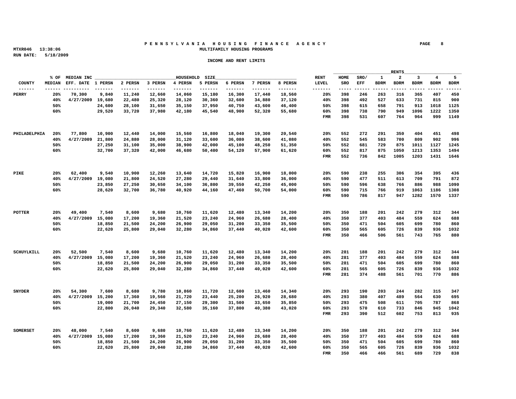#### **P E N N S Y L V A N I A H O U S I N G F I N A N C E A G E N C Y PAGE 8 MTXR046 13:38:06 MULTIFAMILY HOUSING PROGRAMS**

|                                                                                 |     |                                                         |  |                |               |                                                                       |                                                                                  | the control of the control of the control of the control of the control of the control of |         | RENTS | <u> 1989 - Johann Harry Harry Harry Harry Harry Harry Harry Harry Harry Harry Harry Harry Harry Harry Harry Harry Harry Harry Harry Harry Harry Harry Harry Harry Harry Harry Harry Harry Harry Harry Harry Harry Harry Harry Ha</u> |  |
|---------------------------------------------------------------------------------|-----|---------------------------------------------------------|--|----------------|---------------|-----------------------------------------------------------------------|----------------------------------------------------------------------------------|-------------------------------------------------------------------------------------------|---------|-------|--------------------------------------------------------------------------------------------------------------------------------------------------------------------------------------------------------------------------------------|--|
|                                                                                 |     | % OF MEDIAN INC _______                                 |  | HOUSEHOLD SIZE |               |                                                                       |                                                                                  |                                                                                           |         |       | RENT HOME SRO/ 1 2 3 4 5                                                                                                                                                                                                             |  |
|                                                                                 |     |                                                         |  |                |               |                                                                       | MEDIAN EFF. DATE 1 PERSN 2 PERSN 3 PERSN 4 PERSN 5 PERSN 6 PERSN 7 PERSN 8 PERSN |                                                                                           |         |       | LEVEL SRO EFF BDRM BDRM BDRM BDRM BDRM                                                                                                                                                                                               |  |
|                                                                                 |     |                                                         |  |                |               |                                                                       |                                                                                  |                                                                                           |         |       |                                                                                                                                                                                                                                      |  |
| <b>PERRY</b>                                                                    |     |                                                         |  |                |               | 20% 70,300 9,840 11,240 12,660 14,060 15,180 16,300 17,440 18,560     |                                                                                  |                                                                                           |         |       | 20% 398 246 263 316 365 407 450                                                                                                                                                                                                      |  |
|                                                                                 |     |                                                         |  |                |               | 40% 4/27/2009 19,680 22,480 25,320 28,120 30,360 32,600 34,880 37,120 |                                                                                  |                                                                                           |         |       | 40% 398 492 527 633 731 815 900                                                                                                                                                                                                      |  |
|                                                                                 | 50% |                                                         |  |                |               | 24,600 28,100 31,650 35,150 37,950 40,750 43,600 46,400               |                                                                                  |                                                                                           |         |       | 50% 398 615 658 791 913 1018 1125                                                                                                                                                                                                    |  |
|                                                                                 | 60% |                                                         |  |                |               | 29,520 33,720 37,980 42,180 45,540 48,900 52,320 55,680               |                                                                                  |                                                                                           |         |       | 60% 398 738 790 949 1096 1222 1350                                                                                                                                                                                                   |  |
|                                                                                 |     |                                                         |  |                |               |                                                                       |                                                                                  |                                                                                           |         |       | FMR 398 531 607 764 964 999 1149                                                                                                                                                                                                     |  |
|                                                                                 |     |                                                         |  |                |               |                                                                       |                                                                                  |                                                                                           |         |       |                                                                                                                                                                                                                                      |  |
|                                                                                 |     |                                                         |  |                |               |                                                                       |                                                                                  |                                                                                           |         |       |                                                                                                                                                                                                                                      |  |
| PHILADELPHIA 20% 77,800 10,900 12,440 14,000 15,560 16,800 18,040 19,300 20,540 |     |                                                         |  |                |               |                                                                       |                                                                                  |                                                                                           |         |       | 20% 552 272 291 350 404 451 498                                                                                                                                                                                                      |  |
|                                                                                 |     |                                                         |  |                |               | 40% 4/27/2009 21,800 24,880 28,000 31,120 33,600 36,080 38,600 41,080 |                                                                                  |                                                                                           |         |       | 40% 552 545 583 700 809 902 996                                                                                                                                                                                                      |  |
|                                                                                 | 50% |                                                         |  |                |               | 27,250 31,100 35,000 38,900 42,000 45,100 48,250 51,350               |                                                                                  |                                                                                           |         |       | 50% 552 681 729 875 1011 1127 1245                                                                                                                                                                                                   |  |
|                                                                                 | 60% |                                                         |  |                |               | 32,700 37,320 42,000 46,680 50,400 54,120 57,900 61,620               |                                                                                  |                                                                                           |         |       | 60% 552 817 875 1050 1213 1353 1494                                                                                                                                                                                                  |  |
|                                                                                 |     |                                                         |  |                |               |                                                                       |                                                                                  |                                                                                           |         |       | FMR 552 736 842 1005 1203 1431 1646                                                                                                                                                                                                  |  |
|                                                                                 |     |                                                         |  |                |               |                                                                       |                                                                                  |                                                                                           |         |       |                                                                                                                                                                                                                                      |  |
|                                                                                 |     |                                                         |  |                |               |                                                                       |                                                                                  |                                                                                           |         |       |                                                                                                                                                                                                                                      |  |
| PIKE                                                                            |     |                                                         |  |                |               | 20% 62,400 9,540 10,900 12,260 13,640 14,720 15,820 16,900 18,000     |                                                                                  |                                                                                           |         |       | 20% 590 238 255 306 354 395 436                                                                                                                                                                                                      |  |
|                                                                                 |     | 40% 4/27/2009 19,080 21,800 24,520 27,280               |  |                | 29,440 31,640 |                                                                       | 33,800 36,000                                                                    |                                                                                           |         |       | 40% 590 477 511 613 709 791 872                                                                                                                                                                                                      |  |
|                                                                                 | 50% |                                                         |  |                |               | 23,850 27,250 30,650 34,100 36,800 39,550 42,250 45,000               |                                                                                  |                                                                                           |         |       | 50% 590 596 638 766 886 988 1090                                                                                                                                                                                                     |  |
|                                                                                 | 60% |                                                         |  |                |               | 28,620 32,700 36,780 40,920 44,160 47,460 50,700 54,000               |                                                                                  |                                                                                           |         |       | 60% 590 715 766 919 1063 1186 1308                                                                                                                                                                                                   |  |
|                                                                                 |     |                                                         |  |                |               |                                                                       |                                                                                  |                                                                                           |         |       | FMR 590 786 817 947 1282 1570 1337                                                                                                                                                                                                   |  |
|                                                                                 |     |                                                         |  |                |               |                                                                       |                                                                                  |                                                                                           |         |       |                                                                                                                                                                                                                                      |  |
|                                                                                 |     |                                                         |  |                |               |                                                                       |                                                                                  |                                                                                           |         |       |                                                                                                                                                                                                                                      |  |
|                                                                                 |     |                                                         |  |                |               |                                                                       |                                                                                  |                                                                                           |         |       |                                                                                                                                                                                                                                      |  |
| POTTER                                                                          |     |                                                         |  |                |               | $20\%$ 49,400 7,540 8,600 9,680 10,760 11,620 12,480 13,340 14,200    |                                                                                  |                                                                                           |         |       | 20% 350 188 201 242 279 312 344                                                                                                                                                                                                      |  |
|                                                                                 |     |                                                         |  |                |               | 40% 4/27/2009 15,080 17,200 19,360 21,520 23,240 24,960 26,680 28,400 |                                                                                  |                                                                                           |         |       | 40% 350 377 403 484 559 624 688                                                                                                                                                                                                      |  |
|                                                                                 | 50% |                                                         |  |                |               | 18,850 21,500 24,200 26,900 29,050 31,200 33,350 35,500               |                                                                                  |                                                                                           |         |       | 50% 350 471 504 605 699 780 860                                                                                                                                                                                                      |  |
|                                                                                 | 60% |                                                         |  |                |               | 22,620 25,800 29,040 32,280 34,860 37,440 40,020 42,600               |                                                                                  |                                                                                           |         |       | 60% 350 565 605 726 839 936 1032                                                                                                                                                                                                     |  |
|                                                                                 |     |                                                         |  |                |               |                                                                       |                                                                                  |                                                                                           |         |       | FMR 350 466 506 561 743 765 880                                                                                                                                                                                                      |  |
|                                                                                 |     |                                                         |  |                |               |                                                                       |                                                                                  |                                                                                           |         |       |                                                                                                                                                                                                                                      |  |
|                                                                                 |     |                                                         |  |                |               |                                                                       |                                                                                  |                                                                                           |         |       |                                                                                                                                                                                                                                      |  |
| SCHIIVLKTLL                                                                     |     |                                                         |  |                |               | 20% 52,500 7,540 8,600 9,680 10,760 11,620 12,480 13,340 14,200       |                                                                                  |                                                                                           |         |       | 20% 281 188 201 242 279 312 344                                                                                                                                                                                                      |  |
|                                                                                 |     |                                                         |  |                |               | 40% 4/27/2009 15,080 17,200 19,360 21,520 23,240 24,960 26,680 28,400 |                                                                                  |                                                                                           |         |       | 40% 281 377 403 484 559 624 688                                                                                                                                                                                                      |  |
|                                                                                 | 50% |                                                         |  |                |               | 18,850 21,500 24,200 26,900 29,050 31,200 33,350 35,500               |                                                                                  |                                                                                           |         |       | 50% 281 471 504 605 699 780 860                                                                                                                                                                                                      |  |
|                                                                                 | 60% |                                                         |  |                |               | 22,620 25,800 29,040 32,280 34,860 37,440 40,020 42,600               |                                                                                  |                                                                                           |         |       | 60% 281 565 605 726 839 936 1032                                                                                                                                                                                                     |  |
|                                                                                 |     |                                                         |  |                |               |                                                                       |                                                                                  |                                                                                           |         |       | FMR 281 374 488 561 701 770 886                                                                                                                                                                                                      |  |
|                                                                                 |     |                                                         |  |                |               |                                                                       |                                                                                  |                                                                                           |         |       |                                                                                                                                                                                                                                      |  |
|                                                                                 |     |                                                         |  |                |               |                                                                       |                                                                                  |                                                                                           |         |       |                                                                                                                                                                                                                                      |  |
| SNYDER                                                                          |     |                                                         |  |                |               | $20\%$ 54,300 7,600 8,680 9,780 10,860 11,720 12,600 13,460 14,340    |                                                                                  |                                                                                           |         |       | 20% 293 190 203 244 282 315 347                                                                                                                                                                                                      |  |
|                                                                                 |     |                                                         |  |                |               | 40% 4/27/2009 15,200 17,360 19,560 21,720 23,440 25,200 26,920 28,680 |                                                                                  |                                                                                           |         |       | 40% 293 380 407 489 564 630 695                                                                                                                                                                                                      |  |
|                                                                                 | 50% |                                                         |  |                |               | 19,000 21,700 24,450 27,150 29,300 31,500 33,650 35,850               |                                                                                  |                                                                                           |         |       | 50% 293 475 508 611 705 787 868                                                                                                                                                                                                      |  |
|                                                                                 | 60% |                                                         |  |                |               | 22,800 26,040 29,340 32,580 35,160 37,800 40,380 43,020               |                                                                                  |                                                                                           |         |       | 60% 293 570 610 733 846 945 1042                                                                                                                                                                                                     |  |
|                                                                                 |     |                                                         |  |                |               |                                                                       |                                                                                  |                                                                                           |         |       | FMR 293 390 512 602 753 813 935                                                                                                                                                                                                      |  |
|                                                                                 |     |                                                         |  |                |               |                                                                       |                                                                                  |                                                                                           |         |       |                                                                                                                                                                                                                                      |  |
|                                                                                 |     |                                                         |  |                |               |                                                                       |                                                                                  |                                                                                           |         |       |                                                                                                                                                                                                                                      |  |
| SOMERSET                                                                        |     |                                                         |  |                |               | 20% 48,000 7,540 8,600 9,680 10,760 11,620 12,480 13,340 14,200       |                                                                                  | 20% 350 188 201                                                                           |         |       | 242 279 312 344                                                                                                                                                                                                                      |  |
|                                                                                 |     |                                                         |  |                |               |                                                                       |                                                                                  | 40% 350                                                                                   |         |       |                                                                                                                                                                                                                                      |  |
|                                                                                 |     | 40% 4/27/2009 15,080 17,200 19,360 21,520 23,240 24,960 |  |                |               |                                                                       | 26,680 28,400                                                                    |                                                                                           | 377 403 |       | 484 559 624 688                                                                                                                                                                                                                      |  |
|                                                                                 | 50% |                                                         |  |                |               | 18,850 21,500 24,200 26,900 29,050 31,200 33,350 35,500               |                                                                                  |                                                                                           |         |       | 50% 350 471 504 605 699 780 860                                                                                                                                                                                                      |  |
|                                                                                 | 60% |                                                         |  |                |               | 22,620 25,800 29,040 32,280 34,860 37,440 40,020 42,600               |                                                                                  |                                                                                           |         |       | 60% 350 565 605 726 839 936 1032                                                                                                                                                                                                     |  |
|                                                                                 |     |                                                         |  |                |               |                                                                       |                                                                                  |                                                                                           |         |       | FMR 350 466 466 561 689 729 838                                                                                                                                                                                                      |  |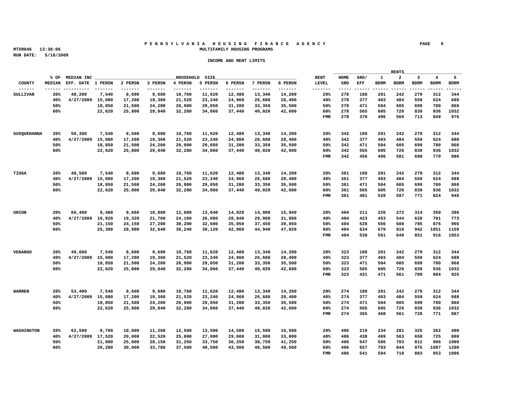#### **P E N N S Y L V A N I A H O U S I N G F I N A N C E A G E N C Y PAGE 9 MTXR046 13:38:06 MULTIFAMILY HOUSING PROGRAMS**

|                                                                             |     |                                                              |                                           |  |                                                                            |                                                                                  | the contract of the contract of the contract of the contract of the contract of |  |                                        |
|-----------------------------------------------------------------------------|-----|--------------------------------------------------------------|-------------------------------------------|--|----------------------------------------------------------------------------|----------------------------------------------------------------------------------|---------------------------------------------------------------------------------|--|----------------------------------------|
|                                                                             |     |                                                              |                                           |  |                                                                            |                                                                                  |                                                                                 |  | RENT HOME SRO/ 1 2 3 4 5               |
|                                                                             |     |                                                              |                                           |  |                                                                            | MEDIAN EFF. DATE 1 PERSN 2 PERSN 3 PERSN 4 PERSN 5 PERSN 6 PERSN 7 PERSN 8 PERSN |                                                                                 |  | LEVEL SRO EFF BDRM BDRM BDRM BDRM BDRM |
|                                                                             |     |                                                              |                                           |  |                                                                            |                                                                                  |                                                                                 |  |                                        |
| SULLIVAN                                                                    |     |                                                              |                                           |  | $20\%$ 48,200 7,540 8,600 9,680 10,760 11,620 12,480 13,340 14,200         |                                                                                  |                                                                                 |  | 20% 278 188 201 242 279 312 344        |
|                                                                             |     |                                                              |                                           |  | 40% 4/27/2009 15.080 17.200 19.360 21.520 23.240 24.960 26.680 28.400      |                                                                                  |                                                                                 |  | 40% 278 377 403 484 559 624 688        |
|                                                                             | 50% |                                                              |                                           |  | 18,850 21,500 24,200 26,900 29,050 31,200 33,350 35,500                    |                                                                                  |                                                                                 |  | 50% 278 471 504 605 699 780 860        |
|                                                                             | 60% |                                                              |                                           |  | 22,620 25,800 29,040 32,280 34,860 37,440 40,020 42,600                    |                                                                                  |                                                                                 |  | 60% 278 565 605 726 839 936 1032       |
|                                                                             |     |                                                              |                                           |  |                                                                            |                                                                                  |                                                                                 |  | FMR 278 370 496 569 713 849 976        |
|                                                                             |     |                                                              |                                           |  |                                                                            |                                                                                  |                                                                                 |  |                                        |
|                                                                             |     |                                                              |                                           |  |                                                                            |                                                                                  |                                                                                 |  |                                        |
| SUSQUEHANNA 20% 50,300 7,540 8,600 9,680 10,760 11,620 12,480 13,340 14,200 |     |                                                              |                                           |  |                                                                            |                                                                                  |                                                                                 |  | 20% 342 188 201 242 279 312 344        |
|                                                                             |     |                                                              |                                           |  | 40% 4/27/2009 15,080 17,200 19,360 21,520 23,240 24,960 26,680 28,400      |                                                                                  |                                                                                 |  | 40% 342 377 403 484 559 624 688        |
|                                                                             |     |                                                              |                                           |  |                                                                            |                                                                                  |                                                                                 |  |                                        |
|                                                                             | 50% |                                                              |                                           |  | 18,850 21,500 24,200 26,900 29,050 31,200 33,350 35,500                    |                                                                                  |                                                                                 |  | 50% 342 471 504 605 699 780 860        |
|                                                                             | 60% |                                                              |                                           |  | 22,620 25,800 29,040 32,280 34,860 37,440 40,020 42,600                    |                                                                                  |                                                                                 |  | 60% 342 565 605 726 839 936 1032       |
|                                                                             |     |                                                              |                                           |  |                                                                            |                                                                                  |                                                                                 |  | FMR 342 456 496 581 698 770 886        |
|                                                                             |     |                                                              |                                           |  |                                                                            |                                                                                  |                                                                                 |  |                                        |
|                                                                             |     |                                                              |                                           |  |                                                                            |                                                                                  |                                                                                 |  |                                        |
| TIOGA                                                                       |     |                                                              |                                           |  | 20% 48,500 7,540 8,600 9,680 10,760 11,620 12,480 13,340 14,200            |                                                                                  |                                                                                 |  | 20% 361 188 201 242 279 312 344        |
|                                                                             |     | 40% 4/27/2009 15.080 17.200 19.360 21.520 23.240 24.960      |                                           |  |                                                                            | 26.680 28.400                                                                    |                                                                                 |  | 40% 361 377 403 484 559 624 688        |
|                                                                             | 50% |                                                              | 18,850 21,500 24,200 26,900 29,050 31,200 |  |                                                                            | 33,350 35,500                                                                    |                                                                                 |  | 50% 361 471 504 605 699 780 860        |
|                                                                             | 60% |                                                              |                                           |  | 22,620 25,800 29,040 32,280 34,860 37,440 40,020 42,600                    |                                                                                  |                                                                                 |  | 60% 361 565 605 726 839 936 1032       |
|                                                                             |     |                                                              |                                           |  |                                                                            |                                                                                  |                                                                                 |  | FMR 361 481 528 587 771 824 948        |
|                                                                             |     |                                                              |                                           |  |                                                                            |                                                                                  |                                                                                 |  |                                        |
|                                                                             |     |                                                              |                                           |  |                                                                            |                                                                                  |                                                                                 |  |                                        |
| UNION                                                                       |     |                                                              |                                           |  | 20% 60,400 8,460 9,660 10,880 12,080 13,040 14,020 14,980 15,940           |                                                                                  |                                                                                 |  | 20% 404 211 226 272 314 350 386        |
|                                                                             |     |                                                              |                                           |  | $40\%$ $4/27/2009$ 16,920 19,320 21,760 24,160 26,080 28,040 29,960 31,880 |                                                                                  |                                                                                 |  | 40% 404 423 453 544 628 701 773        |
|                                                                             | 50% |                                                              |                                           |  | 21,150  24,150  27,200  30,200  32,600  35,050  37,450  39,850             |                                                                                  |                                                                                 |  | 50% 404 528 566 680 785 876 966        |
|                                                                             |     |                                                              |                                           |  |                                                                            |                                                                                  |                                                                                 |  |                                        |
|                                                                             | 60% |                                                              |                                           |  | 25,380  28,980  32,640  36,240  39,120  42,060  44,940  47,820             |                                                                                  |                                                                                 |  | 60% 404 634 679 816 942 1051 1159      |
|                                                                             |     |                                                              |                                           |  |                                                                            |                                                                                  |                                                                                 |  | FMR 404 538 561 648 851 916 1053       |
|                                                                             |     |                                                              |                                           |  |                                                                            |                                                                                  |                                                                                 |  |                                        |
|                                                                             |     |                                                              |                                           |  |                                                                            |                                                                                  |                                                                                 |  |                                        |
| <b>VENANCO</b>                                                              |     |                                                              |                                           |  | 20% 49,600 7,540 8,600 9,680 10,760 11,620 12,480 13,340 14,200            |                                                                                  |                                                                                 |  | 20% 323 188 201 242 279 312 344        |
|                                                                             |     |                                                              |                                           |  | 40% 4/27/2009 15,080 17,200 19,360 21,520 23,240 24,960 26,680 28,400      |                                                                                  |                                                                                 |  | 40% 323 377 403 484 559 624 688        |
|                                                                             | 50% |                                                              |                                           |  | 18,850 21,500 24,200 26,900 29,050 31,200 33,350 35,500                    |                                                                                  |                                                                                 |  | 50% 323 471 504 605 699 780 860        |
|                                                                             | 60% |                                                              |                                           |  | 22,620 25,800 29,040 32,280 34,860 37,440 40,020 42,600                    |                                                                                  |                                                                                 |  | 60% 323 565 605 726 839 936 1032       |
|                                                                             |     |                                                              |                                           |  |                                                                            |                                                                                  |                                                                                 |  | FMR 323 431 471 561 709 804 925        |
|                                                                             |     |                                                              |                                           |  |                                                                            |                                                                                  |                                                                                 |  |                                        |
|                                                                             |     |                                                              |                                           |  |                                                                            |                                                                                  |                                                                                 |  |                                        |
| <b>WARREN</b>                                                               |     |                                                              |                                           |  | $20\%$ 53,400 7,540 8,600 9,680 10,760 11,620 12,480 13,340 14,200         |                                                                                  |                                                                                 |  | 20% 274 188 201 242 279 312 344        |
|                                                                             |     |                                                              |                                           |  | 40% 4/27/2009 15,080 17,200 19,360 21,520 23,240 24,960 26,680 28,400      |                                                                                  |                                                                                 |  | 40% 274 377 403 484 559 624 688        |
|                                                                             | 50% |                                                              |                                           |  | 18,850 21,500 24,200 26,900 29,050 31,200 33,350 35,500                    |                                                                                  |                                                                                 |  | 50% 274 471 504 605 699 780 860        |
|                                                                             |     |                                                              |                                           |  |                                                                            |                                                                                  |                                                                                 |  |                                        |
|                                                                             | 60% |                                                              |                                           |  | 22,620 25,800 29,040 32,280 34,860 37,440 40,020 42,600                    |                                                                                  |                                                                                 |  | 60% 274 565 605 726 839 936 1032       |
|                                                                             |     |                                                              |                                           |  |                                                                            |                                                                                  |                                                                                 |  | FMR 274 365 468 561 728 771 887        |
|                                                                             |     |                                                              |                                           |  |                                                                            |                                                                                  |                                                                                 |  |                                        |
|                                                                             |     |                                                              |                                           |  |                                                                            |                                                                                  |                                                                                 |  |                                        |
| WASHINGTON                                                                  |     |                                                              |                                           |  | 20% 62,500 8,760 10,000 11,260 12,500 13,500 14,500 15,500 16,500          |                                                                                  | 20% 406 219 234 281                                                             |  | 325 362 400                            |
|                                                                             |     | $40\%$ $4/27/2009$ 17,520 20,000 22,520 25,000 27,000 29,000 |                                           |  |                                                                            | 31,000 33,000                                                                    |                                                                                 |  | 40% 406 438 469 563 650 725 800        |
|                                                                             | 50% |                                                              |                                           |  | 21,900  25,000  28,150  31,250  33,750  36,250  38,750  41,250             |                                                                                  |                                                                                 |  | 50% 406 547 586 703 812 906 1000       |
|                                                                             | 60% |                                                              |                                           |  | 26,280 30,000 33,780 37,500 40,500 43,500 46,500 49,500                    |                                                                                  |                                                                                 |  | 60% 406 657 703 844 975 1087 1200      |
|                                                                             |     |                                                              |                                           |  |                                                                            |                                                                                  |                                                                                 |  | FMR 406 541 594 710 883 953 1096       |
|                                                                             |     |                                                              |                                           |  |                                                                            |                                                                                  |                                                                                 |  |                                        |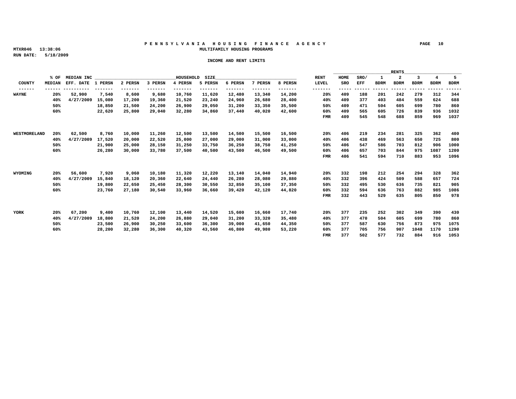#### **P E N N S Y L V A N I A H O U S I N G F I N A N C E A G E N C Y PAGE 10 MTXR046 13:38:06 MULTIFAMILY HOUSING PROGRAMS**

 **RUN DATE: 5/18/2009**

|              |     |                 |                             |        |                                                  |              |                |               |                                                                                  |               |                |                 |     | $\_RENTS\_$ |                                        |
|--------------|-----|-----------------|-----------------------------|--------|--------------------------------------------------|--------------|----------------|---------------|----------------------------------------------------------------------------------|---------------|----------------|-----------------|-----|-------------|----------------------------------------|
|              |     | % OF MEDIAN INC |                             |        |                                                  |              | HOUSEHOLD SIZE |               |                                                                                  |               | RENT HOME SRO/ |                 |     |             | 4 5                                    |
|              |     |                 |                             |        |                                                  |              |                |               | MEDIAN EFF. DATE 1 PERSN 2 PERSN 3 PERSN 4 PERSN 5 PERSN 6 PERSN 7 PERSN 8 PERSN |               |                |                 |     |             | LEVEL SRO EFF BDRM BDRM BDRM BDRM BDRM |
|              |     |                 |                             |        |                                                  |              |                |               |                                                                                  |               |                |                 |     |             |                                        |
| <b>WAYNE</b> |     |                 | 20% 52,900 7,540            | 8,600  |                                                  | 9,680 10,760 |                | 11,620 12,480 |                                                                                  | 13,340 14,200 |                |                 |     |             | 20% 409 188 201 242 279 312 344        |
|              |     |                 | 40% 4/27/2009 15,080 17,200 |        | 19,360                                           | 21,520       | 23,240         | 24,960        |                                                                                  | 26,680 28,400 |                | 40% 409 377 403 |     |             | 484 559 624 688                        |
|              | 50% |                 |                             |        | 18,850 21,500 24,200 26,900                      |              | 29,050         | 31,200        |                                                                                  | 33,350 35,500 |                | 50% 409         |     |             | 471 504 605 699 780 860                |
|              | 60% |                 |                             |        |                                                  |              |                |               | 22,620 25,800 29,040 32,280 34,860 37,440 40,020 42,600                          |               |                |                 |     |             | 60% 409 565 605 726 839 936 1032       |
|              |     |                 |                             |        |                                                  |              |                |               |                                                                                  |               |                |                 |     |             | FMR 409 545 548 688 859 969 1037       |
|              |     |                 |                             |        |                                                  |              |                |               |                                                                                  |               |                |                 |     |             |                                        |
|              |     |                 |                             |        |                                                  |              |                |               |                                                                                  |               |                |                 |     |             |                                        |
| WESTMORELAND | 20% | 62,500          | 8,760                       | 10,000 | 11,260                                           | 12,500       | 13,500         | 14,500        | 15,500                                                                           | 16,500        |                | 20% 406 219     |     | 281<br>234  | 325 362 400                            |
|              |     |                 |                             |        | 40% 4/27/2009 17,520 20,000 22,520 25,000 27,000 |              |                | 29,000        |                                                                                  | 31,000 33,000 |                | 40% 406         | 438 |             | 469 563 650 725 800                    |
|              | 50% |                 |                             |        | 21,900 25,000 28,150 31,250 33,750 36,250        |              |                |               |                                                                                  | 38,750 41,250 |                |                 |     |             | 50% 406 547 586 703 812 906 1000       |
|              | 60% |                 |                             |        | 26,280 30,000 33,780 37,500 40,500 43,500        |              |                |               |                                                                                  | 46,500 49,500 |                |                 |     |             | 60% 406 657 703 844 975 1087 1200      |
|              |     |                 |                             |        |                                                  |              |                |               |                                                                                  |               |                |                 |     |             |                                        |
|              |     |                 |                             |        |                                                  |              |                |               |                                                                                  |               |                |                 |     |             | FMR 406 541 594 710 883 953 1096       |
|              |     |                 |                             |        |                                                  |              |                |               |                                                                                  |               |                |                 |     |             |                                        |
|              |     |                 |                             |        |                                                  |              |                |               |                                                                                  |               |                |                 |     |             |                                        |
| WYOMING      |     | 20% 56,600      | 7,920                       | 9,060  | 10,180                                           | 11,320       | 12,220         | 13,140        |                                                                                  | 14,040 14,940 |                |                 |     |             | 20% 332 198 212 254 294 328 362        |
|              |     |                 |                             |        | 40% 4/27/2009 15,840 18,120 20,360 22,640        |              | 24,440         | 26,280        |                                                                                  | 28,080 29,880 |                | 40% 332         |     | 396 424 509 | 588 657 724                            |
|              | 50% |                 |                             |        | 19,800 22,650 25,450 28,300 30,550 32,850        |              |                |               |                                                                                  | 35,100 37,350 |                |                 |     |             | 50% 332 495 530 636 735 821 905        |
|              | 60% |                 |                             |        |                                                  |              |                |               | 23,760 27,180 30,540 33,960 36,660 39,420 42,120 44,820                          |               |                |                 |     |             | 60% 332 594 636 763 882 985 1086       |
|              |     |                 |                             |        |                                                  |              |                |               |                                                                                  |               |                |                 |     |             | FMR 332 443 529 635 805 850 978        |
|              |     |                 |                             |        |                                                  |              |                |               |                                                                                  |               |                |                 |     |             |                                        |
|              |     |                 |                             |        |                                                  |              |                |               |                                                                                  |               |                |                 |     |             |                                        |
| YORK         |     | 20% 67,200      | 9,400                       | 10,760 | 12,100                                           | 13,440       | 14,520         | 15,600        | 16,660                                                                           | 17,740        |                | 20% 377         |     |             | 235 252 302 349 390 430                |
|              |     |                 |                             |        | 40% 4/27/2009 18,800 21,520 24,200 26,880 29,040 |              |                | 31,200        |                                                                                  | 33,320 35,480 |                |                 |     |             | 40% 377 470 504 605 699 780 860        |
|              | 50% |                 | 23,500                      | 26,900 | 30,250                                           | 33,600       | 36,300         | 39,000        |                                                                                  | 41,650 44,350 |                | 50% 377         |     | 587 630 756 | 873 975 1075                           |
|              | 60% |                 | 28,200                      |        | 32,280 36,300 40,320 43,560 46,800               |              |                |               |                                                                                  | 49,980 53,220 |                |                 |     |             | 60% 377 705 756 907 1048 1170 1290     |
|              |     |                 |                             |        |                                                  |              |                |               |                                                                                  |               |                |                 |     |             | FMR 377 502 577 732 884 916 1053       |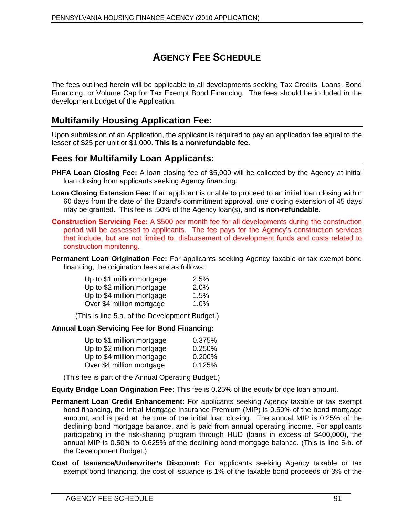# **AGENCY FEE SCHEDULE**

The fees outlined herein will be applicable to all developments seeking Tax Credits, Loans, Bond Financing, or Volume Cap for Tax Exempt Bond Financing. The fees should be included in the development budget of the Application.

# **Multifamily Housing Application Fee:**

Upon submission of an Application, the applicant is required to pay an application fee equal to the lesser of \$25 per unit or \$1,000. **This is a nonrefundable fee.**

# **Fees for Multifamily Loan Applicants:**

- **PHFA Loan Closing Fee:** A loan closing fee of \$5,000 will be collected by the Agency at initial loan closing from applicants seeking Agency financing.
- **Loan Closing Extension Fee:** If an applicant is unable to proceed to an initial loan closing within 60 days from the date of the Board's commitment approval, one closing extension of 45 days may be granted. This fee is .50% of the Agency loan(s), and **is non-refundable**.
- **Construction Servicing Fee:** A \$500 per month fee for all developments during the construction period will be assessed to applicants. The fee pays for the Agency's construction services that include, but are not limited to, disbursement of development funds and costs related to construction monitoring.
- **Permanent Loan Origination Fee:** For applicants seeking Agency taxable or tax exempt bond financing, the origination fees are as follows:

| Up to \$1 million mortgage | 2.5% |  |
|----------------------------|------|--|
| Up to \$2 million mortgage | 2.0% |  |
| Up to \$4 million mortgage | 1.5% |  |
| Over \$4 million mortgage  | 1.0% |  |

(This is line 5.a. of the Development Budget.)

#### **Annual Loan Servicing Fee for Bond Financing:**

| Up to \$1 million mortgage | 0.375% |  |  |
|----------------------------|--------|--|--|
| Up to \$2 million mortgage | 0.250% |  |  |
| Up to \$4 million mortgage | 0.200% |  |  |
| Over \$4 million mortgage  | 0.125% |  |  |

(This fee is part of the Annual Operating Budget.)

**Equity Bridge Loan Origination Fee:** This fee is 0.25% of the equity bridge loan amount.

- **Permanent Loan Credit Enhancement:** For applicants seeking Agency taxable or tax exempt bond financing, the initial Mortgage Insurance Premium (MIP) is 0.50% of the bond mortgage amount, and is paid at the time of the initial loan closing. The annual MIP is 0.25% of the declining bond mortgage balance, and is paid from annual operating income. For applicants participating in the risk-sharing program through HUD (loans in excess of \$400,000), the annual MIP is 0.50% to 0.625% of the declining bond mortgage balance. (This is line 5-b. of the Development Budget.)
- **Cost of Issuance/Underwriter s Discount:** For applicants seeking Agency taxable or tax exempt bond financing, the cost of issuance is 1% of the taxable bond proceeds or 3% of the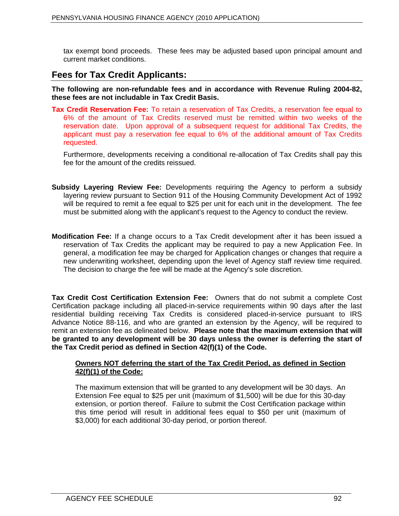tax exempt bond proceeds. These fees may be adjusted based upon principal amount and current market conditions.

# **Fees for Tax Credit Applicants:**

**The following are non-refundable fees and in accordance with Revenue Ruling 2004-82, these fees are not includable in Tax Credit Basis.** 

**Tax Credit Reservation Fee:** To retain a reservation of Tax Credits, a reservation fee equal to 6% of the amount of Tax Credits reserved must be remitted within two weeks of the reservation date. Upon approval of a subsequent request for additional Tax Credits, the applicant must pay a reservation fee equal to 6% of the additional amount of Tax Credits requested. The contract of the contract of the contract of the contract of the contract of the contract of the contract of the contract of the contract of the contract of the contract of the contract of the contract of the

Furthermore, developments receiving a conditional re-allocation of Tax Credits shall pay this fee for the amount of the credits reissued.

- **Subsidy Layering Review Fee:** Developments requiring the Agency to perform a subsidy layering review pursuant to Section 911 of the Housing Community Development Act of 1992 will be required to remit a fee equal to \$25 per unit for each unit in the development. The fee must be submitted along with the applicant's request to the Agency to conduct the review.
- **Modification Fee:** If a change occurs to a Tax Credit development after it has been issued a reservation of Tax Credits the applicant may be required to pay a new Application Fee. In general, a modification fee may be charged for Application changes or changes that require a new underwriting worksheet, depending upon the level of Agency staff review time required. The decision to charge the fee will be made at the Agency's sole discretion.

**Tax Credit Cost Certification Extension Fee:** Owners that do not submit a complete Cost Certification package including all placed-in-service requirements within 90 days after the last residential building receiving Tax Credits is considered placed-in-service pursuant to IRS Advance Notice 88-116, and who are granted an extension by the Agency, will be required to remit an extension fee as delineated below. **Please note that the maximum extension that will be granted to any development will be 30 days unless the owner is deferring the start of the Tax Credit period as defined in Section 42(f)(1) of the Code.**

#### **Owners NOT deferring the start of the Tax Credit Period, as defined in Section 42(f)(1) of the Code:**

The maximum extension that will be granted to any development will be 30 days. An Extension Fee equal to \$25 per unit (maximum of \$1,500) will be due for this 30-day extension, or portion thereof. Failure to submit the Cost Certification package within this time period will result in additional fees equal to \$50 per unit (maximum of \$3,000) for each additional 30-day period, or portion thereof.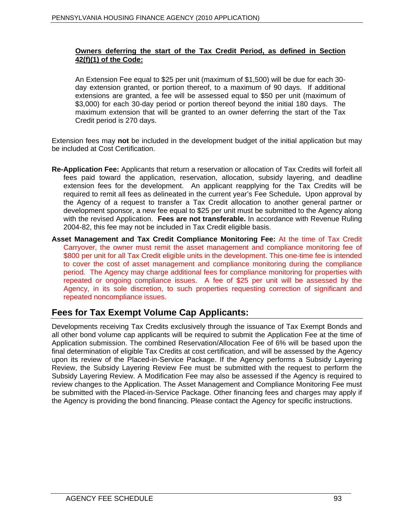#### **Owners deferring the start of the Tax Credit Period, as defined in Section 42(f)(1) of the Code:**

An Extension Fee equal to \$25 per unit (maximum of \$1,500) will be due for each 30 day extension granted, or portion thereof, to a maximum of 90 days. If additional extensions are granted, a fee will be assessed equal to \$50 per unit (maximum of \$3,000) for each 30-day period or portion thereof beyond the initial 180 days. The maximum extension that will be granted to an owner deferring the start of the Tax Credit period is 270 days.

Extension fees may **not** be included in the development budget of the initial application but may be included at Cost Certification.

- **Re-Application Fee:** Applicants that return a reservation or allocation of Tax Credits will forfeit all fees paid toward the application, reservation, allocation, subsidy layering, and deadline extension fees for the development. An applicant reapplying for the Tax Credits will be required to remit all fees as delineated in the current year s Fee Schedule**.** Upon approval by the Agency of a request to transfer a Tax Credit allocation to another general partner or development sponsor, a new fee equal to \$25 per unit must be submitted to the Agency along with the revised Application. **Fees are not transferable.** In accordance with Revenue Ruling 2004-82, this fee may not be included in Tax Credit eligible basis.
- **Asset Management and Tax Credit Compliance Monitoring Fee:** At the time of Tax Credit Carryover, the owner must remit the asset management and compliance monitoring fee of \$800 per unit for all Tax Credit eligible units in the development. This one-time fee is intended to cover the cost of asset management and compliance monitoring during the compliance period. The Agency may charge additional fees for compliance monitoring for properties with repeated or ongoing compliance issues. A fee of \$25 per unit will be assessed by the Agency, in its sole discretion, to such properties requesting correction of significant and repeated noncompliance issues.

# **Fees for Tax Exempt Volume Cap Applicants:**

Developments receiving Tax Credits exclusively through the issuance of Tax Exempt Bonds and all other bond volume cap applicants will be required to submit the Application Fee at the time of Application submission. The combined Reservation/Allocation Fee of 6% will be based upon the final determination of eligible Tax Credits at cost certification, and will be assessed by the Agency upon its review of the Placed-in-Service Package. If the Agency performs a Subsidy Layering Review, the Subsidy Layering Review Fee must be submitted with the request to perform the Subsidy Layering Review. A Modification Fee may also be assessed if the Agency is required to review changes to the Application. The Asset Management and Compliance Monitoring Fee must be submitted with the Placed-in-Service Package. Other financing fees and charges may apply if the Agency is providing the bond financing. Please contact the Agency for specific instructions.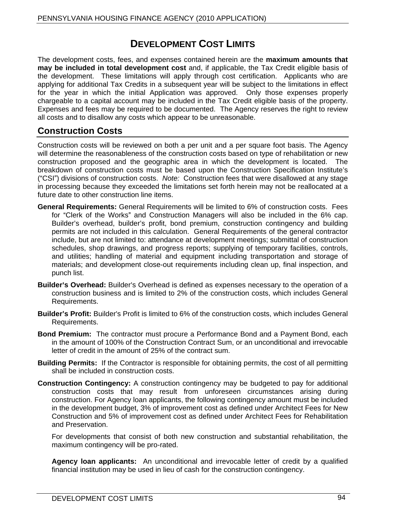# **DEVELOPMENT COST LIMITS**

The development costs, fees, and expenses contained herein are the **maximum amounts that may be included in total development cost** and, if applicable, the Tax Credit eligible basis of the development. These limitations will apply through cost certification. Applicants who are applying for additional Tax Credits in a subsequent year will be subject to the limitations in effect for the year in which the initial Application was approved. Only those expenses properly chargeable to a capital account may be included in the Tax Credit eligible basis of the property. Expenses and fees may be required to be documented. The Agency reserves the right to review all costs and to disallow any costs which appear to be unreasonable.

# **Construction Costs**

Construction costs will be reviewed on both a per unit and a per square foot basis. The Agency will determine the reasonableness of the construction costs based on type of rehabilitation or new construction proposed and the geographic area in which the development is located. The breakdown of construction costs must be based upon the Construction Specification Institute s ("CSI") divisions of construction costs. Note: Construction fees that were disallowed at any stage in processing because they exceeded the limitations set forth herein may not be reallocated at a future date to other construction line items.

- **General Requirements:** General Requirements will be limited to 6% of construction costs. Fees for "Clerk of the Works" and Construction Managers will also be included in the 6% cap. Builder's overhead, builder's profit, bond premium, construction contingency and building permits are not included in this calculation. General Requirements of the general contractor include, but are not limited to: attendance at development meetings; submittal of construction schedules, shop drawings, and progress reports; supplying of temporary facilities, controls, and utilities; handling of material and equipment including transportation and storage of materials; and development close-out requirements including clean up, final inspection, and punch list.
- **Builder's Overhead:** Builder's Overhead is defined as expenses necessary to the operation of a construction business and is limited to 2% of the construction costs, which includes General Requirements.
- **Builder s Profit:** Builder's Profit is limited to 6% of the construction costs, which includes General Requirements. **Example 20** No. 2014 12:30 No. 2014 12:30 No. 2014 12:30 No. 2014 12:30 No. 2014 12:30 No. 2014 12:30 No. 2014 12:30 No. 2014 12:30 No. 2014 12:30 No. 2014 12:30 No. 2014 12:30 No. 2014 12:30 No. 2014 12:30
- **Bond Premium:** The contractor must procure a Performance Bond and a Payment Bond, each in the amount of 100% of the Construction Contract Sum, or an unconditional and irrevocable letter of credit in the amount of 25% of the contract sum.
- **Building Permits:** If the Contractor is responsible for obtaining permits, the cost of all permitting shall be included in construction costs.
- **Construction Contingency:** A construction contingency may be budgeted to pay for additional construction costs that may result from unforeseen circumstances arising during construction. For Agency loan applicants, the following contingency amount must be included in the development budget, 3% of improvement cost as defined under Architect Fees for New Construction and 5% of improvement cost as defined under Architect Fees for Rehabilitation and Preservation.

For developments that consist of both new construction and substantial rehabilitation, the maximum contingency will be pro-rated.

**Agency loan applicants:** An unconditional and irrevocable letter of credit by a qualified financial institution may be used in lieu of cash for the construction contingency.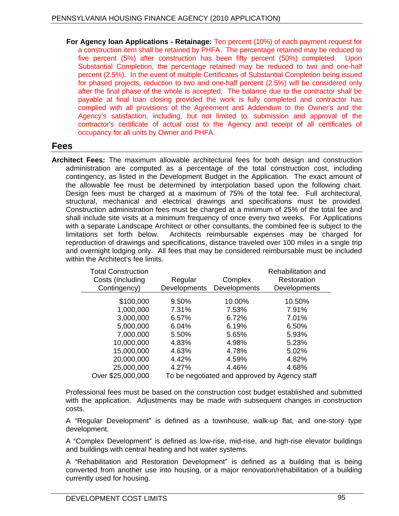**For Agency loan Applications - Retainage:** Ten percent (10%) of each payment request for a construction item shall be retained by PHFA. The percentage retained may be reduced to five percent (5%) after construction has been fifty percent (50%) completed. Upon Substantial Completion, the percentage retained may be reduced to two and one-half percent (2.5%). In the event of multiple Certificates of Substantial Completion being issued for phased projects, reduction to two and one-half percent (2.5%) will be considered only after the final phase of the whole is accepted. The balance due to the contractor shall be payable at final loan closing provided the work is fully completed and contractor has complied with all provisions of the Agreement and Addendum to the Owner's and the Agency's satisfaction, including, but not limited to, submission and approval of the contractor's certificate of actual cost to the Agency and receipt of all certificates of occupancy for all units by Owner and PHFA.

## **Fees**

**Architect Fees:** The maximum allowable architectural fees for both design and construction administration are computed as a percentage of the total construction cost, including contingency, as listed in the Development Budget in the Application. The exact amount of the allowable fee must be determined by interpolation based upon the following chart. Design fees must be charged at a maximum of 75% of the total fee. Full architectural, structural, mechanical and electrical drawings and specifications must be provided. Construction administration fees must be charged at a minimum of 25% of the total fee and shall include site visits at a minimum frequency of once every two weeks. For Applications with a separate Landscape Architect or other consultants, the combined fee is subject to the limitations set forth below. Architects reimbursable expenses may be charged for reproduction of drawings and specifications, distance traveled over 100 miles in a single trip and overnight lodging only. All fees that may be considered reimbursable must be included within the Architect's fee limits. The state of the state of the state of the state of the state of the state of the state of the state of the state of the state of the state of the state of the state of the state of the s

| <b>Total Construction</b> |          |                           | Rehabilitation and                            |  |  |  |  |  |  |  |
|---------------------------|----------|---------------------------|-----------------------------------------------|--|--|--|--|--|--|--|
| Costs (Including          | Regula   | Complex                   | Restoration                                   |  |  |  |  |  |  |  |
| Contingency)              |          | Developments Developments | Developments                                  |  |  |  |  |  |  |  |
|                           |          |                           |                                               |  |  |  |  |  |  |  |
| \$100,000                 | 9.50%    | 10.00%                    | 10.50%                                        |  |  |  |  |  |  |  |
| 1,000,000                 | 7.31%    | 7.53%                     | 7.91%                                         |  |  |  |  |  |  |  |
| 3,000,000                 | $6.57\%$ | 6.72%                     | 7.01%                                         |  |  |  |  |  |  |  |
| 5,000,000                 | 6.04%    | 6.19%                     | 6.50%                                         |  |  |  |  |  |  |  |
| 7,000,000                 | 5.50%    | 5.65%                     | 5.93%                                         |  |  |  |  |  |  |  |
| 10,000,000                | 4.83%    | 4.98%                     | 5.23%                                         |  |  |  |  |  |  |  |
| 15,000,000                | 4.63%    | 4.78%                     | 5.02%                                         |  |  |  |  |  |  |  |
| 20,000,000                | 4.42%    | 4.59%                     | 4.82%                                         |  |  |  |  |  |  |  |
| 25,000,000                | 4.27%    | 4.46%                     | 4.68%                                         |  |  |  |  |  |  |  |
| Over \$25,000,000         |          |                           | To be negotiated and approved by Agency staff |  |  |  |  |  |  |  |

Professional fees must be based on the construction cost budget established and submitted with the application. Adjustments may be made with subsequent changes in construction costs.<br>A "Regular Development" is defined as a townhouse, walk-up flat, and one-story type

development.

A "Complex Development" is defined as low-rise, mid-rise, and high-rise elevator buildings and buildings with central heating and hot water systems.

A "Rehabilitation and Restoration Development" is defined as a building that is being converted from another use into housing, or a major renovation/rehabilitation of a building currently used for housing.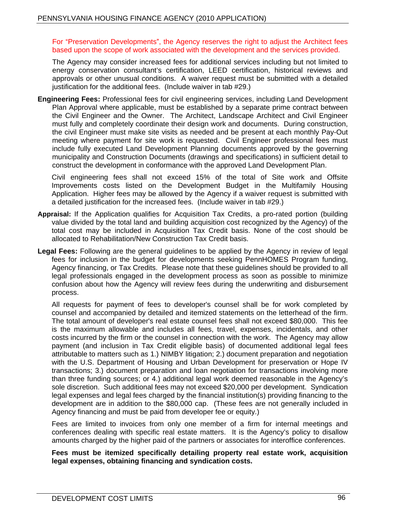For "Preservation Developments", the Agency reserves the right to adjust the Architect fees based upon the scope of work associated with the development and the services provided.

The Agency may consider increased fees for additional services including but not limited to energy conservation consultant's certification, LEED certification, historical reviews and approvals or other unusual conditions. A waiver request must be submitted with a detailed justification for the additional fees. (Include waiver in tab #29.)

**Engineering Fees:** Professional fees for civil engineering services, including Land Development Plan Approval where applicable, must be established by a separate prime contract between the Civil Engineer and the Owner. The Architect, Landscape Architect and Civil Engineer must fully and completely coordinate their design work and documents. During construction, the civil Engineer must make site visits as needed and be present at each monthly Pay-Out meeting where payment for site work is requested. Civil Engineer professional fees must include fully executed Land Development Planning documents approved by the governing municipality and Construction Documents (drawings and specifications) in sufficient detail to construct the development in conformance with the approved Land Development Plan.

Civil engineering fees shall not exceed 15% of the total of Site work and Offsite Improvements costs listed on the Development Budget in the Multifamily Housing Application. Higher fees may be allowed by the Agency if a waiver request is submitted with a detailed justification for the increased fees. (Include waiver in tab #29.)

- **Appraisal:** If the Application qualifies for Acquisition Tax Credits, a pro-rated portion (building value divided by the total land and building acquisition cost recognized by the Agency) of the total cost may be included in Acquisition Tax Credit basis. None of the cost should be allocated to Rehabilitation/New Construction Tax Credit basis.
- **Legal Fees:** Following are the general guidelines to be applied by the Agency in review of legal fees for inclusion in the budget for developments seeking PennHOMES Program funding, Agency financing, or Tax Credits. Please note that these guidelines should be provided to all legal professionals engaged in the development process as soon as possible to minimize confusion about how the Agency will review fees during the underwriting and disbursement process. The contract of the contract of the contract of the contract of the contract of the contract of the contract of the contract of the contract of the contract of the contract of the contract of the contract of the c

All requests for payment of fees to developer's counsel shall be for work completed by counsel and accompanied by detailed and itemized statements on the letterhead of the firm. The total amount of developer's real estate counsel fees shall not exceed \$80,000. This fee is the maximum allowable and includes all fees, travel, expenses, incidentals, and other costs incurred by the firm or the counsel in connection with the work. The Agency may allow payment (and inclusion in Tax Credit eligible basis) of documented additional legal fees attributable to matters such as 1.) NIMBY litigation; 2.) document preparation and negotiation with the U.S. Department of Housing and Urban Development for preservation or Hope IV transactions; 3.) document preparation and loan negotiation for transactions involving more than three funding sources; or 4.) additional legal work deemed reasonable in the Agency s sole discretion. Such additional fees may not exceed \$20,000 per development. Syndication legal expenses and legal fees charged by the financial institution(s) providing financing to the development are in addition to the \$80,000 cap. (These fees are not generally included in Agency financing and must be paid from developer fee or equity.)

Fees are limited to invoices from only one member of a firm for internal meetings and conferences dealing with specific real estate matters. It is the Agency's policy to disallow amounts charged by the higher paid of the partners or associates for interoffice conferences.

#### **Fees must be itemized specifically detailing property real estate work, acquisition legal expenses, obtaining financing and syndication costs.**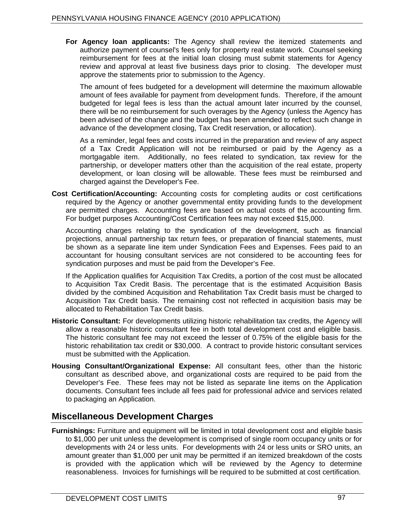**For Agency loan applicants:** The Agency shall review the itemized statements and authorize payment of counsel's fees only for property real estate work. Counsel seeking reimbursement for fees at the initial loan closing must submit statements for Agency review and approval at least five business days prior to closing. The developer must approve the statements prior to submission to the Agency.

The amount of fees budgeted for a development will determine the maximum allowable amount of fees available for payment from development funds. Therefore, if the amount budgeted for legal fees is less than the actual amount later incurred by the counsel, there will be no reimbursement for such overages by the Agency (unless the Agency has been advised of the change and the budget has been amended to reflect such change in advance of the development closing, Tax Credit reservation, or allocation).

As a reminder, legal fees and costs incurred in the preparation and review of any aspect of a Tax Credit Application will not be reimbursed or paid by the Agency as a mortgagable item. Additionally, no fees related to syndication, tax review for the partnership, or developer matters other than the acquisition of the real estate, property development, or loan closing will be allowable. These fees must be reimbursed and charged against the Developer's Fee.

**Cost Certification/Accounting:** Accounting costs for completing audits or cost certifications required by the Agency or another governmental entity providing funds to the development are permitted charges. Accounting fees are based on actual costs of the accounting firm. For budget purposes Accounting/Cost Certification fees may not exceed \$15,000.

Accounting charges relating to the syndication of the development, such as financial projections, annual partnership tax return fees, or preparation of financial statements, must be shown as a separate line item under Syndication Fees and Expenses. Fees paid to an accountant for housing consultant services are not considered to be accounting fees for syndication purposes and must be paid from the Developer's Fee.

If the Application qualifies for Acquisition Tax Credits, a portion of the cost must be allocated to Acquisition Tax Credit Basis. The percentage that is the estimated Acquisition Basis divided by the combined Acquisition and Rehabilitation TaxCredit basis must be charged to Acquisition Tax Credit basis. The remaining cost not reflected in acquisition basis may be allocated to Rehabilitation Tax Credit basis.

- **Historic Consultant:** For developments utilizing historic rehabilitation tax credits, the Agency will allow a reasonable historic consultant fee in both total development cost and eligible basis. The historic consultant fee may not exceed the lesser of 0.75% of the eligible basis for the historic rehabilitation tax credit or \$30,000. A contract to provide historic consultant services must be submitted with the Application.
- **Housing Consultant/Organizational Expense:** All consultant fees, other than the historic consultant as described above, and organizational costs are required to be paid from the Developer's Fee. These fees may not be listed as separate line items on the Application documents. Consultant fees include all fees paid for professional advice and services related to packaging an Application.

# **Miscellaneous Development Charges**

**Furnishings:** Furniture and equipment will be limited in total development cost and eligible basis to \$1,000 per unit unless the development is comprised of single room occupancy units or for developments with 24 or less units. For developments with 24 or less units or SRO units, an amount greater than \$1,000 per unit may be permitted if an itemized breakdown of the costs is provided with the application which will be reviewed by the Agency to determine reasonableness. Invoices for furnishings will be required to be submitted at cost certification.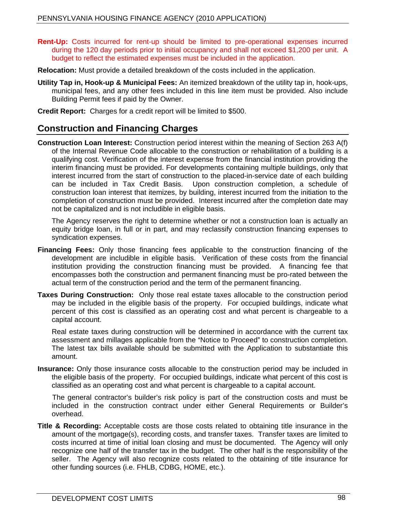- **Rent-Up:** Costs incurred for rent-up should be limited to pre-operational expenses incurred during the 120 day periods prior to initial occupancy and shall not exceed \$1,200 per unit. A budget to reflect the estimated expenses must be included in the application.
- **Relocation:** Must provide a detailed breakdown of the costs included in the application.
- **Utility Tap in, Hook-up & Municipal Fees:** An itemized breakdown of the utility tap in, hook-ups, municipal fees, and any other fees included in this line item must be provided. Also include Building Permit fees if paid by the Owner.
- **Credit Report:** Charges for a credit report will be limited to \$500.

# **Construction and Financing Charges**

**Construction Loan Interest:** Construction period interest within the meaning of Section 263 A(f) of the Internal Revenue Code allocable to the construction or rehabilitation of a building is a qualifying cost. Verification of the interest expense from the financial institution providing the interim financing must be provided. For developments containing multiple buildings, only that interest incurred from the start of construction to the placed-in-service date of each building can be included in Tax Credit Basis. Upon construction completion, a schedule of construction loan interest that itemizes, by building, interest incurred from the initiation to the completion of construction must be provided. Interest incurred after the completion date may not be capitalized and is not includible in eligible basis.

The Agency reserves the right to determine whether or not a construction loan is actually an equity bridge loan, in full or in part, and may reclassify construction financing expenses to syndication expenses.

- **Financing Fees:** Only those financing fees applicable to the construction financing of the development are includible in eligible basis. Verification of these costs from the financial institution providing the construction financing must be provided. A financing fee that encompasses both the construction and permanent financing must be pro-rated between the actual term of the construction period and the term of the permanent financing.
- **Taxes During Construction:** Only those real estate taxesallocable to the construction period may be included in the eligible basis of the property. For occupied buildings, indicate what percent of this cost is classified as an operating cost and what percent is chargeable to a capital account.

Real estate taxes during construction will be determined in accordance with the current tax assessment and millages applicable from the "Notice to Proceed" to construction completion.<br>The latest tax bills available should be submitted with the Application to substantiate this amount.

**Insurance:** Only those insurance costs allocable to the construction period may be included in the eligible basis of the property. For occupied buildings, indicate what percent of this cost is classified as an operating cost and what percent is chargeable to a capital account.

The general contractor's builder's risk policy is part of the construction costs and must be included in the construction contract under either General Requirements or Builder's overhead.

**Title & Recording:** Acceptable costs are those costs related to obtaining title insurance in the amount of the mortgage(s), recording costs, and transfer taxes. Transfer taxes are limited to costs incurred at time of initial loan closing and must be documented. The Agency will only recognize one half of the transfer tax in the budget. The other half is the responsibility of the seller. The Agency will also recognize costs related to the obtaining of title insurance for other funding sources (i.e. FHLB, CDBG, HOME, etc.).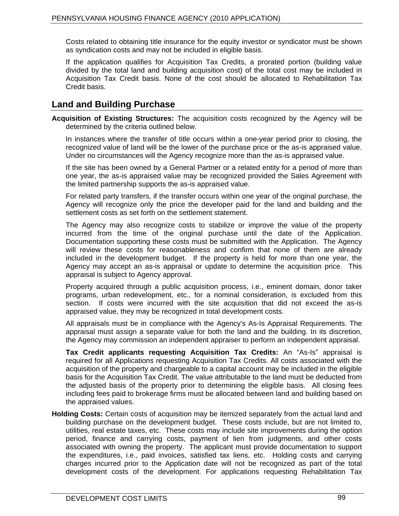Costs related to obtaining title insurance for the equity investor or syndicator must be shown as syndication costs and may not be included in eligible basis.

If the application qualifies for Acquisition Tax Credits, a prorated portion (building value divided by the total land and building acquisition cost) of the total cost may be included in Acquisition Tax Credit basis. None of the cost should be allocated to Rehabilitation Tax Credit basis.

# **Land and Building Purchase**

**Acquisition of Existing Structures:** The acquisition costs recognized by the Agency will be determined by the criteria outlined below.

In instances where the transfer of title occurs within a one-year period prior to closing, the recognized value of land will be the lower of the purchase price or the as-is appraised value. Under no circumstances will the Agency recognize more than the as-is appraised value.

If the site has been owned by a General Partner or a related entity for a period of more than one year, the as-is appraised value may be recognized provided the Sales Agreement with the limited partnership supports the as-is appraised value.<br>For related party transfers, if the transfer occurs within one year of the original purchase, the

Agency will recognize only the price the developer paid for the land and building and the settlement costs as set forth on the settlement statement.

The Agency may also recognize costs to stabilize or improve the value of the property incurred from the time of the original purchase until the date of the Application. Documentation supporting these costs must be submitted with the Application. The Agency will review these costs for reasonableness and confirm that none of them are already included in the development budget. If the property is held for more than one year, the Agency may accept an as-is appraisal or update to determine the acquisition price. This appraisal is subject to Agency approval.

Property acquired through a public acquisition process, i.e., eminent domain, donor taker programs, urban redevelopment, etc., for a nominal consideration, is excluded from this section. If costs were incurred with the site acquisition that did not exceed the as-is appraised value, they may be recognized in total development costs.

All appraisals must be in compliance with the Agency's As-Is Appraisal Requirements. The appraisal must assign a separate value for both the land and the building. In its discretion, the Agency may commission an independent appraiser to perform an independent appraisal.

**Tax Credit applicants requesting Acquisition Tax Credits: An "As-Is" appraisal is** required for all Applications requesting Acquisition Tax Credits. All costs associated with the acquisition of the property and chargeable to a capital account may be included in the eligible basis for the Acquisition Tax Credit. The value attributable to the land must be deducted from the adjusted basis of the property prior to determining the eligible basis. All closing fees including fees paid to brokerage firms must be allocated between land and building based on the appraised values.

**Holding Costs:** Certain costs of acquisition may be itemized separately from the actual land and building purchase on the development budget. These costs include, but are not limited to, utilities, real estate taxes, etc. These costs may include site improvements during the option period, finance and carrying costs, payment of lien from judgments, and other costs associated with owning the property. The applicant must provide documentation to support the expenditures, i.e., paid invoices, satisfied taxliens, etc. Holding costs and carrying charges incurred prior to the Application date will not be recognized as part of the total development costs of the development. For applications requesting Rehabilitation Tax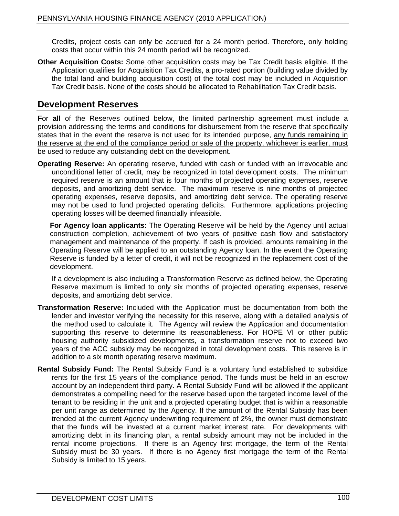Credits, project costs can only be accrued for a 24 month period. Therefore, only holding costs that occur within this 24 month period will be recognized.

**Other Acquisition Costs:** Some other acquisition costs may be Tax Credit basis eligible. If the Application qualifies for Acquisition Tax Credits, a pro-rated portion (building value divided by the total land and building acquisition cost) of the total cost may be included in Acquisition Tax Credit basis. None of the costs should be allocated to Rehabilitation Tax Credit basis.

# **Development Reserves**

For **all** of the Reserves outlined below, the limited partnership agreement must include a provision addressing the terms and conditions for disbursement from the reserve that specifically states that in the event the reserve is not used for its intended purpose, any funds remaining in the reserve at the end of the compliance period or sale of the property, whichever is earlier, must be used to reduce any outstanding debt on the development.

**Operating Reserve:** An operating reserve, funded with cash or funded with an irrevocable and unconditional letter of credit, may be recognized in total development costs. The minimum required reserve is an amount that is four months of projected operating expenses, reserve deposits, and amortizing debt service. The maximum reserve is nine months of projected operating expenses, reserve deposits, and amortizing debt service. The operating reserve may not be used to fund projected operating deficits. Furthermore, applications projecting operating losses will be deemed financially infeasible.

**For Agency loan applicants:** The Operating Reserve will be held by the Agency until actual construction completion, achievement of two years of positive cash flow and satisfactory management and maintenance of the property. If cash is provided, amounts remaining in the Operating Reserve will be applied to an outstanding Agency loan. In the event the Operating Reserve is funded by a letter of credit, it will not be recognized in the replacement cost of the development.

If a development is also including a Transformation Reserve as defined below, the Operating Reserve maximum is limited to only six months of projected operating expenses, reserve deposits, and amortizing debt service.

- **Transformation Reserve:** Included with the Application must be documentation from both the lender and investor verifying the necessity for this reserve, along with a detailed analysis of the method used to calculate it. The Agency will review the Application and documentation supporting this reserve to determine its reasonableness. For HOPE VI or other public housing authority subsidized developments, a transformation reserve not to exceed two years of the ACC subsidy may be recognized in total development costs. This reserve is in addition to a six month operating reserve maximum.
- **Rental Subsidy Fund:** The Rental Subsidy Fund is a voluntary fund established to subsidize rents for the first 15 years of the compliance period. The funds must be held in an escrow account by an independent third party. A Rental Subsidy Fund will be allowed if the applicant demonstrates a compelling need for the reserve based upon the targeted income level of the tenant to be residing in the unit and a projected operating budget that is within a reasonable per unit range as determined by the Agency. If the amount of the Rental Subsidy has been trended at the current Agency underwriting requirement of 2%, the owner must demonstrate that the funds will be invested at a current market interest rate. For developments with amortizing debt in its financing plan, a rental subsidyamount may not be included in the rental income projections. If there is an Agency first mortgage, the term of the Rental Subsidy must be 30 years. If there is no Agency first mortgage the term of the Rental Subsidy is limited to 15 years.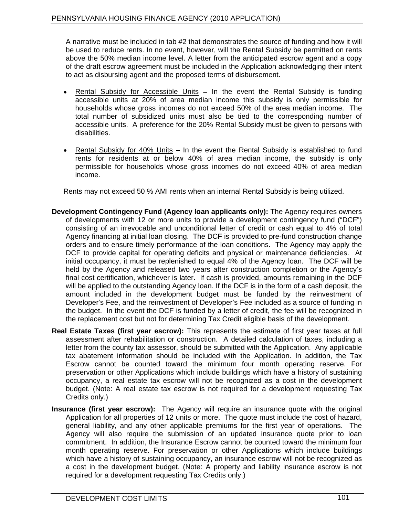A narrative must be included in tab #2 that demonstrates the source of funding and how it will be used to reduce rents. In no event, however, will the Rental Subsidy be permitted on rents above the 50% median income level. A letter from the anticipated escrow agent and a copy of the draft escrow agreement must be included in the Application acknowledging their intent to act as disbursing agent and the proposed terms of disbursement.

- Rental Subsidy for Accessible Units In the event the Rental Subsidy is funding accessible units at 20% of area median income this subsidy is only permissible for households whose gross incomes do not exceed 50% of the area median income. The total number of subsidized units must also be tied to the corresponding number of accessible units. A preference for the 20% Rental Subsidy must be given to persons with disabilities.
- Rental Subsidy for  $40\%$  Units  $-$  In the event the Rental Subsidy is established to fund rents for residents at or below 40% of area median income, the subsidy is only permissible for households whose gross incomes do not exceed 40% of area median income.

Rents may not exceed 50 % AMI rents when an internal Rental Subsidy is being utilized.

- **Development Contingency Fund (Agency loan applicants only):** The Agency requires owners of developments with 12 or more units to provide a development contingency fund ("DCF") consisting of an irrevocable and unconditional letter of credit or cash equal to 4% of total Agency financing at initial loan closing. The DCF is provided to pre-fund construction change orders and to ensure timely performance of the loan conditions. The Agency may apply the DCF to provide capital for operating deficits and physical or maintenance deficiencies. At initial occupancy, it must be replenished to equal 4% of the Agency loan. The DCF will be held by the Agency and released two years after construction completion or the Agency's final cost certification, whichever is later. If cash is provided, amounts remaining in the DCF will be applied to the outstanding Agency loan. If the DCF is in the form of a cash deposit, the amount included in the development budget must be funded by the reinvestment of Developer's Fee, and the reinvestment of Developer's Fee included as a source of funding in the budget. In the event the DCF is funded by a letter of credit, the fee will be recognized in the replacement cost but not for determining Tax Credit eligible basis of the development.
- **Real Estate Taxes (first year escrow):** This represents the estimate of first year taxes at full assessment after rehabilitation or construction. A detailed calculation of taxes, including a letter from the county tax assessor, should be submitted with the Application. Any applicable tax abatement information should be included with the Application. In addition, the Tax Escrow cannot be counted toward the minimum four month operating reserve. For preservation or other Applications which include buildings which have a history of sustaining occupancy, a real estate tax escrow will not be recognized as a cost in the development budget. (Note: A real estate tax escrow is not required for a development requesting Tax Credits only.)
- **Insurance (first year escrow):** The Agency will require an insurance quote with the original Application for all properties of 12 units or more. The quote must include the cost of hazard, general liability, and any other applicable premiums for the first year of operations. The Agency will also require the submission of an updated insurance quote prior to loan commitment. In addition, the Insurance Escrow cannot be counted toward the minimum four month operating reserve. For preservation or other Applications which include buildings which have a history of sustaining occupancy, an insurance escrow will not be recognized as a cost in the development budget. (Note: A property and liability insurance escrow is not required for a development requesting Tax Credits only.)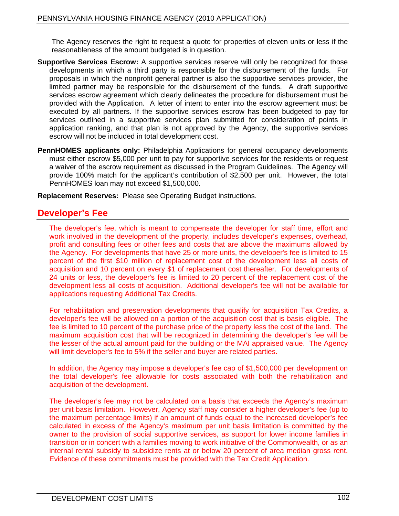The Agency reserves the right to request a quote for properties of eleven units or less if the reasonableness of the amount budgeted is in question.

- **Supportive Services Escrow:** A supportive services reserve will only be recognized for those developments in which a third party is responsible for the disbursement of the funds. For proposals in which the nonprofit general partner is also the supportive services provider, the limited partner may be responsible for the disbursement of the funds. A draft supportive services escrow agreement which clearly delineates the procedure for disbursement must be provided with the Application. A letter of intent to enter into the escrow agreement must be executed by all partners. If the supportive services escrow has been budgeted to pay for services outlined in a supportive services plan submitted for consideration of points in application ranking, and that plan is not approved by the Agency, the supportive services escrow will not be included in total development cost.
- **PennHOMES applicants only:** Philadelphia Applications for general occupancy developments must either escrow \$5,000 per unit to pay for supportive services for the residents or request a waiver of the escrow requirement as discussed in the Program Guidelines. The Agency will provide 100% match for the applicant's contribution of \$2,500 per unit. However, the total PennHOMES loan may not exceed \$1,500,000.

**Replacement Reserves:** Please see Operating Budget instructions.

# **Developer s Fee**

The developer's fee, which is meant to compensate the developer for staff time, effort and work involved in the development of the property, includes developer's expenses, overhead, profit and consulting fees or other fees and costs that are above the maximums allowed by the Agency. For developments that have 25 or more units, the developer's fee is limited to 15 percent of the first \$10 million of replacement cost of the development less all costs of acquisition and 10 percent on every \$1 of replacement cost thereafter. For developments of 24 units or less, the developer's fee is limited to 20 percent of the replacement cost of the development less all costs of acquisition. Additional developer's fee will not be available for applications requesting Additional Tax Credits.

For rehabilitation and preservation developments that qualify for acquisition Tax Credits, a developer's fee will be allowed on a portion of the acquisition cost that is basis eligible. The fee is limited to 10 percent of the purchase price of the property less the cost of the land. The maximum acquisition cost that will be recognized in determining the developer's fee will be the lesser of the actual amount paid for the building or the MAI appraised value. The Agency will limit developer's fee to 5% if the seller and buyer are related parties.

In addition, the Agency may impose a developer's fee cap of \$1,500,000 per development on the total developer's fee allowable for costs associated with both the rehabilitation and acquisition of the development.

The developer's fee may not be calculated on a basis that exceeds the Agency's maximum per unit basis limitation. However, Agency staff may consider a higher developer's fee (up to the maximum percentage limits) if an amount of funds equal to the increased developer's fee calculated in excess of the Agency's maximum per unit basis limitation is committed by the owner to the provision of social supportive services, as support for lower income families in transition or in concert with a families moving to work initiative of the Commonwealth, or as an internal rental subsidy to subsidize rents at or below 20 percent of area median gross rent. Evidence of these commitments must be provided with the Tax Credit Application.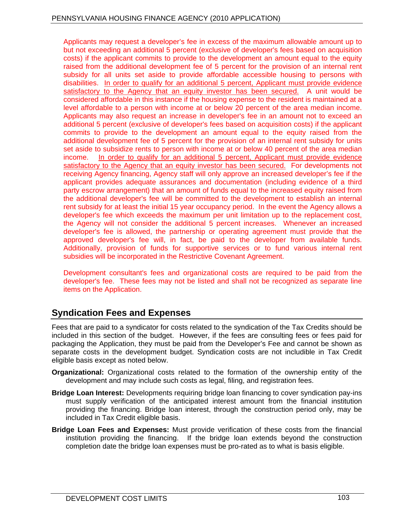Applicants may request a developer's fee in excess of the maximum allowable amount up to but not exceeding an additional 5 percent (exclusive of developer's fees based on acquisition costs) if the applicant commits to provide to the development an amount equal to the equity raised from the additional development fee of 5 percent for the provision of an internal rent subsidy for all units set aside to provide affordable accessible housing to persons with disabilities. In order to qualify for an additional 5 percent, Applicant must provide evidence satisfactory to the Agency that an equity investor has been secured. A unit would be considered affordable in this instance if the housing expense to the resident is maintained at a level affordable to a person with income at or below 20 percent of the area median income. Applicants may also request an increase in developer's fee in an amount not to exceed an additional 5 percent (exclusive of developer's fees based on acquisition costs) if the applicant commits to provide to the development an amount equal to the equity raised from the additional development fee of 5 percent for the provision of an internal rent subsidy for units set aside to subsidize rents to person with income at or below 40 percent of the area median income. In order to qualify for an additional 5 percent, Applicant must provide evidence satisfactory to the Agency that an equity investor has been secured. For developments not receiving Agency financing, Agency staff will only approve an increased developer's fee if the applicant provides adequate assurances and documentation (including evidence of a third party escrow arrangement) that an amount of funds equal to the increased equity raised from the additional developer's fee will be committed to the development to establish an internal rent subsidy for at least the initial 15 year occupancy period. In the event the Agency allows a developer's fee which exceeds the maximum per unit limitation up to the replacement cost, the Agency will not consider the additional 5 percent increases. Whenever an increased developer's fee is allowed, the partnership or operating agreement must provide that the approved developer's fee will, in fact, be paid to the developer from available funds. Additionally, provision of funds for supportive services or to fund various internal rent subsidies will be incorporated in the Restrictive Covenant Agreement.

Development consultant's fees and organizational costs are required to be paid from the developer's fee. These fees may not be listed and shall not be recognized as separate line items on the Application.

# **Syndication Fees and Expenses**

Fees that are paid to a syndicator for costs related to the syndication of the Tax Credits should be included in this section of the budget. However, if the fees are consulting fees or fees paid for packaging the Application, they must be paid from the Developer's Fee and cannot be shown as separate costs in the development budget. Syndication costs are not includible in Tax Credit eligible basis except as noted below.

- **Organizational:** Organizational costs related to the formation of the ownership entity of the development and may include such costs as legal, filing, and registration fees.
- **Bridge Loan Interest:** Developments requiring bridge loan financing to cover syndication pay-ins must supply verification of the anticipated interest amount from the financial institution providing the financing. Bridge loan interest, through the construction period only, may be included in Tax Credit eligible basis.
- **Bridge Loan Fees and Expenses:** Must provide verification of these costs from the financial institution providing the financing. If the bridge loan extends beyond the construction completion date the bridge loan expenses must be pro-rated as to what is basis eligible.